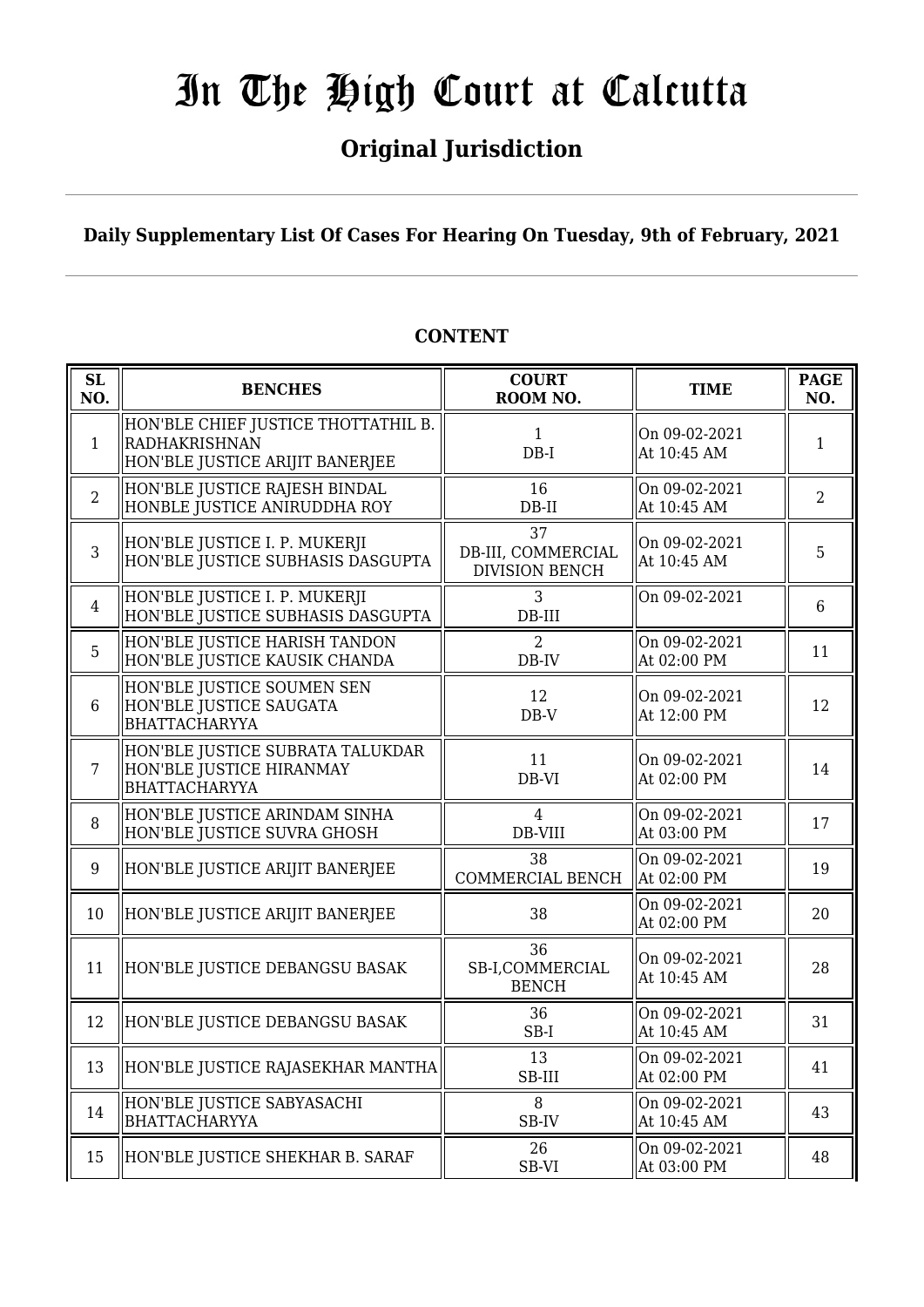## **Original Jurisdiction**

**Daily Supplementary List Of Cases For Hearing On Tuesday, 9th of February, 2021**

| <b>SL</b><br>NO. | <b>BENCHES</b>                                                                          | <b>COURT</b><br>ROOM NO.                          | <b>TIME</b>                  | <b>PAGE</b><br>NO. |
|------------------|-----------------------------------------------------------------------------------------|---------------------------------------------------|------------------------------|--------------------|
| $\mathbf{1}$     | HON'BLE CHIEF JUSTICE THOTTATHIL B.<br>RADHAKRISHNAN<br>HON'BLE JUSTICE ARIJIT BANERJEE | $\mathbf{1}$<br>$DB-I$                            | On 09-02-2021<br>At 10:45 AM | $\mathbf{1}$       |
| $\overline{2}$   | HON'BLE JUSTICE RAJESH BINDAL<br>HONBLE JUSTICE ANIRUDDHA ROY                           | 16<br>$DB-II$                                     | On 09-02-2021<br>At 10:45 AM | $\overline{2}$     |
| $\overline{3}$   | HON'BLE JUSTICE I. P. MUKERJI<br>HON'BLE JUSTICE SUBHASIS DASGUPTA                      | 37<br>DB-III, COMMERCIAL<br><b>DIVISION BENCH</b> | On 09-02-2021<br>At 10:45 AM | 5                  |
| $\overline{4}$   | HON'BLE JUSTICE I. P. MUKERJI<br>HON'BLE JUSTICE SUBHASIS DASGUPTA                      | 3<br>$DB-III$                                     | On 09-02-2021                | $6\phantom{1}$     |
| 5                | HON'BLE JUSTICE HARISH TANDON<br>HON'BLE JUSTICE KAUSIK CHANDA                          | $\overline{2}$<br>DB-IV                           | On 09-02-2021<br>At 02:00 PM | 11                 |
| $6\phantom{1}6$  | HON'BLE JUSTICE SOUMEN SEN<br>HON'BLE JUSTICE SAUGATA<br><b>BHATTACHARYYA</b>           | 12<br>$DB-V$                                      | On 09-02-2021<br>At 12:00 PM | 12                 |
| $\overline{7}$   | HON'BLE JUSTICE SUBRATA TALUKDAR<br>HON'BLE JUSTICE HIRANMAY<br><b>BHATTACHARYYA</b>    | 11<br>DB-VI                                       | On 09-02-2021<br>At 02:00 PM | 14                 |
| $\, 8$           | HON'BLE JUSTICE ARINDAM SINHA<br>HON'BLE JUSTICE SUVRA GHOSH                            | $\overline{4}$<br>DB-VIII                         | On 09-02-2021<br>At 03:00 PM | 17                 |
| 9                | HON'BLE JUSTICE ARIJIT BANERJEE                                                         | 38<br><b>COMMERCIAL BENCH</b>                     | On 09-02-2021<br>At 02:00 PM | 19                 |
| 10               | HON'BLE JUSTICE ARIJIT BANERJEE                                                         | 38                                                | On 09-02-2021<br>At 02:00 PM | 20                 |
| 11               | HON'BLE JUSTICE DEBANGSU BASAK                                                          | 36<br>SB-I,COMMERCIAL<br><b>BENCH</b>             | On 09-02-2021<br>At 10:45 AM | 28                 |
| 12               | HON'BLE JUSTICE DEBANGSU BASAK                                                          | 36<br>SB-I                                        | On 09-02-2021<br>At 10:45 AM | 31                 |
| 13               | HON'BLE JUSTICE RAJASEKHAR MANTHA                                                       | 13<br>SB-III                                      | On 09-02-2021<br>At 02:00 PM | 41                 |
| 14               | HON'BLE JUSTICE SABYASACHI<br>BHATTACHARYYA                                             | 8<br>SB-IV                                        | On 09-02-2021<br>At 10:45 AM | 43                 |
| 15               | HON'BLE JUSTICE SHEKHAR B. SARAF                                                        | 26<br>SB-VI                                       | On 09-02-2021<br>At 03:00 PM | 48                 |

#### **CONTENT**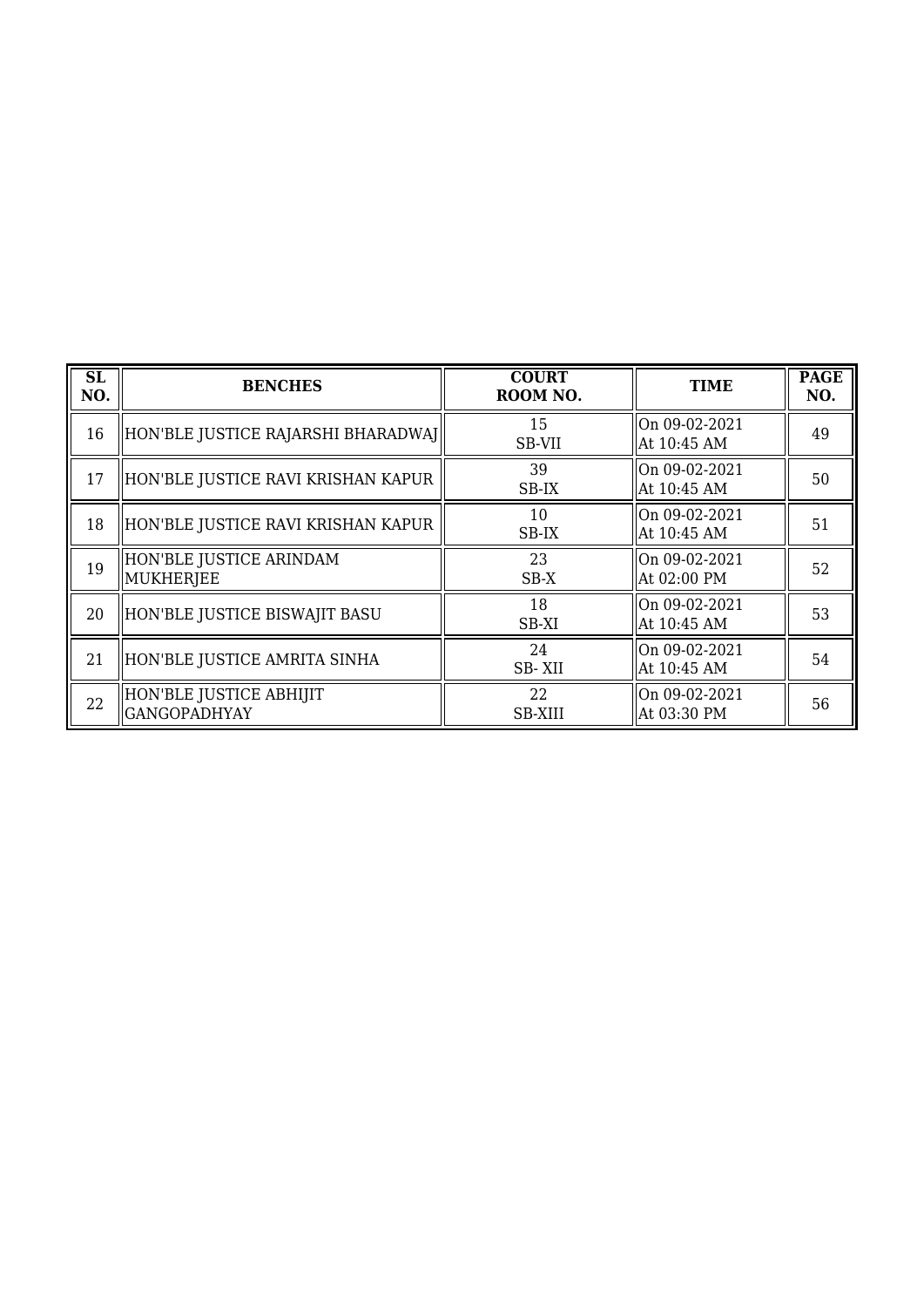| SL<br>NO. | <b>BENCHES</b>                                 | <b>COURT</b><br>ROOM NO. | <b>TIME</b>                  | <b>PAGE</b><br>NO. |
|-----------|------------------------------------------------|--------------------------|------------------------------|--------------------|
| 16        | HON'BLE JUSTICE RAJARSHI BHARADWAJ             | 15<br>SB-VII             | On 09-02-2021<br>At 10:45 AM | 49                 |
| 17        | HON'BLE JUSTICE RAVI KRISHAN KAPUR             | 39<br>SB-IX              | On 09-02-2021<br>At 10:45 AM | 50                 |
| 18        | HON'BLE JUSTICE RAVI KRISHAN KAPUR             | 10<br>SB-IX              | On 09-02-2021<br>At 10:45 AM | 51                 |
| 19        | HON'BLE JUSTICE ARINDAM<br>MUKHERJEE           | 23<br>SB-X               | On 09-02-2021<br>At 02:00 PM | 52                 |
| 20        | HON'BLE JUSTICE BISWAJIT BASU                  | 18<br>SB-XI              | On 09-02-2021<br>At 10:45 AM | 53                 |
| 21        | HON'BLE JUSTICE AMRITA SINHA                   | 24<br>SB-XII             | On 09-02-2021<br>At 10:45 AM | 54                 |
| 22        | HON'BLE JUSTICE ABHIJIT<br><b>GANGOPADHYAY</b> | 22<br><b>SB-XIII</b>     | On 09-02-2021<br>At 03:30 PM | 56                 |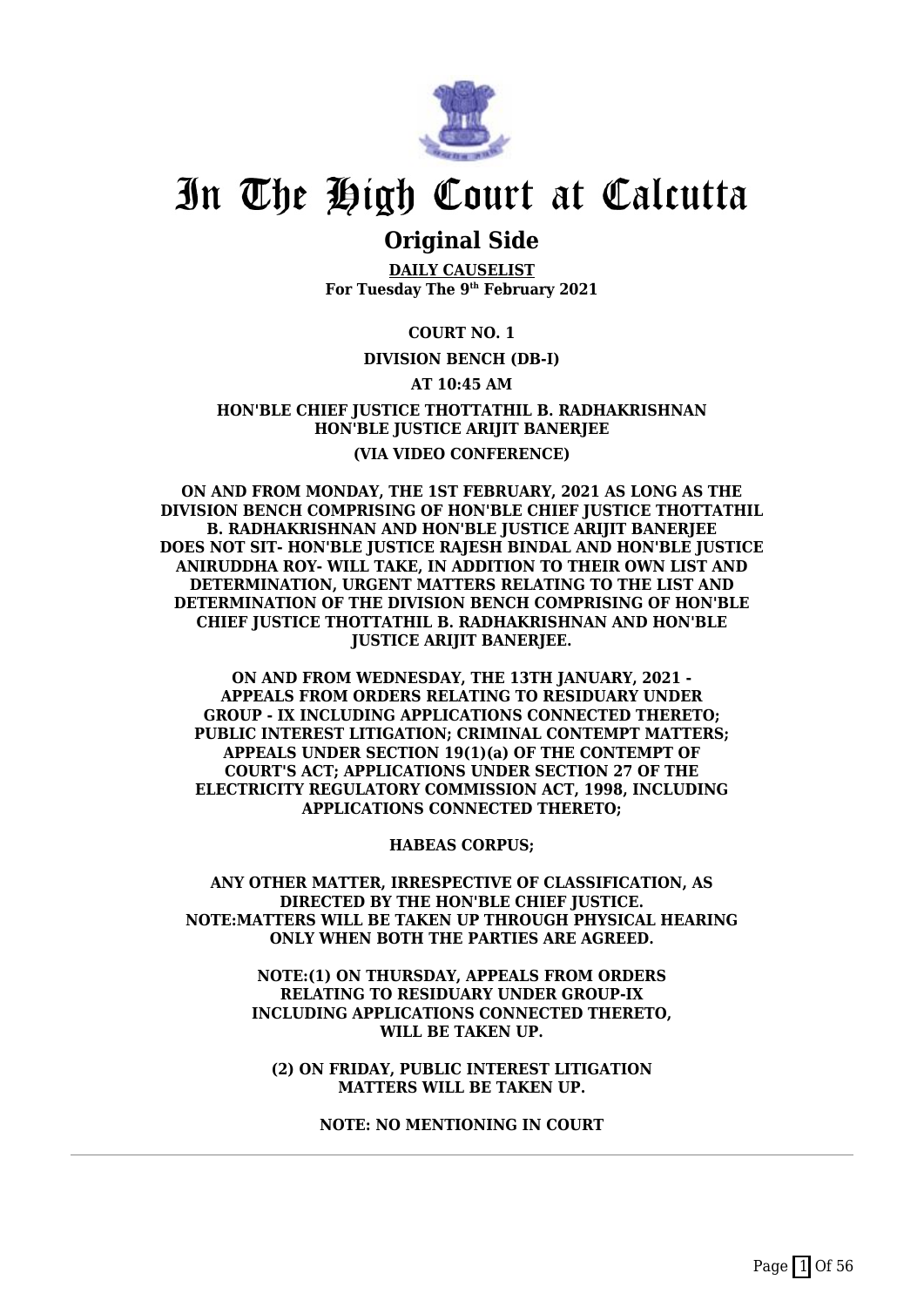

### **Original Side**

**DAILY CAUSELIST For Tuesday The 9th February 2021**

#### **COURT NO. 1**

#### **DIVISION BENCH (DB-I)**

#### **AT 10:45 AM**

**HON'BLE CHIEF JUSTICE THOTTATHIL B. RADHAKRISHNAN HON'BLE JUSTICE ARIJIT BANERJEE (VIA VIDEO CONFERENCE)**

**ON AND FROM MONDAY, THE 1ST FEBRUARY, 2021 AS LONG AS THE DIVISION BENCH COMPRISING OF HON'BLE CHIEF JUSTICE THOTTATHIL B. RADHAKRISHNAN AND HON'BLE JUSTICE ARIJIT BANERJEE DOES NOT SIT- HON'BLE JUSTICE RAJESH BINDAL AND HON'BLE JUSTICE ANIRUDDHA ROY- WILL TAKE, IN ADDITION TO THEIR OWN LIST AND DETERMINATION, URGENT MATTERS RELATING TO THE LIST AND DETERMINATION OF THE DIVISION BENCH COMPRISING OF HON'BLE CHIEF JUSTICE THOTTATHIL B. RADHAKRISHNAN AND HON'BLE JUSTICE ARIJIT BANERJEE.**

**ON AND FROM WEDNESDAY, THE 13TH JANUARY, 2021 - APPEALS FROM ORDERS RELATING TO RESIDUARY UNDER GROUP - IX INCLUDING APPLICATIONS CONNECTED THERETO; PUBLIC INTEREST LITIGATION; CRIMINAL CONTEMPT MATTERS; APPEALS UNDER SECTION 19(1)(a) OF THE CONTEMPT OF COURT'S ACT; APPLICATIONS UNDER SECTION 27 OF THE ELECTRICITY REGULATORY COMMISSION ACT, 1998, INCLUDING APPLICATIONS CONNECTED THERETO;**

**HABEAS CORPUS;**

**ANY OTHER MATTER, IRRESPECTIVE OF CLASSIFICATION, AS DIRECTED BY THE HON'BLE CHIEF JUSTICE. NOTE:MATTERS WILL BE TAKEN UP THROUGH PHYSICAL HEARING ONLY WHEN BOTH THE PARTIES ARE AGREED.**

> **NOTE:(1) ON THURSDAY, APPEALS FROM ORDERS RELATING TO RESIDUARY UNDER GROUP-IX INCLUDING APPLICATIONS CONNECTED THERETO, WILL BE TAKEN UP.**

**(2) ON FRIDAY, PUBLIC INTEREST LITIGATION MATTERS WILL BE TAKEN UP.**

**NOTE: NO MENTIONING IN COURT**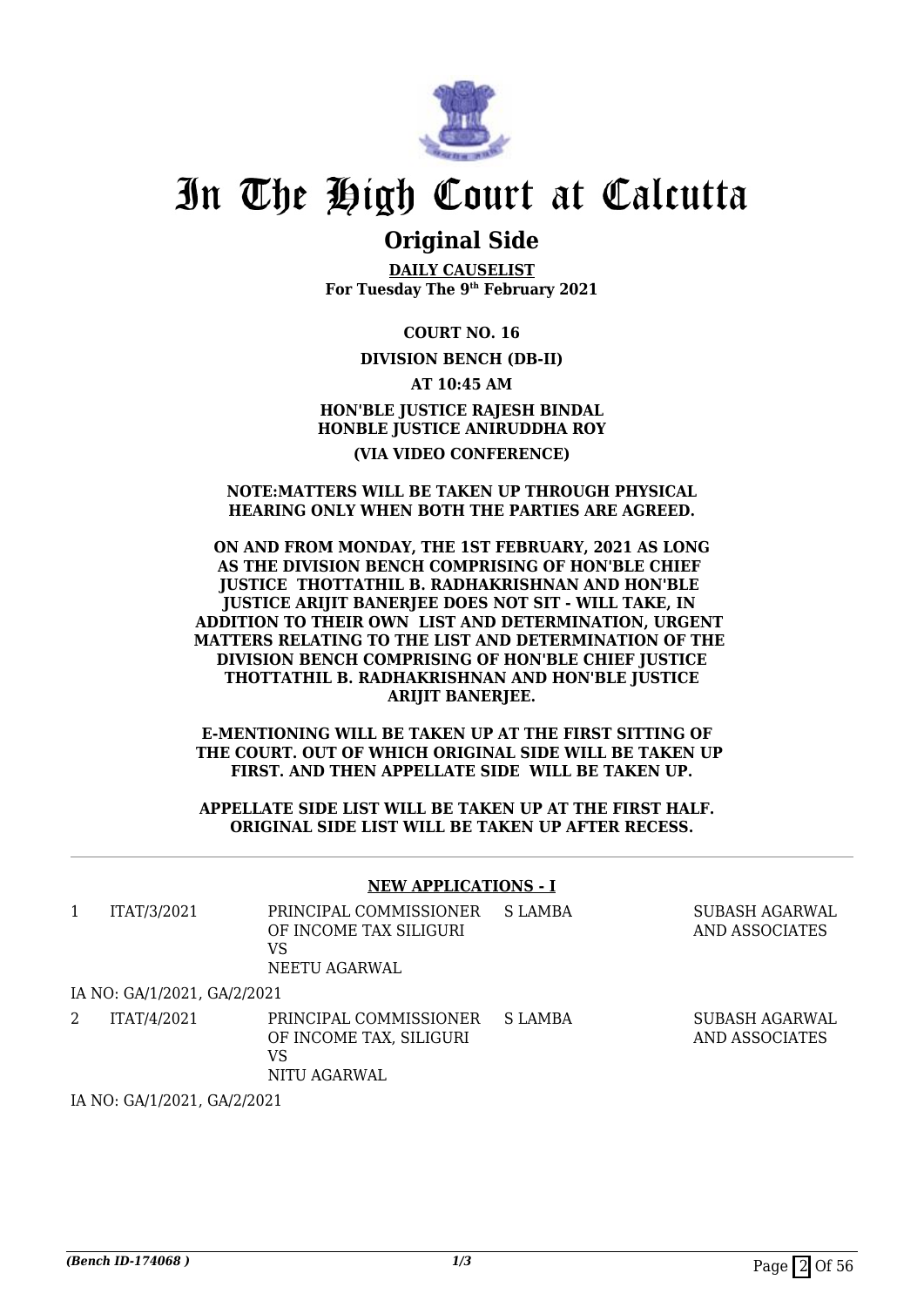

## **Original Side**

**DAILY CAUSELIST For Tuesday The 9th February 2021**

**COURT NO. 16**

**DIVISION BENCH (DB-II)**

**AT 10:45 AM HON'BLE JUSTICE RAJESH BINDAL HONBLE JUSTICE ANIRUDDHA ROY (VIA VIDEO CONFERENCE)**

#### **NOTE:MATTERS WILL BE TAKEN UP THROUGH PHYSICAL HEARING ONLY WHEN BOTH THE PARTIES ARE AGREED.**

#### **ON AND FROM MONDAY, THE 1ST FEBRUARY, 2021 AS LONG AS THE DIVISION BENCH COMPRISING OF HON'BLE CHIEF JUSTICE THOTTATHIL B. RADHAKRISHNAN AND HON'BLE JUSTICE ARIJIT BANERJEE DOES NOT SIT - WILL TAKE, IN ADDITION TO THEIR OWN LIST AND DETERMINATION, URGENT MATTERS RELATING TO THE LIST AND DETERMINATION OF THE DIVISION BENCH COMPRISING OF HON'BLE CHIEF JUSTICE THOTTATHIL B. RADHAKRISHNAN AND HON'BLE JUSTICE ARIJIT BANERJEE.**

**E-MENTIONING WILL BE TAKEN UP AT THE FIRST SITTING OF THE COURT. OUT OF WHICH ORIGINAL SIDE WILL BE TAKEN UP FIRST. AND THEN APPELLATE SIDE WILL BE TAKEN UP.**

**APPELLATE SIDE LIST WILL BE TAKEN UP AT THE FIRST HALF. ORIGINAL SIDE LIST WILL BE TAKEN UP AFTER RECESS.**

#### **NEW APPLICATIONS - I**

| 1 | ITAT/3/2021                 | PRINCIPAL COMMISSIONER<br>OF INCOME TAX SILIGURI<br>VS<br>NEETU AGARWAL | S LAMBA | SUBASH AGARWAL<br>AND ASSOCIATES |
|---|-----------------------------|-------------------------------------------------------------------------|---------|----------------------------------|
|   | IA NO: GA/1/2021, GA/2/2021 |                                                                         |         |                                  |
|   | ITAT/4/2021                 | PRINCIPAL COMMISSIONER<br>OF INCOME TAX, SILIGURI<br>VS<br>NITU AGARWAL | S LAMBA | SUBASH AGARWAL<br>AND ASSOCIATES |

IA NO: GA/1/2021, GA/2/2021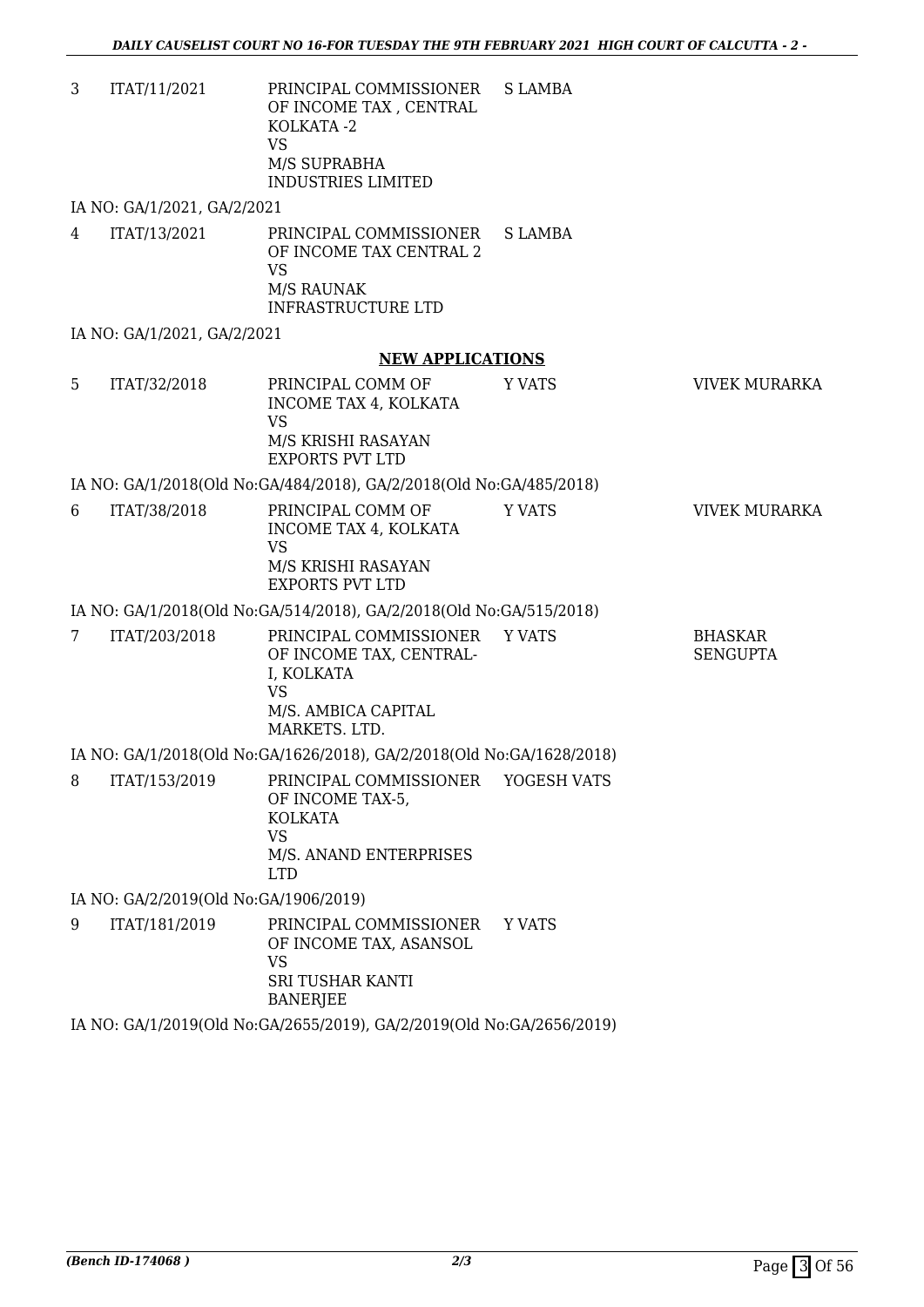| VS                 |  |
|--------------------|--|
| M/S SUPRABHA       |  |
| INDUSTRIES LIMITED |  |

IA NO: GA/1/2021, GA/2/2021

4 ITAT/13/2021 PRINCIPAL COMMISSIONER OF INCOME TAX CENTRAL 2 VS M/S RAUNAK INFRASTRUCTURE LTD S LAMBA

IA NO: GA/1/2021, GA/2/2021

#### **NEW APPLICATIONS**

| ITAT/32/2018 | PRINCIPAL COMM OF<br>INCOME TAX 4. KOLKATA<br>VS<br>M/S KRISHI RASAYAN | Y VATS | VIVEK MURARKA |
|--------------|------------------------------------------------------------------------|--------|---------------|
|              | EXPORTS PVT LTD                                                        |        |               |

IA NO: GA/1/2018(Old No:GA/484/2018), GA/2/2018(Old No:GA/485/2018)

6 ITAT/38/2018 PRINCIPAL COMM OF INCOME TAX 4, KOLKATA VS M/S KRISHI RASAYAN EXPORTS PVT LTD Y VATS **VIVEK MURARKA** 

#### IA NO: GA/1/2018(Old No:GA/514/2018), GA/2/2018(Old No:GA/515/2018)

| ITAT/203/2018 | PRINCIPAL COMMISSIONER YVATS<br>OF INCOME TAX. CENTRAL-<br>I. KOLKATA<br>VS | BHASKAR<br>SENGUPTA |
|---------------|-----------------------------------------------------------------------------|---------------------|
|               | M/S. AMBICA CAPITAL<br>MARKETS, LTD.                                        |                     |

IA NO: GA/1/2018(Old No:GA/1626/2018), GA/2/2018(Old No:GA/1628/2018)

| 8 | ITAT/153/2019                                                                                                                                                                                                                                                                                                                      | PRINCIPAL COMMISSIONER YOGESH VATS<br>OF INCOME TAX-5.<br>KOLKATA<br>VS<br>M/S. ANAND ENTERPRISES<br>LTD. |  |
|---|------------------------------------------------------------------------------------------------------------------------------------------------------------------------------------------------------------------------------------------------------------------------------------------------------------------------------------|-----------------------------------------------------------------------------------------------------------|--|
|   | $\mathbf{F}$ $\mathbf{F}$ $\mathbf{F}$ $\mathbf{F}$ $\mathbf{F}$ $\mathbf{F}$ $\mathbf{F}$ $\mathbf{F}$ $\mathbf{F}$ $\mathbf{F}$ $\mathbf{F}$ $\mathbf{F}$ $\mathbf{F}$ $\mathbf{F}$ $\mathbf{F}$ $\mathbf{F}$ $\mathbf{F}$ $\mathbf{F}$ $\mathbf{F}$ $\mathbf{F}$ $\mathbf{F}$ $\mathbf{F}$ $\mathbf{F}$ $\mathbf{F}$ $\mathbf{$ |                                                                                                           |  |

IA NO: GA/2/2019(Old No:GA/1906/2019)

9 ITAT/181/2019 PRINCIPAL COMMISSIONER OF INCOME TAX, ASANSOL VS SRI TUSHAR KANTI BANERJEE Y VATS

IA NO: GA/1/2019(Old No:GA/2655/2019), GA/2/2019(Old No:GA/2656/2019)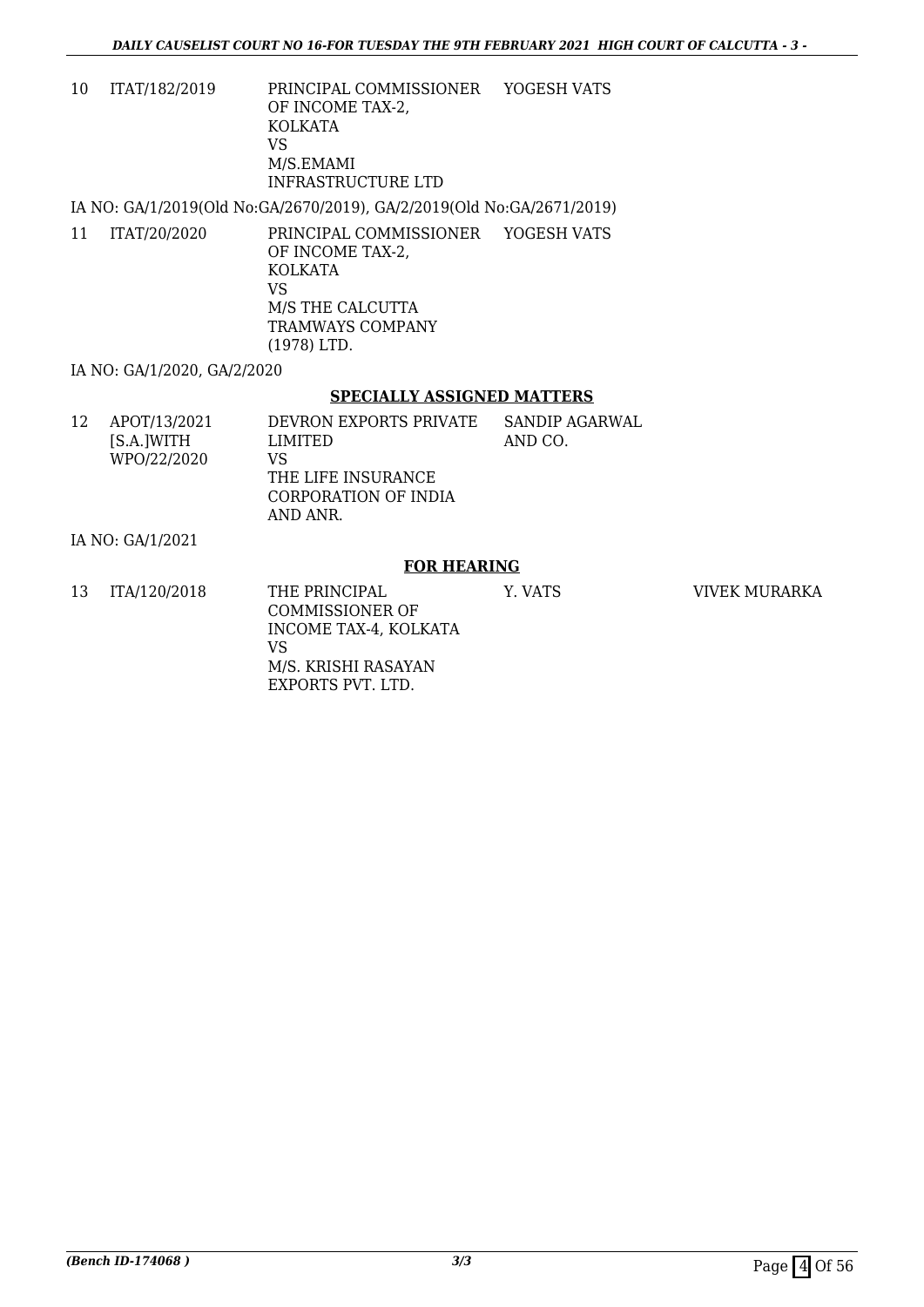10 ITAT/182/2019 PRINCIPAL COMMISSIONER OF INCOME TAX-2, KOLKATA VS M/S.EMAMI INFRASTRUCTURE LTD YOGESH VATS

IA NO: GA/1/2019(Old No:GA/2670/2019), GA/2/2019(Old No:GA/2671/2019)

11 ITAT/20/2020 PRINCIPAL COMMISSIONER YOGESH VATS OF INCOME TAX-2, KOLKATA VS M/S THE CALCUTTA TRAMWAYS COMPANY (1978) LTD.

IA NO: GA/1/2020, GA/2/2020

#### **SPECIALLY ASSIGNED MATTERS**

| 12 | APOT/13/2021<br>[S.A.]WITH<br>WPO/22/2020 | DEVRON EXPORTS PRIVATE<br>LIMITED<br>VS<br>THE LIFE INSURANCE<br>CORPORATION OF INDIA<br>AND ANR. | SANDIP AGARWAL<br>AND CO. |
|----|-------------------------------------------|---------------------------------------------------------------------------------------------------|---------------------------|
|    |                                           |                                                                                                   |                           |

IA NO: GA/1/2021

#### **FOR HEARING**

13 ITA/120/2018 THE PRINCIPAL COMMISSIONER OF INCOME TAX-4, KOLKATA VS M/S. KRISHI RASAYAN EXPORTS PVT. LTD. Y. VATS VIVEK MURARKA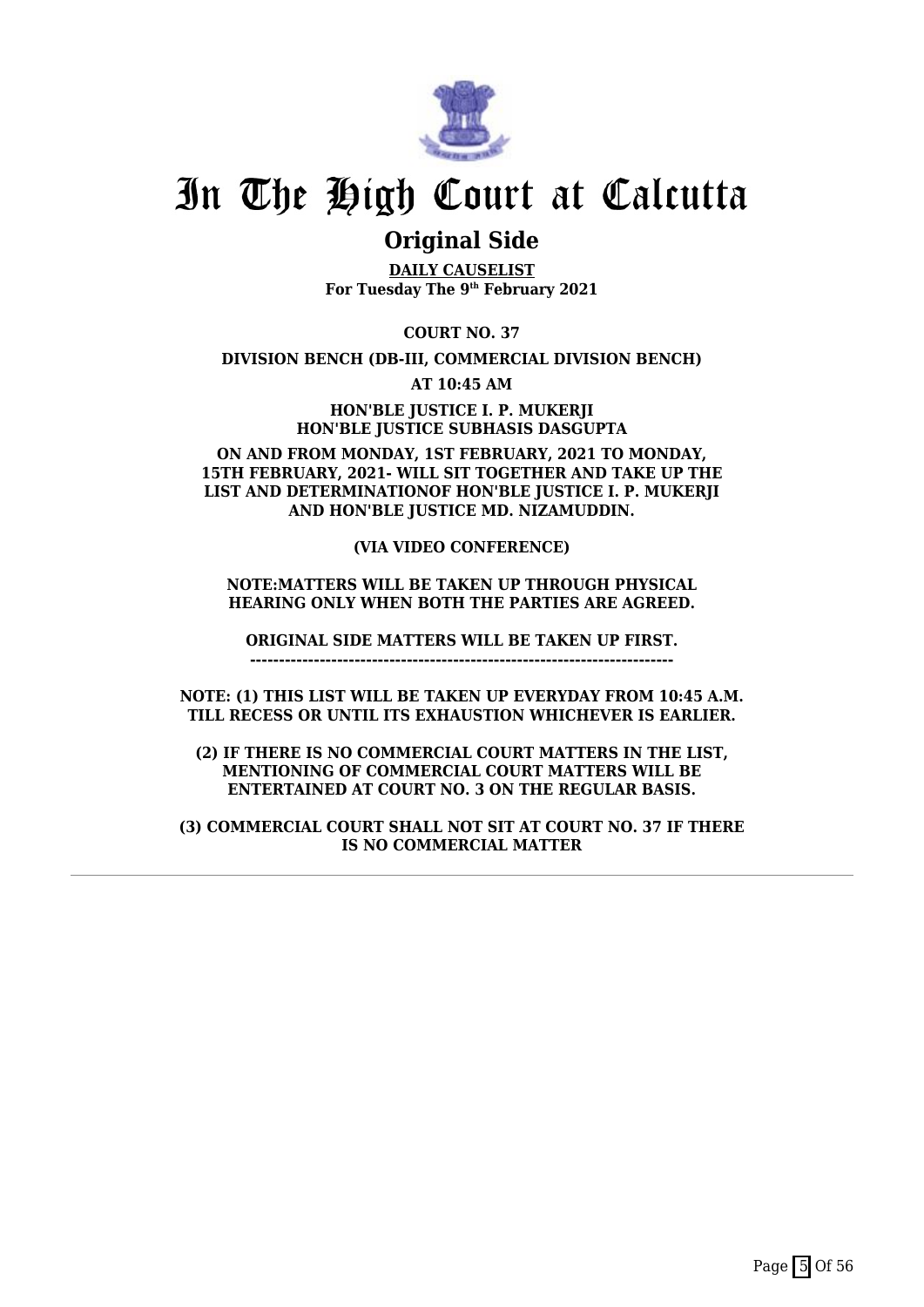

## **Original Side**

**DAILY CAUSELIST For Tuesday The 9th February 2021**

**COURT NO. 37**

**DIVISION BENCH (DB-III, COMMERCIAL DIVISION BENCH)**

**AT 10:45 AM**

**HON'BLE JUSTICE I. P. MUKERJI HON'BLE JUSTICE SUBHASIS DASGUPTA**

**ON AND FROM MONDAY, 1ST FEBRUARY, 2021 TO MONDAY, 15TH FEBRUARY, 2021- WILL SIT TOGETHER AND TAKE UP THE LIST AND DETERMINATIONOF HON'BLE JUSTICE I. P. MUKERJI AND HON'BLE JUSTICE MD. NIZAMUDDIN.**

#### **(VIA VIDEO CONFERENCE)**

#### **NOTE:MATTERS WILL BE TAKEN UP THROUGH PHYSICAL HEARING ONLY WHEN BOTH THE PARTIES ARE AGREED.**

**ORIGINAL SIDE MATTERS WILL BE TAKEN UP FIRST.**

**-------------------------------------------------------------------------**

**NOTE: (1) THIS LIST WILL BE TAKEN UP EVERYDAY FROM 10:45 A.M. TILL RECESS OR UNTIL ITS EXHAUSTION WHICHEVER IS EARLIER.**

**(2) IF THERE IS NO COMMERCIAL COURT MATTERS IN THE LIST, MENTIONING OF COMMERCIAL COURT MATTERS WILL BE ENTERTAINED AT COURT NO. 3 ON THE REGULAR BASIS.**

**(3) COMMERCIAL COURT SHALL NOT SIT AT COURT NO. 37 IF THERE IS NO COMMERCIAL MATTER**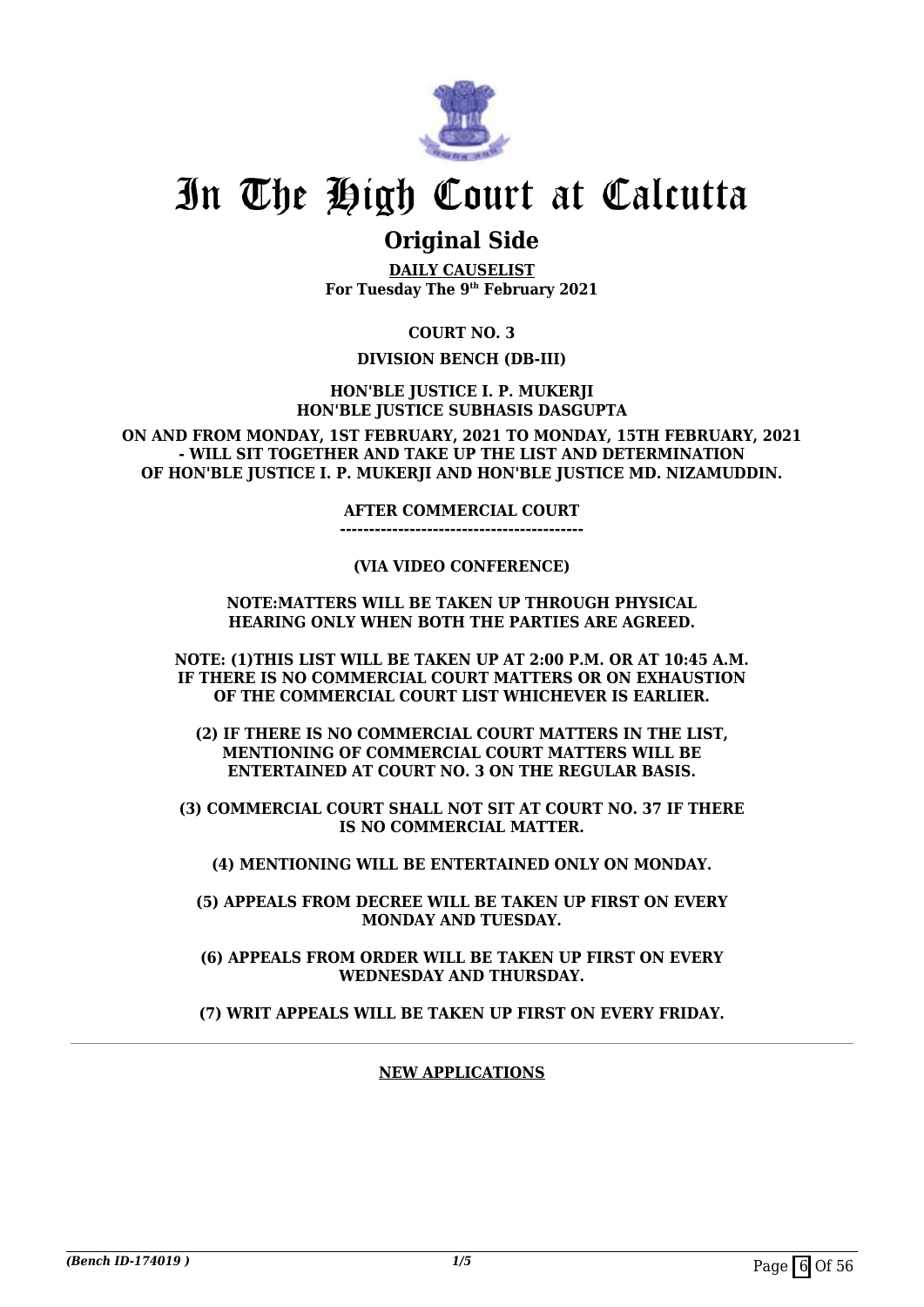

## **Original Side**

**DAILY CAUSELIST For Tuesday The 9th February 2021**

**COURT NO. 3**

#### **DIVISION BENCH (DB-III)**

**HON'BLE JUSTICE I. P. MUKERJI HON'BLE JUSTICE SUBHASIS DASGUPTA**

**ON AND FROM MONDAY, 1ST FEBRUARY, 2021 TO MONDAY, 15TH FEBRUARY, 2021 - WILL SIT TOGETHER AND TAKE UP THE LIST AND DETERMINATION OF HON'BLE JUSTICE I. P. MUKERJI AND HON'BLE JUSTICE MD. NIZAMUDDIN.**

**AFTER COMMERCIAL COURT**

**------------------------------------------**

#### **(VIA VIDEO CONFERENCE)**

#### **NOTE:MATTERS WILL BE TAKEN UP THROUGH PHYSICAL HEARING ONLY WHEN BOTH THE PARTIES ARE AGREED.**

**NOTE: (1)THIS LIST WILL BE TAKEN UP AT 2:00 P.M. OR AT 10:45 A.M. IF THERE IS NO COMMERCIAL COURT MATTERS OR ON EXHAUSTION OF THE COMMERCIAL COURT LIST WHICHEVER IS EARLIER.**

**(2) IF THERE IS NO COMMERCIAL COURT MATTERS IN THE LIST, MENTIONING OF COMMERCIAL COURT MATTERS WILL BE ENTERTAINED AT COURT NO. 3 ON THE REGULAR BASIS.**

**(3) COMMERCIAL COURT SHALL NOT SIT AT COURT NO. 37 IF THERE IS NO COMMERCIAL MATTER.**

**(4) MENTIONING WILL BE ENTERTAINED ONLY ON MONDAY.**

**(5) APPEALS FROM DECREE WILL BE TAKEN UP FIRST ON EVERY MONDAY AND TUESDAY.**

**(6) APPEALS FROM ORDER WILL BE TAKEN UP FIRST ON EVERY WEDNESDAY AND THURSDAY.**

**(7) WRIT APPEALS WILL BE TAKEN UP FIRST ON EVERY FRIDAY.**

**NEW APPLICATIONS**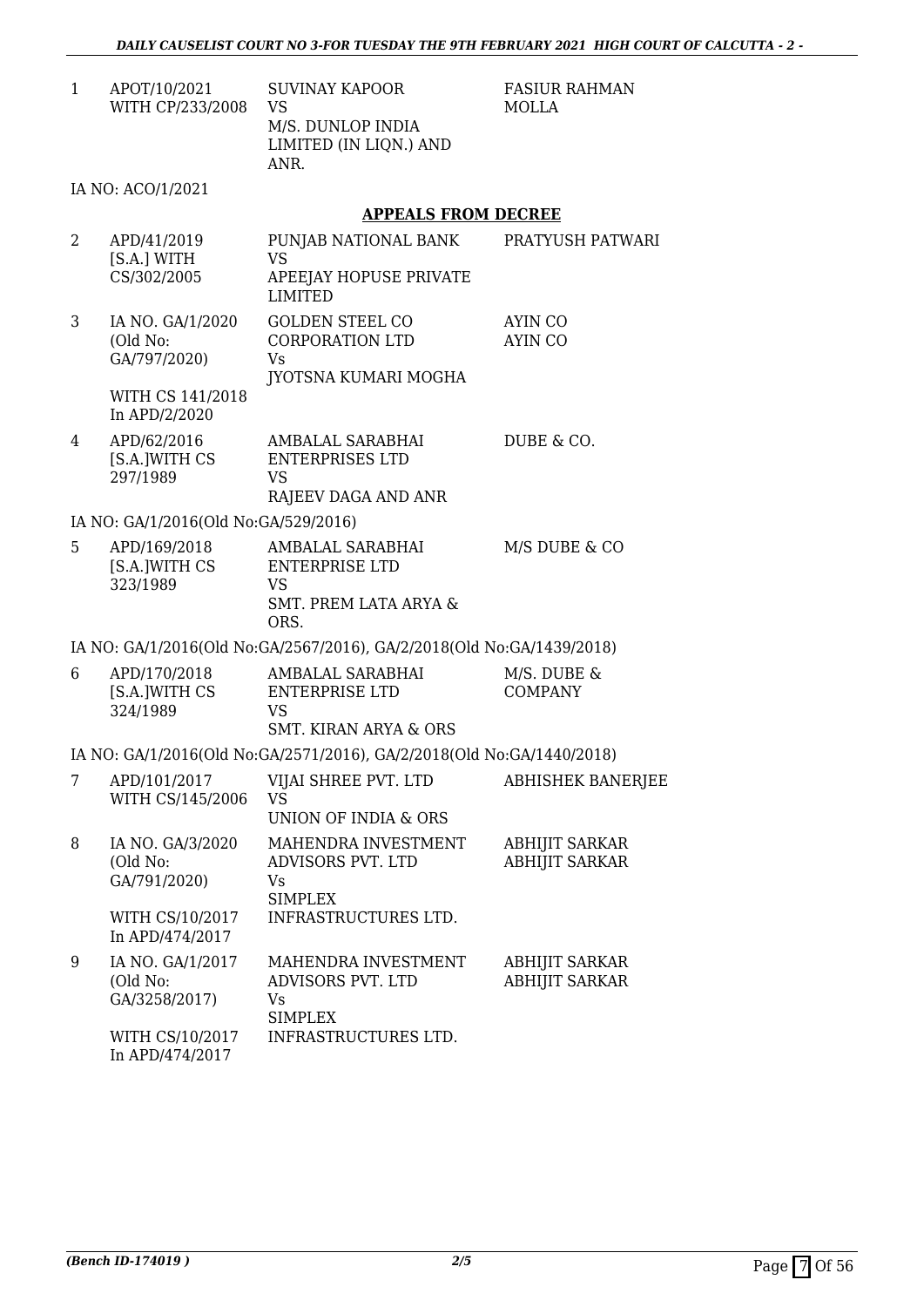1 APOT/10/2021 WITH CP/233/2008 SUVINAY KAPOOR VS M/S. DUNLOP INDIA LIMITED (IN LIQN.) AND ANR.

FASIUR RAHMAN MOLLA

#### IA NO: ACO/1/2021

#### **APPEALS FROM DECREE**

| $\overline{2}$ | APD/41/2019<br>[S.A.] WITH<br>CS/302/2005     | PUNJAB NATIONAL BANK<br><b>VS</b><br>APEEJAY HOPUSE PRIVATE<br><b>LIMITED</b>                      | PRATYUSH PATWARI                               |
|----------------|-----------------------------------------------|----------------------------------------------------------------------------------------------------|------------------------------------------------|
| 3              | IA NO. GA/1/2020<br>(Old No:<br>GA/797/2020)  | <b>GOLDEN STEEL CO</b><br><b>CORPORATION LTD</b><br>Vs<br>JYOTSNA KUMARI MOGHA                     | <b>AYIN CO</b><br><b>AYIN CO</b>               |
|                | WITH CS 141/2018<br>In APD/2/2020             |                                                                                                    |                                                |
| 4              | APD/62/2016<br>[S.A.]WITH CS<br>297/1989      | AMBALAL SARABHAI<br><b>ENTERPRISES LTD</b><br>VS<br>RAJEEV DAGA AND ANR                            | DUBE & CO.                                     |
|                | IA NO: GA/1/2016(Old No:GA/529/2016)          |                                                                                                    |                                                |
| 5              | APD/169/2018<br>[S.A.]WITH CS<br>323/1989     | AMBALAL SARABHAI<br><b>ENTERPRISE LTD</b><br><b>VS</b><br><b>SMT. PREM LATA ARYA &amp;</b><br>ORS. | M/S DUBE & CO                                  |
|                |                                               | IA NO: GA/1/2016(Old No:GA/2567/2016), GA/2/2018(Old No:GA/1439/2018)                              |                                                |
| 6              | APD/170/2018<br>[S.A.]WITH CS<br>324/1989     | AMBALAL SARABHAI<br><b>ENTERPRISE LTD</b><br><b>VS</b><br><b>SMT. KIRAN ARYA &amp; ORS</b>         | M/S. DUBE &<br><b>COMPANY</b>                  |
|                |                                               | IA NO: GA/1/2016(Old No:GA/2571/2016), GA/2/2018(Old No:GA/1440/2018)                              |                                                |
| 7              | APD/101/2017<br>WITH CS/145/2006              | VIJAI SHREE PVT. LTD<br><b>VS</b><br>UNION OF INDIA & ORS                                          | <b>ABHISHEK BANERJEE</b>                       |
| 8              | IA NO. GA/3/2020<br>(Old No:<br>GA/791/2020)  | MAHENDRA INVESTMENT<br>ADVISORS PVT. LTD<br>Vs<br><b>SIMPLEX</b>                                   | <b>ABHIJIT SARKAR</b><br><b>ABHIJIT SARKAR</b> |
|                | WITH CS/10/2017<br>In APD/474/2017            | <b>INFRASTRUCTURES LTD</b>                                                                         |                                                |
| 9              | IA NO. GA/1/2017<br>(Old No:<br>GA/3258/2017) | MAHENDRA INVESTMENT<br>ADVISORS PVT. LTD<br>Vs<br><b>SIMPLEX</b>                                   | <b>ABHIJIT SARKAR</b><br><b>ABHIJIT SARKAR</b> |
|                | WITH CS/10/2017<br>In APD/474/2017            | INFRASTRUCTURES LTD.                                                                               |                                                |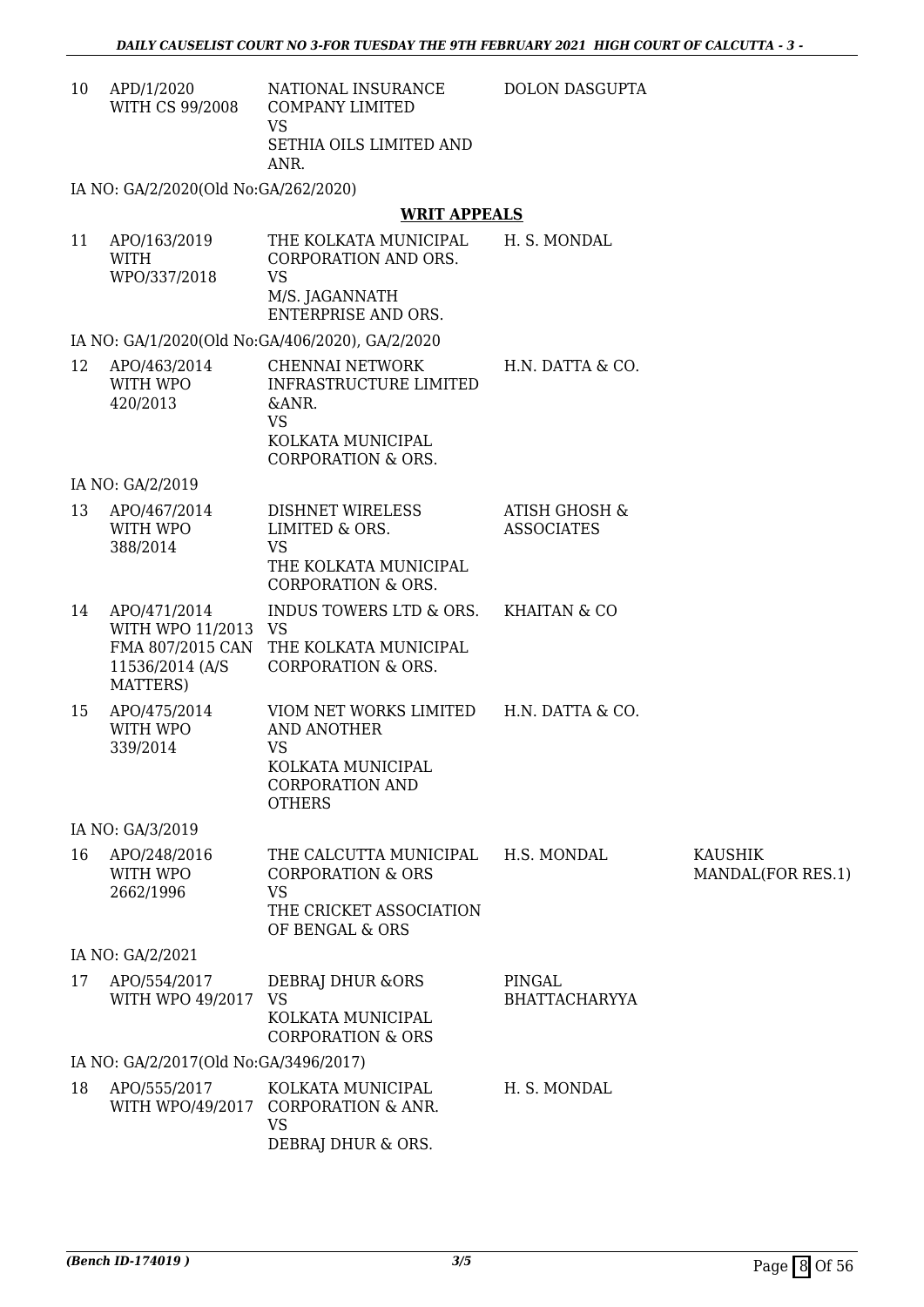DOLON DASGUPTA

10 APD/1/2020 WITH CS 99/2008 NATIONAL INSURANCE COMPANY LIMITED VS SETHIA OILS LIMITED AND ANR.

IA NO: GA/2/2020(Old No:GA/262/2020)

#### **WRIT APPEALS**

11 APO/163/2019 WITH WPO/337/2018 THE KOLKATA MUNICIPAL CORPORATION AND ORS. VS M/S. JAGANNATH ENTERPRISE AND ORS. H. S. MONDAL

IA NO: GA/1/2020(Old No:GA/406/2020), GA/2/2020

| 12 | APO/463/2014<br>WITH WPO | CHENNAI NETWORK<br>INFRASTRUCTURE LIMITED | H.N. DATTA & CO. |
|----|--------------------------|-------------------------------------------|------------------|
|    | 420/2013                 | $\&$ ANR.                                 |                  |
|    |                          | VS                                        |                  |
|    |                          | KOLKATA MUNICIPAL                         |                  |
|    |                          | CORPORATION & ORS.                        |                  |

IA NO: GA/2/2019

| 13 | APO/467/2014 | DISHNET WIRELESS      | ATISH GHOSH &     |  |
|----|--------------|-----------------------|-------------------|--|
|    | WITH WPO     | LIMITED & ORS.        | <b>ASSOCIATES</b> |  |
|    | 388/2014     | VS                    |                   |  |
|    |              | THE KOLKATA MUNICIPAL |                   |  |
|    |              | CORPORATION & ORS.    |                   |  |

- 14 APO/471/2014 WITH WPO 11/2013 VS FMA 807/2015 CAN 11536/2014 (A/S MATTERS) INDUS TOWERS LTD & ORS. THE KOLKATA MUNICIPAL CORPORATION & ORS. KHAITAN & CO
- 15 APO/475/2014 WITH WPO 339/2014 VIOM NET WORKS LIMITED AND ANOTHER VS KOLKATA MUNICIPAL CORPORATION AND H.N. DATTA & CO.

**OTHERS** 

IA NO: GA/3/2019

16 APO/248/2016 WITH WPO 2662/1996 THE CALCUTTA MUNICIPAL CORPORATION & ORS VS THE CRICKET ASSOCIATION OF BENGAL & ORS H.S. MONDAL KAUSHIK MANDAL(FOR RES.1)

IA NO: GA/2/2021

| 17 | APO/554/2017<br>WITH WPO 49/2017      | <b>DEBRAI DHUR &amp;ORS</b><br>- VS<br>KOLKATA MUNICIPAL       | PINGAL<br><b>BHATTACHARYYA</b> |
|----|---------------------------------------|----------------------------------------------------------------|--------------------------------|
|    |                                       | <b>CORPORATION &amp; ORS</b>                                   |                                |
|    | IA NO: GA/2/2017(Old No:GA/3496/2017) |                                                                |                                |
| 18 | APO/555/2017                          | KOLKATA MUNICIPAL<br>WITH WPO/49/2017 CORPORATION & ANR.<br>VS | H. S. MONDAL                   |

DEBRAJ DHUR & ORS.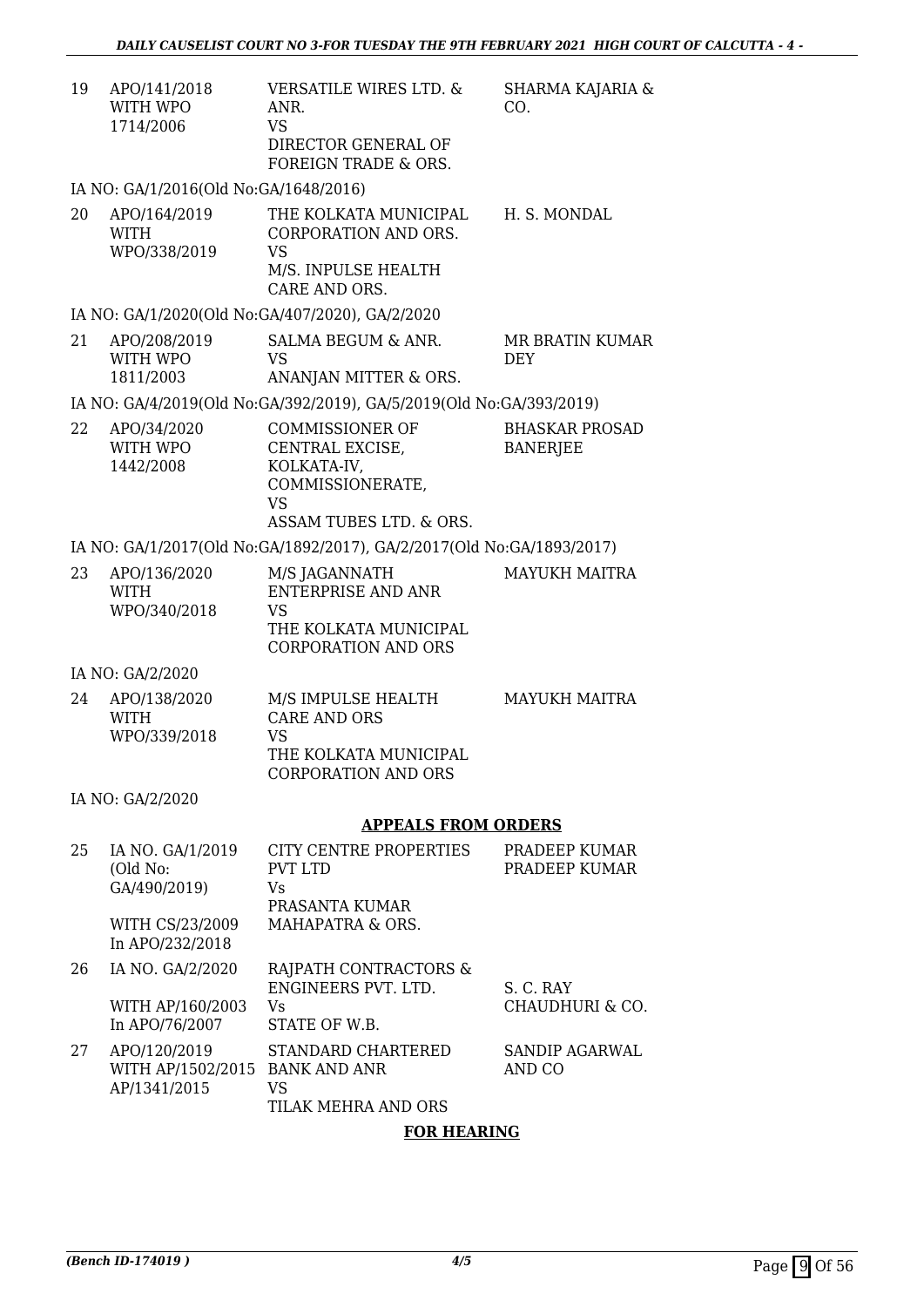SHARMA KAJARIA &

CO.

| 19 | APO/141/2018 | VERSATILE WIRES LTD. & |
|----|--------------|------------------------|
|    | WITH WPO     | ANR.                   |
|    | 1714/2006    | VS.                    |
|    |              | DIRECTOR GENERAL OF    |
|    |              | FOREIGN TRADE & ORS.   |

IA NO: GA/1/2016(Old No:GA/1648/2016)

| 20 | APO/164/2019<br><b>WITH</b><br>WPO/338/2019 | THE KOLKATA MUNICIPAL.<br>CORPORATION AND ORS.<br>VS | H. S. MONDAL |
|----|---------------------------------------------|------------------------------------------------------|--------------|
|    |                                             | M/S. INPULSE HEALTH                                  |              |
|    |                                             | CARE AND ORS.                                        |              |

IA NO: GA/1/2020(Old No:GA/407/2020), GA/2/2020

| 21 | APO/208/2019 | SALMA BEGUM & ANR.    | MR BRATIN KUMAR |
|----|--------------|-----------------------|-----------------|
|    | WITH WPO     | VS.                   | <b>DEY</b>      |
|    | 1811/2003    | ANANJAN MITTER & ORS. |                 |

IA NO: GA/4/2019(Old No:GA/392/2019), GA/5/2019(Old No:GA/393/2019)

| 22 | APO/34/2020 | COMMISSIONER OF         | <b>BHASKAR PROSAD</b> |
|----|-------------|-------------------------|-----------------------|
|    | WITH WPO    | CENTRAL EXCISE.         | BANERJEE              |
|    | 1442/2008   | KOLKATA-IV.             |                       |
|    |             | COMMISSIONERATE.        |                       |
|    |             | VS                      |                       |
|    |             | ASSAM TUBES LTD. & ORS. |                       |

IA NO: GA/1/2017(Old No:GA/1892/2017), GA/2/2017(Old No:GA/1893/2017)

| 23 | APO/136/2020 | M/S JAGANNATH         | MAYUKH MAITRA |
|----|--------------|-----------------------|---------------|
|    | <b>WITH</b>  | ENTERPRISE AND ANR    |               |
|    | WPO/340/2018 | VS.                   |               |
|    |              | THE KOLKATA MUNICIPAL |               |
|    |              | CORPORATION AND ORS   |               |

IA NO: GA/2/2020

| <b>MAYUKH MAITRA</b> |
|----------------------|
|                      |
|                      |
|                      |
|                      |
|                      |

IA NO: GA/2/2020

#### **APPEALS FROM ORDERS**

| 25 | IA NO. GA/1/2019<br>(Old No:                           | CITY CENTRE PROPERTIES<br>PVT LTD                                      | PRADEEP KUMAR<br>PRADEEP KUMAR  |
|----|--------------------------------------------------------|------------------------------------------------------------------------|---------------------------------|
|    | GA/490/2019)                                           | Vs<br>PRASANTA KUMAR                                                   |                                 |
|    | WITH CS/23/2009<br>In APO/232/2018                     | MAHAPATRA & ORS.                                                       |                                 |
| 26 | IA NO. GA/2/2020<br>WITH AP/160/2003<br>In APO/76/2007 | RAJPATH CONTRACTORS &<br>ENGINEERS PVT. LTD.<br>Vs<br>STATE OF W.B.    | S. C. RAY<br>CHAUDHURI & CO.    |
| 27 | APO/120/2019<br>WITH AP/1502/2015<br>AP/1341/2015      | STANDARD CHARTERED<br><b>BANK AND ANR</b><br>VS<br>TILAK MEHRA AND ORS | <b>SANDIP AGARWAL</b><br>AND CO |

#### **FOR HEARING**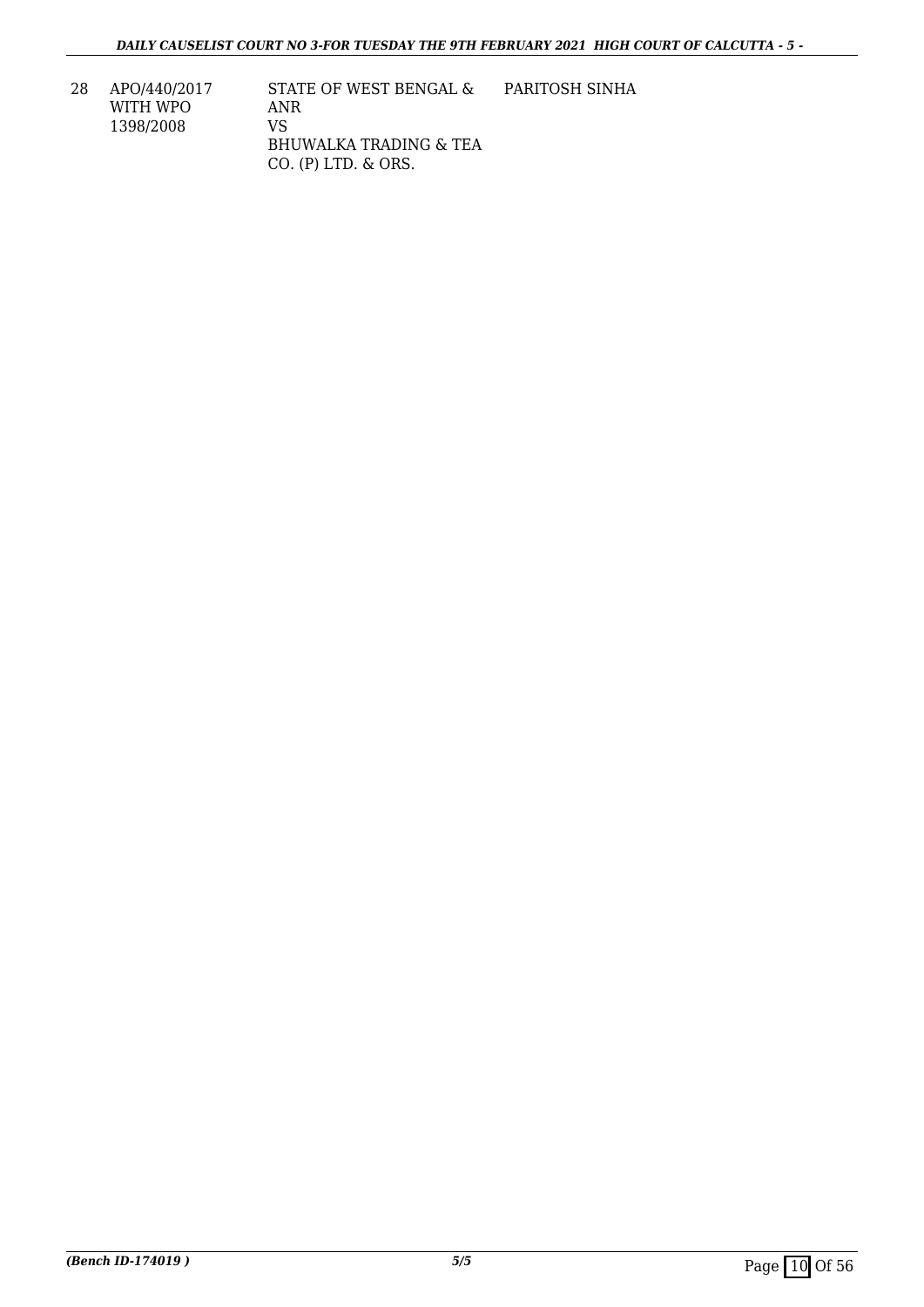28 APO/440/2017 WITH WPO 1398/2008

STATE OF WEST BENGAL & ANR VS BHUWALKA TRADING & TEA CO. (P) LTD. & ORS. PARITOSH SINHA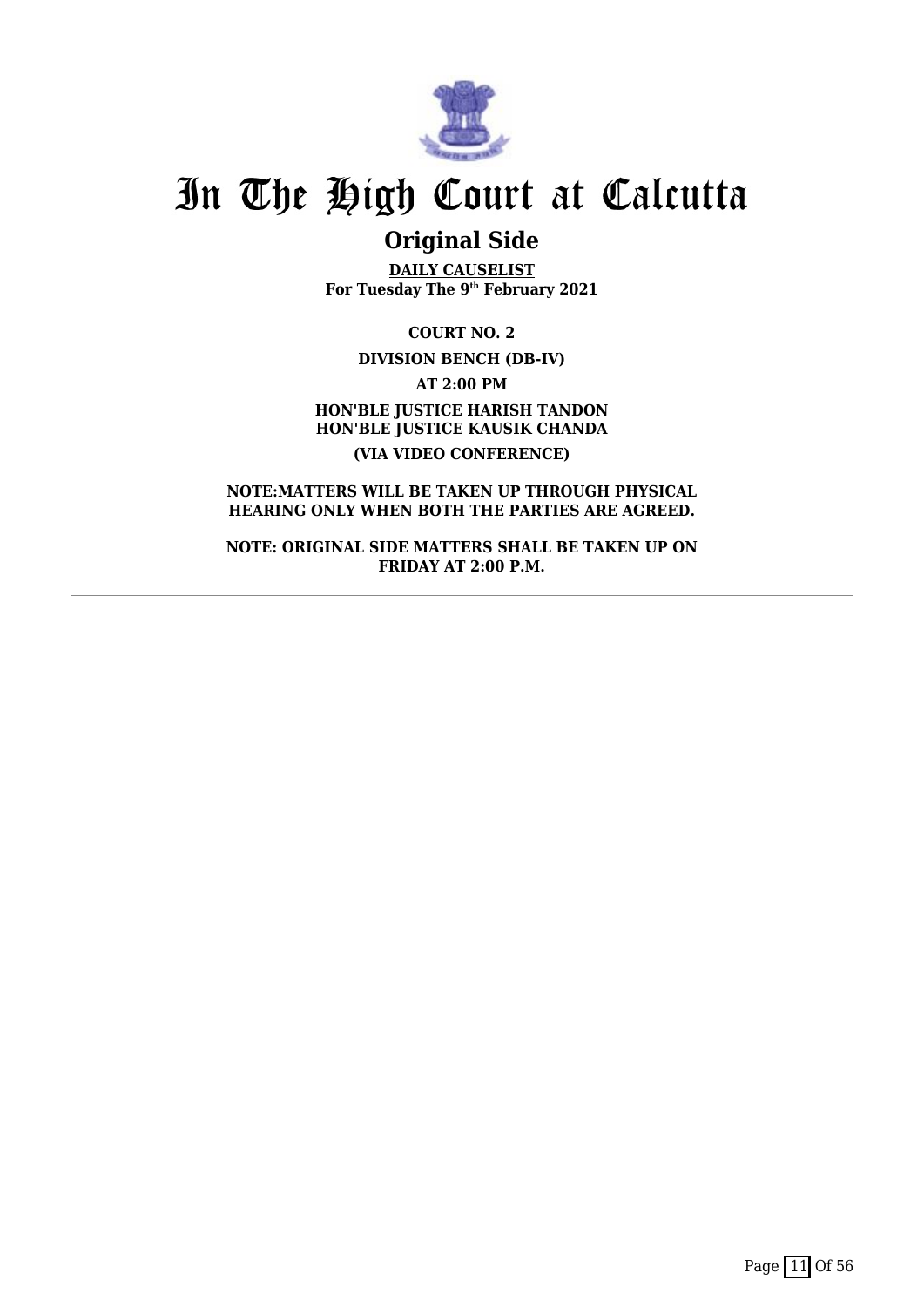

## **Original Side**

**DAILY CAUSELIST For Tuesday The 9th February 2021**

**COURT NO. 2 DIVISION BENCH (DB-IV) AT 2:00 PM HON'BLE JUSTICE HARISH TANDON HON'BLE JUSTICE KAUSIK CHANDA (VIA VIDEO CONFERENCE)**

**NOTE:MATTERS WILL BE TAKEN UP THROUGH PHYSICAL HEARING ONLY WHEN BOTH THE PARTIES ARE AGREED.**

**NOTE: ORIGINAL SIDE MATTERS SHALL BE TAKEN UP ON FRIDAY AT 2:00 P.M.**

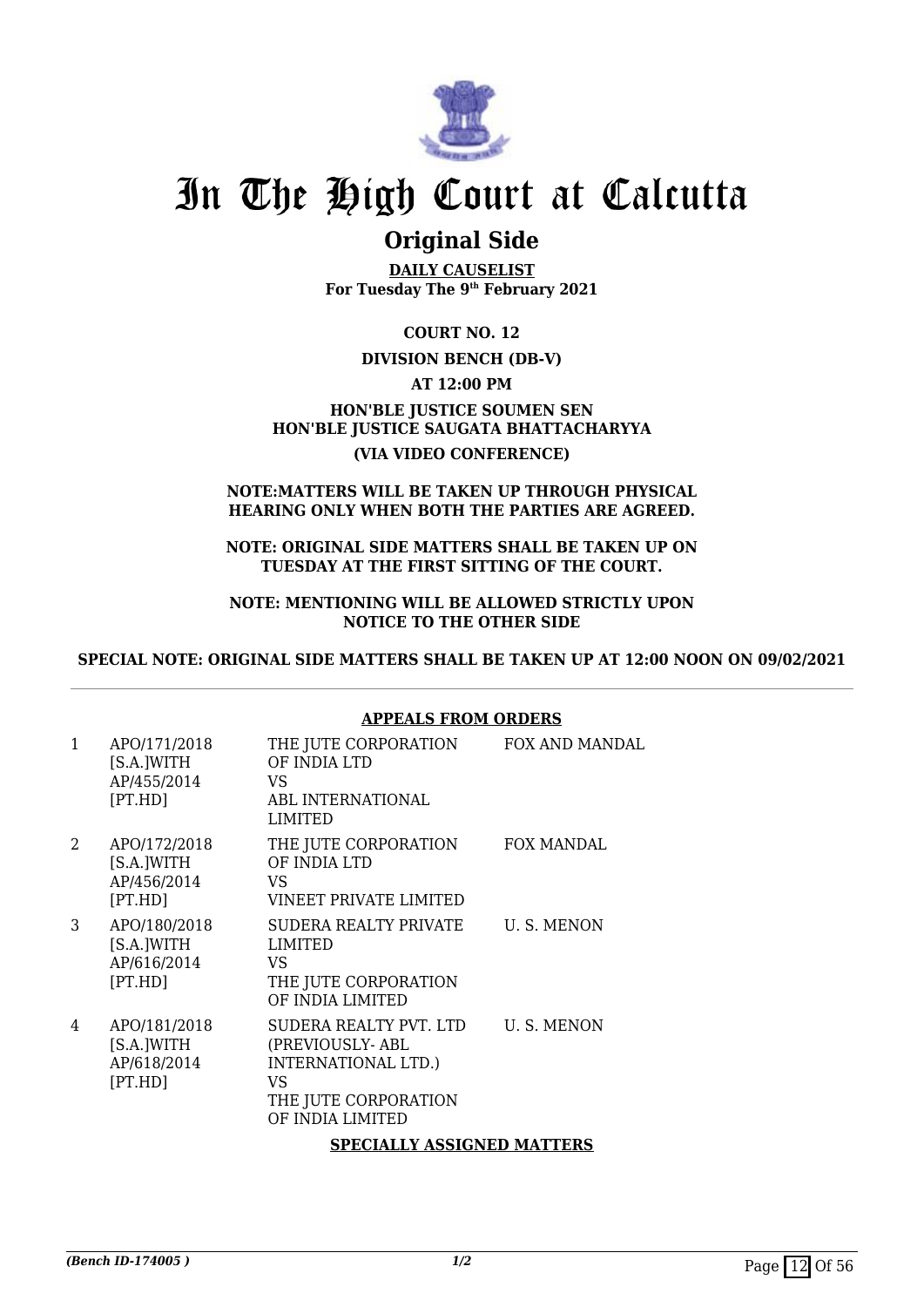

## **Original Side**

**DAILY CAUSELIST For Tuesday The 9th February 2021**

**COURT NO. 12**

#### **DIVISION BENCH (DB-V)**

**AT 12:00 PM**

#### **HON'BLE JUSTICE SOUMEN SEN HON'BLE JUSTICE SAUGATA BHATTACHARYYA (VIA VIDEO CONFERENCE)**

#### **NOTE:MATTERS WILL BE TAKEN UP THROUGH PHYSICAL HEARING ONLY WHEN BOTH THE PARTIES ARE AGREED.**

**NOTE: ORIGINAL SIDE MATTERS SHALL BE TAKEN UP ON TUESDAY AT THE FIRST SITTING OF THE COURT.**

#### **NOTE: MENTIONING WILL BE ALLOWED STRICTLY UPON NOTICE TO THE OTHER SIDE**

**SPECIAL NOTE: ORIGINAL SIDE MATTERS SHALL BE TAKEN UP AT 12:00 NOON ON 09/02/2021**

#### **APPEALS FROM ORDERS**

| $\mathbf{1}$ | APO/171/2018<br>[S.A.]WITH<br>AP/455/2014<br>[PT.HD] | THE JUTE CORPORATION<br>OF INDIA LTD<br>VS.<br>ABL INTERNATIONAL<br>LIMITED                                        | FOX AND MANDAL |
|--------------|------------------------------------------------------|--------------------------------------------------------------------------------------------------------------------|----------------|
| $\mathbf{2}$ | APO/172/2018<br>[S.A.]WITH<br>AP/456/2014<br>[PT.HD] | THE JUTE CORPORATION<br>OF INDIA LTD<br>VS<br>VINEET PRIVATE LIMITED                                               | FOX MANDAL     |
| 3            | APO/180/2018<br>[S.A.]WITH<br>AP/616/2014<br>[PT.HD] | SUDERA REALTY PRIVATE<br>LIMITED<br>VS.<br>THE JUTE CORPORATION<br>OF INDIA LIMITED                                | U.S. MENON     |
| 4            | APO/181/2018<br>[S.A.]WITH<br>AP/618/2014<br>[PT.HD] | SUDERA REALTY PVT. LTD<br>(PREVIOUSLY-ABL<br>INTERNATIONAL LTD.)<br>VS<br>THE JUTE CORPORATION<br>OF INDIA LIMITED | U. S. MENON    |
|              |                                                      | <b>SPECIALLY ASSIGNED MATTERS</b>                                                                                  |                |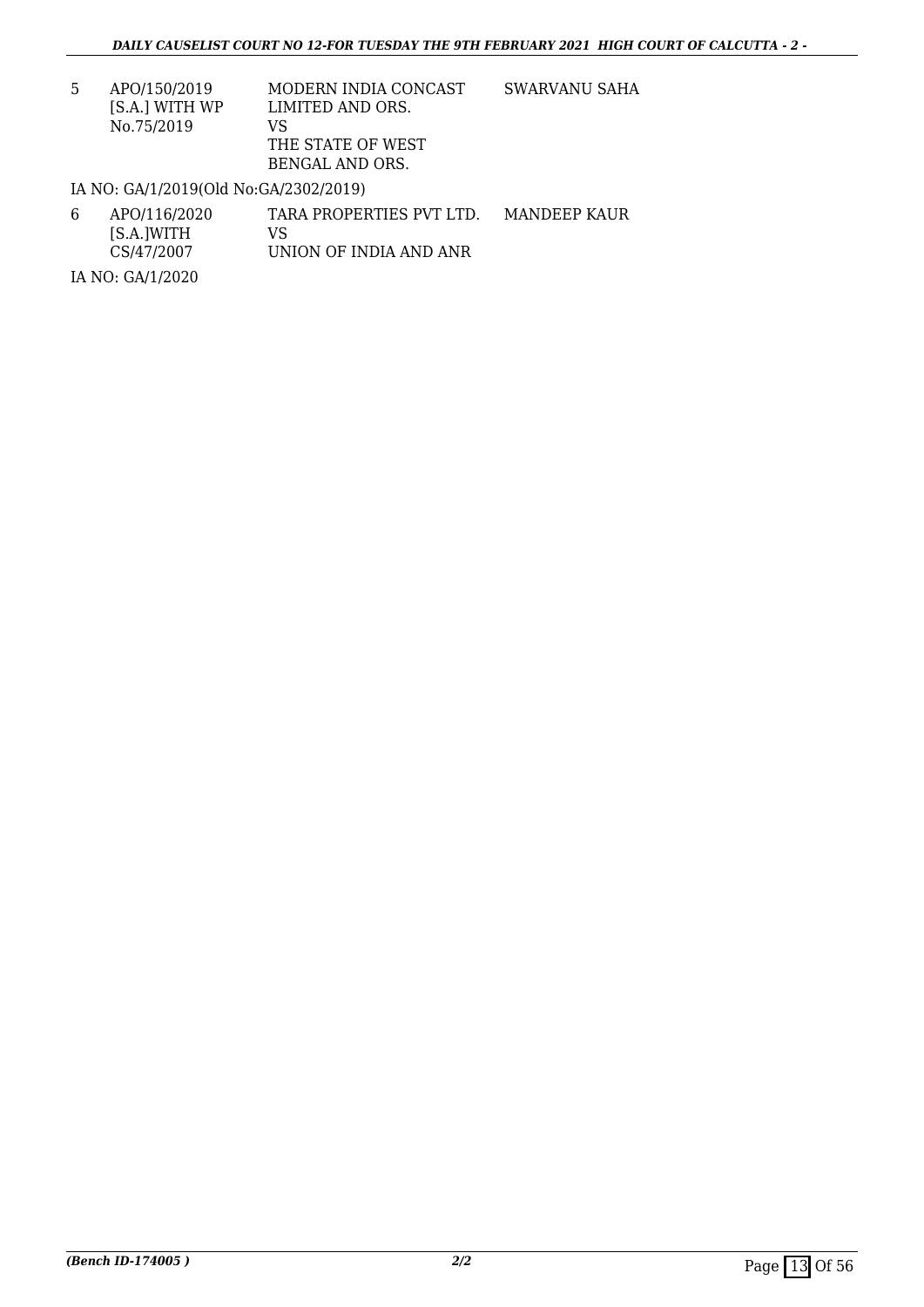| 5. | APO/150/2019   | MODERN INDIA CONCAST | SWARVANU SAHA |
|----|----------------|----------------------|---------------|
|    | IS.A.I WITH WP | LIMITED AND ORS.     |               |
|    | No.75/2019     | VS.                  |               |
|    |                | THE STATE OF WEST    |               |
|    |                | BENGAL AND ORS.      |               |

IA NO: GA/1/2019(Old No:GA/2302/2019)

| 6 | APO/116/2020 | TARA PROPERTIES PVT LTD. | MANDEEP KAUR |
|---|--------------|--------------------------|--------------|
|   | [S.A.]WITH   | VS.                      |              |
|   | CS/47/2007   | UNION OF INDIA AND ANR   |              |

IA NO: GA/1/2020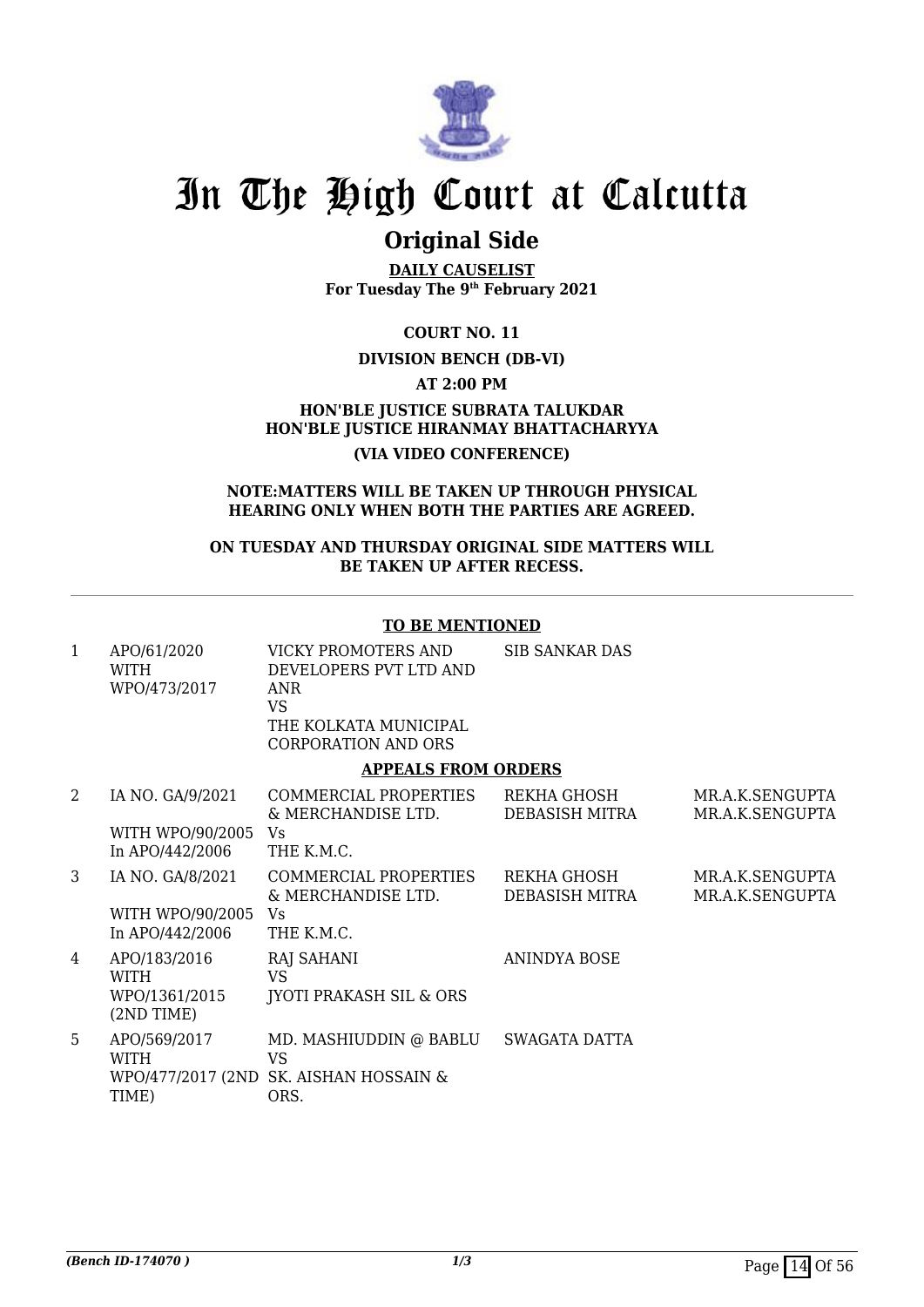

## **Original Side**

**DAILY CAUSELIST For Tuesday The 9th February 2021**

**COURT NO. 11**

#### **DIVISION BENCH (DB-VI)**

**AT 2:00 PM**

**HON'BLE JUSTICE SUBRATA TALUKDAR HON'BLE JUSTICE HIRANMAY BHATTACHARYYA (VIA VIDEO CONFERENCE)**

#### **NOTE:MATTERS WILL BE TAKEN UP THROUGH PHYSICAL HEARING ONLY WHEN BOTH THE PARTIES ARE AGREED.**

**ON TUESDAY AND THURSDAY ORIGINAL SIDE MATTERS WILL BE TAKEN UP AFTER RECESS.**

#### **TO BE MENTIONED**

| APO/61/2020<br><b>WITH</b><br>WPO/473/2017 | VICKY PROMOTERS AND<br>DEVELOPERS PVT LTD AND<br>ANR<br>VS<br>THE KOLKATA MUNICIPAL<br>CORPORATION AND ORS | SIB SANKAR DAS |      |
|--------------------------------------------|------------------------------------------------------------------------------------------------------------|----------------|------|
|                                            | <b>APPEALS FROM ORDERS</b>                                                                                 |                |      |
| IA NO. GA/9/2021                           | COMMERCIAL PROPERTIES                                                                                      | REKHA GHOSH    | MR A |

| ∠  | IA INU. UAI 314041<br>WITH WPO/90/2005<br>In APO/442/2006 | <u>UURINI INJALEINJELIN LILO</u><br>& MERCHANDISE LTD.<br>Vs.<br>THE K.M.C.    | INENTIA VIHVALL<br>DEBASISH MITRA | $\mathsf{N} \mathsf{I} \mathsf{N} \mathsf{I} \mathsf{N} \mathsf{I} \mathsf{N} \mathsf{I} \mathsf{N} \mathsf{I} \mathsf{N} \mathsf{I} \mathsf{N} \mathsf{I} \mathsf{I} \mathsf{N} \mathsf{I} \mathsf{N}$<br>MR.A.K.SENGUPTA |
|----|-----------------------------------------------------------|--------------------------------------------------------------------------------|-----------------------------------|----------------------------------------------------------------------------------------------------------------------------------------------------------------------------------------------------------------------------|
| 3  | IA NO. GA/8/2021<br>WITH WPO/90/2005<br>In APO/442/2006   | COMMERCIAL PROPERTIES<br>& MERCHANDISE LTD.<br>Vs.<br>THE K.M.C.               | REKHA GHOSH<br>DEBASISH MITRA     | MR.A.K.SENGUPTA<br>MR.A.K.SENGUPTA                                                                                                                                                                                         |
| 4  | APO/183/2016<br>WITH<br>WPO/1361/2015<br>$(2ND$ TIME)     | RAJ SAHANI<br>VS<br><b>IYOTI PRAKASH SIL &amp; ORS</b>                         | ANINDYA BOSE                      |                                                                                                                                                                                                                            |
| 5. | APO/569/2017<br>WITH<br>TIME)                             | MD. MASHIUDDIN @ BABLU<br>VS<br>WPO/477/2017 (2ND SK. AISHAN HOSSAIN &<br>ORS. | SWAGATA DATTA                     |                                                                                                                                                                                                                            |

 $V$ CEMOUDTA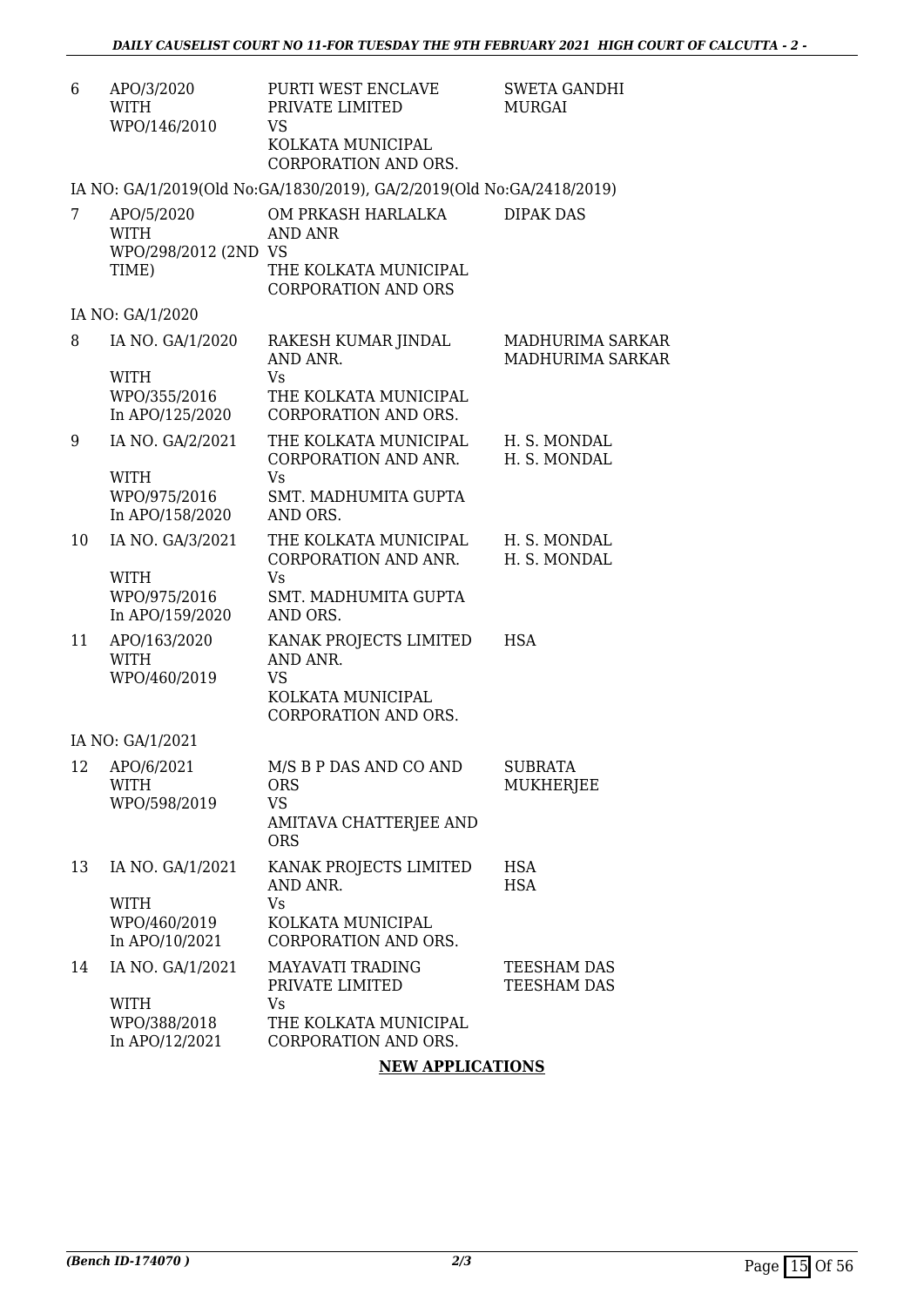| 6  | APO/3/2020<br><b>WITH</b><br>WPO/146/2010                  | PURTI WEST ENCLAVE<br>PRIVATE LIMITED<br><b>VS</b><br>KOLKATA MUNICIPAL<br>CORPORATION AND ORS.     | <b>SWETA GANDHI</b><br><b>MURGAI</b> |
|----|------------------------------------------------------------|-----------------------------------------------------------------------------------------------------|--------------------------------------|
|    |                                                            | IA NO: GA/1/2019(Old No:GA/1830/2019), GA/2/2019(Old No:GA/2418/2019)                               |                                      |
| 7  | APO/5/2020<br><b>WITH</b><br>WPO/298/2012 (2ND VS<br>TIME) | OM PRKASH HARLALKA<br>AND ANR<br>THE KOLKATA MUNICIPAL<br><b>CORPORATION AND ORS</b>                | <b>DIPAK DAS</b>                     |
|    | IA NO: GA/1/2020                                           |                                                                                                     |                                      |
| 8  | IA NO. GA/1/2020<br><b>WITH</b>                            | RAKESH KUMAR JINDAL<br>AND ANR.<br><b>Vs</b>                                                        | MADHURIMA SARKAR<br>MADHURIMA SARKAR |
|    | WPO/355/2016<br>In APO/125/2020                            | THE KOLKATA MUNICIPAL<br>CORPORATION AND ORS.                                                       |                                      |
| 9  | IA NO. GA/2/2021                                           | THE KOLKATA MUNICIPAL<br>CORPORATION AND ANR.                                                       | H. S. MONDAL<br>H. S. MONDAL         |
|    | <b>WITH</b><br>WPO/975/2016<br>In APO/158/2020             | <b>Vs</b><br>SMT. MADHUMITA GUPTA<br>AND ORS.                                                       |                                      |
| 10 | IA NO. GA/3/2021                                           | THE KOLKATA MUNICIPAL<br>CORPORATION AND ANR.                                                       | H. S. MONDAL<br>H. S. MONDAL         |
|    | <b>WITH</b><br>WPO/975/2016<br>In APO/159/2020             | <b>Vs</b><br>SMT. MADHUMITA GUPTA<br>AND ORS.                                                       |                                      |
| 11 | APO/163/2020<br><b>WITH</b><br>WPO/460/2019                | KANAK PROJECTS LIMITED<br>AND ANR.<br><b>VS</b><br>KOLKATA MUNICIPAL<br><b>CORPORATION AND ORS.</b> | <b>HSA</b>                           |
|    | IA NO: GA/1/2021                                           |                                                                                                     |                                      |
|    | 12 APO/6/2021<br>WITH<br>WPO/598/2019                      | M/S B P DAS AND CO AND<br><b>ORS</b><br><b>VS</b><br>AMITAVA CHATTERJEE AND<br><b>ORS</b>           | <b>SUBRATA</b><br>MUKHERJEE          |
| 13 | IA NO. GA/1/2021                                           | KANAK PROJECTS LIMITED<br>AND ANR.                                                                  | <b>HSA</b><br><b>HSA</b>             |
|    | <b>WITH</b><br>WPO/460/2019<br>In APO/10/2021              | Vs.<br>KOLKATA MUNICIPAL<br>CORPORATION AND ORS.                                                    |                                      |
| 14 | IA NO. GA/1/2021                                           | <b>MAYAVATI TRADING</b><br>PRIVATE LIMITED                                                          | TEESHAM DAS<br>TEESHAM DAS           |
|    | <b>WITH</b><br>WPO/388/2018<br>In APO/12/2021              | Vs<br>THE KOLKATA MUNICIPAL<br>CORPORATION AND ORS.                                                 |                                      |

#### **NEW APPLICATIONS**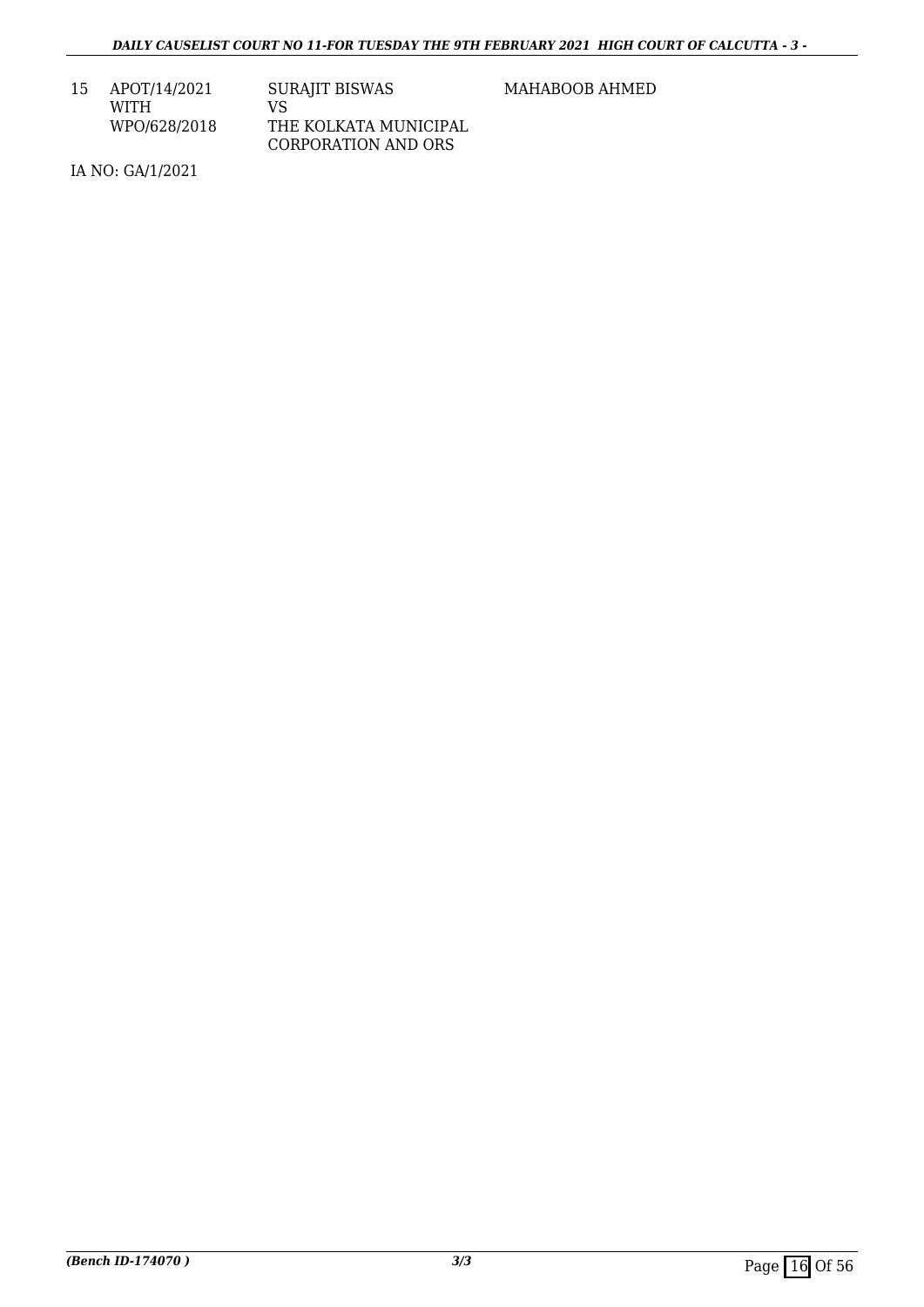| 15 | APOT/14/2021 | <b>SURAJIT BISWAS</b> |
|----|--------------|-----------------------|
|    | WITH         | VS.                   |
|    | WPO/628/2018 | THE KOLKATA MUNICIPAL |
|    |              | CORPORATION AND ORS   |

MAHABOOB AHMED

IA NO: GA/1/2021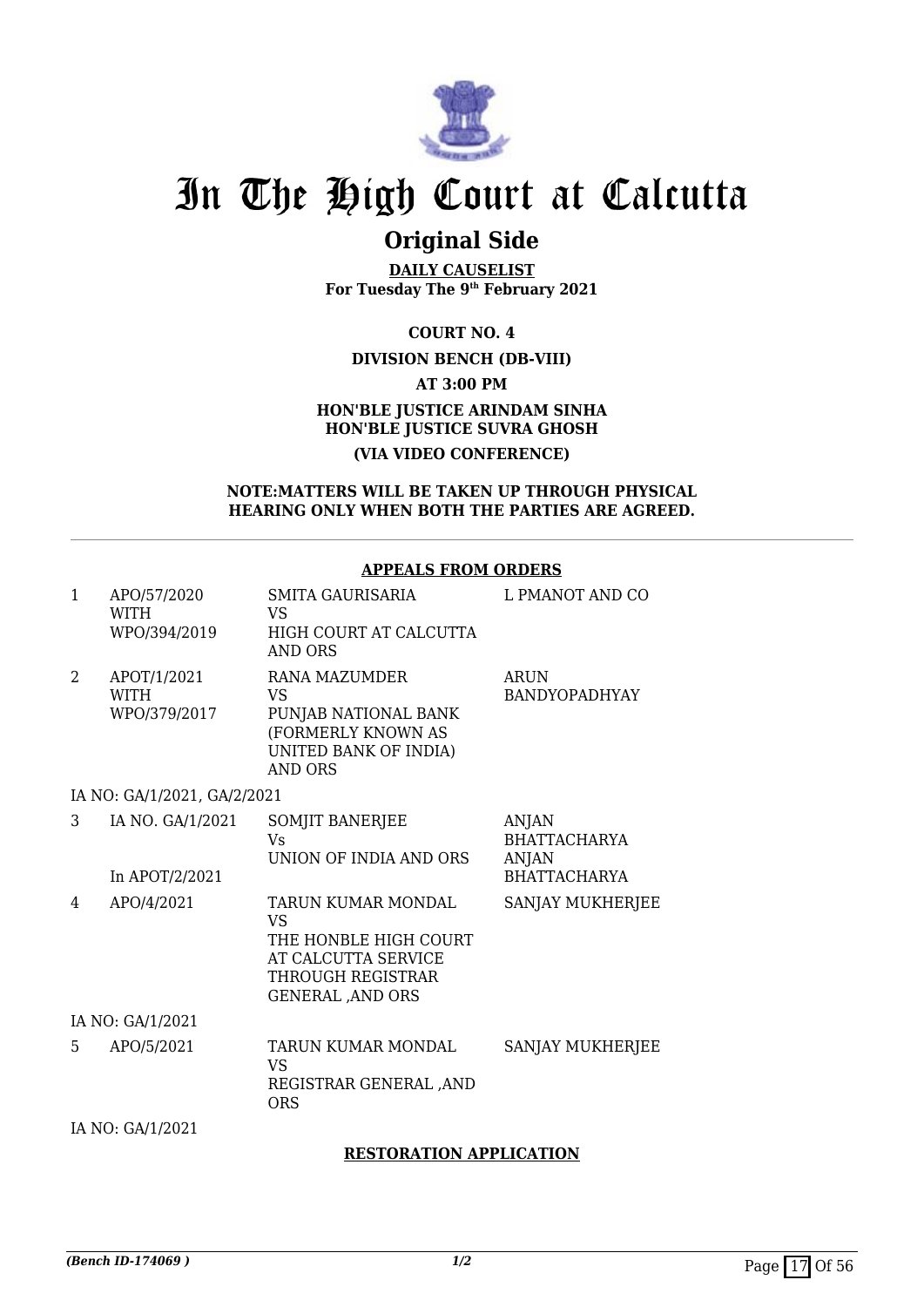

## **Original Side**

**DAILY CAUSELIST For Tuesday The 9th February 2021**

**COURT NO. 4**

#### **DIVISION BENCH (DB-VIII)**

**AT 3:00 PM**

#### **HON'BLE JUSTICE ARINDAM SINHA HON'BLE JUSTICE SUVRA GHOSH (VIA VIDEO CONFERENCE)**

#### **NOTE:MATTERS WILL BE TAKEN UP THROUGH PHYSICAL HEARING ONLY WHEN BOTH THE PARTIES ARE AGREED.**

#### **APPEALS FROM ORDERS**

| 1              | APO/57/2020<br><b>WITH</b>  | SMITA GAURISARIA<br>VS                     | L PMANOT AND CO      |
|----------------|-----------------------------|--------------------------------------------|----------------------|
|                | WPO/394/2019                | HIGH COURT AT CALCUTTA                     |                      |
|                |                             | AND ORS                                    |                      |
| $\overline{2}$ | APOT/1/2021                 | RANA MAZUMDER                              | <b>ARUN</b>          |
|                | <b>WITH</b>                 | VS                                         | <b>BANDYOPADHYAY</b> |
|                | WPO/379/2017                | PUNJAB NATIONAL BANK<br>(FORMERLY KNOWN AS |                      |
|                |                             | UNITED BANK OF INDIA)<br>AND ORS           |                      |
|                | IA NO: GA/1/2021, GA/2/2021 |                                            |                      |
| 3              | IA NO. GA/1/2021            | SOMJIT BANERJEE                            | ANJAN                |
|                |                             | <b>Vs</b>                                  | <b>BHATTACHARYA</b>  |
|                |                             | UNION OF INDIA AND ORS                     | ANJAN                |
|                | In APOT/2/2021              |                                            | <b>BHATTACHARYA</b>  |
| 4              | APO/4/2021                  | TARUN KUMAR MONDAL<br>VS                   | SANJAY MUKHERJEE     |
|                |                             | THE HONBLE HIGH COURT                      |                      |
|                |                             | AT CALCUTTA SERVICE                        |                      |
|                |                             | THROUGH REGISTRAR                          |                      |
|                |                             | <b>GENERAL, AND ORS</b>                    |                      |
|                | IA NO: GA/1/2021            |                                            |                      |
| 5              | APO/5/2021                  | TARUN KUMAR MONDAL<br>VS                   | SANJAY MUKHERJEE     |
|                |                             | REGISTRAR GENERAL ,AND<br><b>ORS</b>       |                      |
|                |                             |                                            |                      |

IA NO: GA/1/2021

#### **RESTORATION APPLICATION**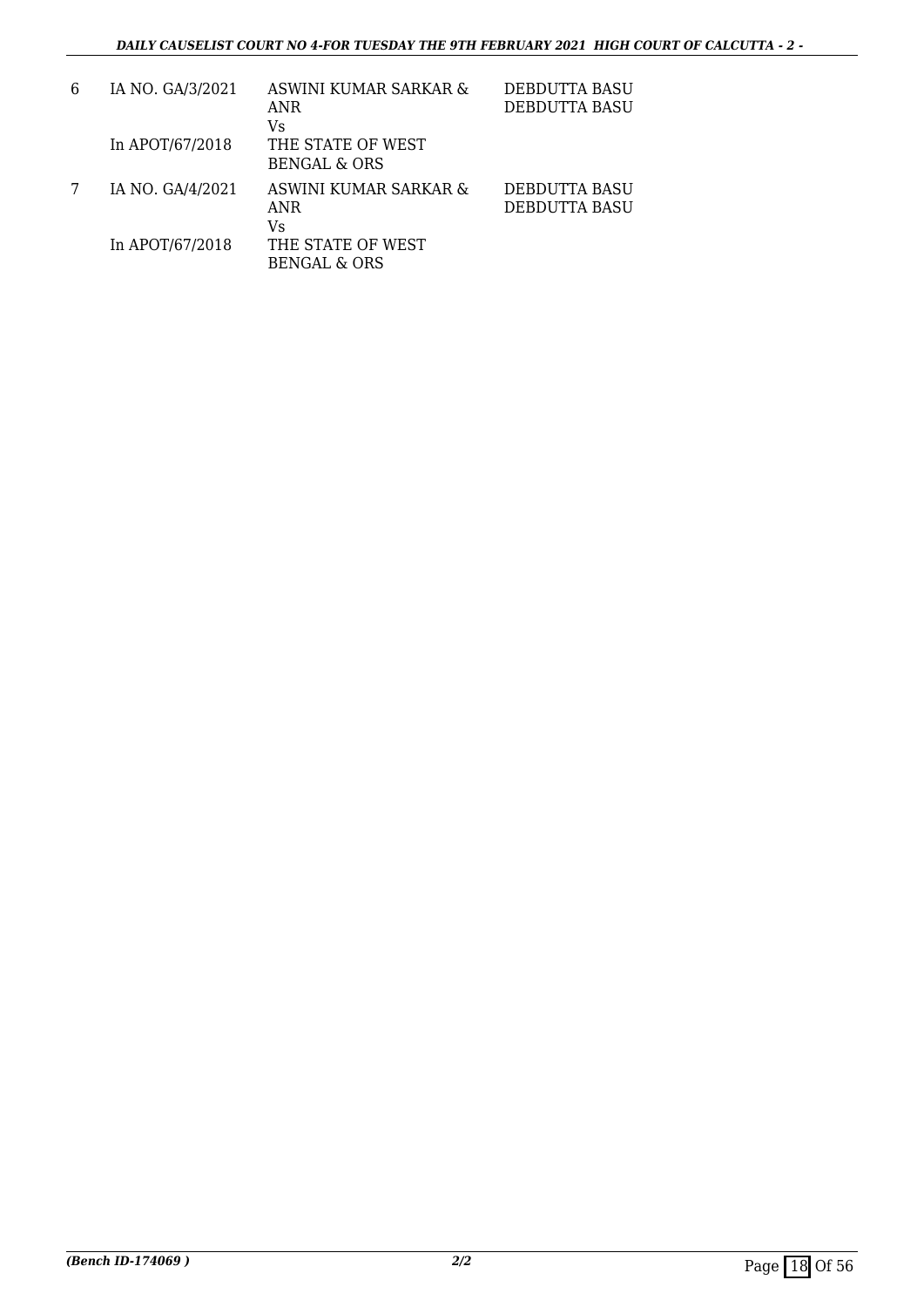| 6 | IA NO. GA/3/2021 | ASWINI KUMAR SARKAR &<br><b>ANR</b><br>Vs    | DEBDUTTA BASU<br>DEBDUTTA BASU |
|---|------------------|----------------------------------------------|--------------------------------|
|   | In APOT/67/2018  | THE STATE OF WEST<br><b>BENGAL &amp; ORS</b> |                                |
|   | IA NO. GA/4/2021 | ASWINI KUMAR SARKAR &<br>ANR<br>Vs           | DEBDUTTA BASU<br>DEBDUTTA BASU |
|   | In APOT/67/2018  | THE STATE OF WEST<br><b>BENGAL &amp; ORS</b> |                                |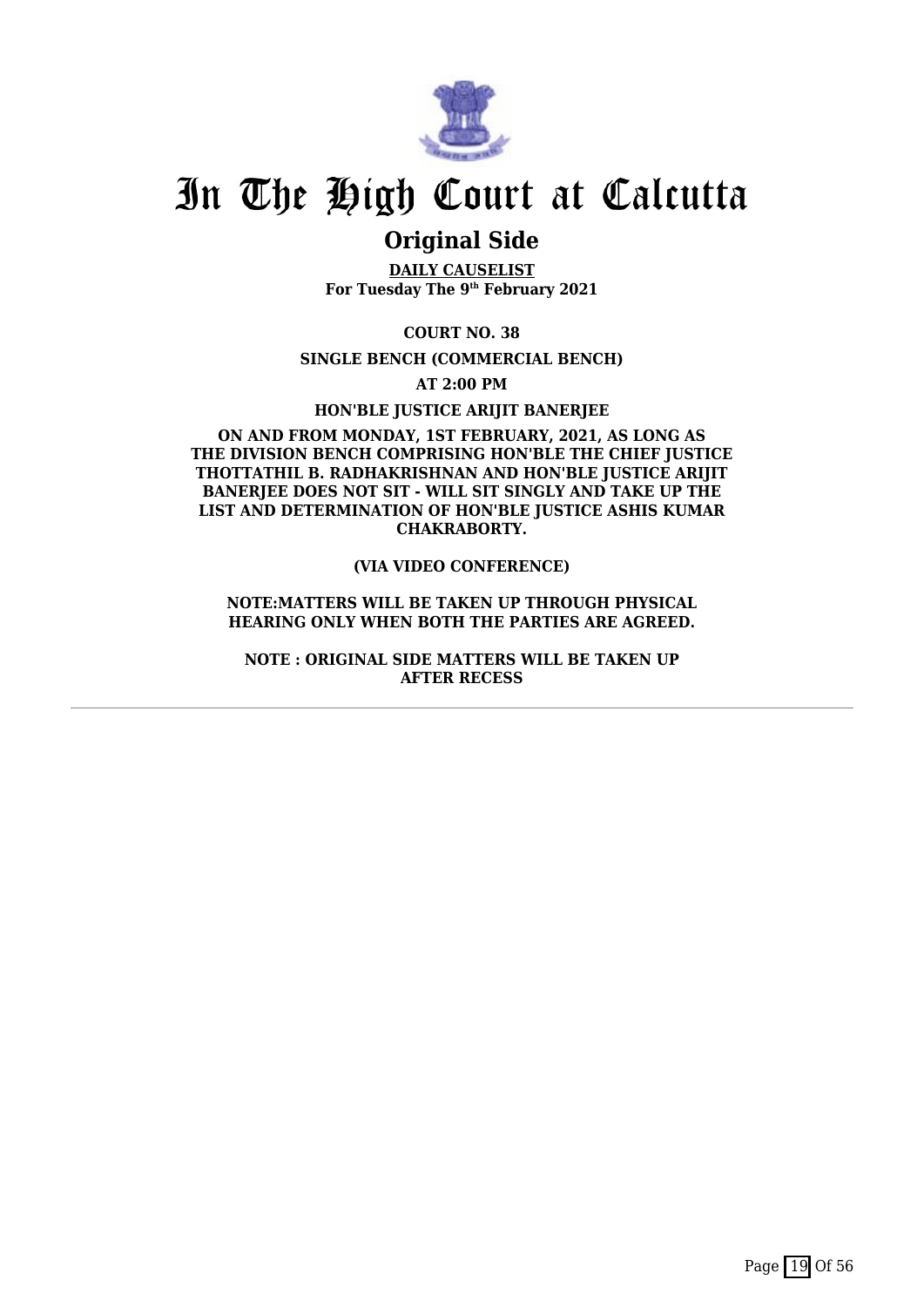

## **Original Side**

**DAILY CAUSELIST For Tuesday The 9th February 2021**

**COURT NO. 38**

**SINGLE BENCH (COMMERCIAL BENCH)**

**AT 2:00 PM**

**HON'BLE JUSTICE ARIJIT BANERJEE**

#### **ON AND FROM MONDAY, 1ST FEBRUARY, 2021, AS LONG AS THE DIVISION BENCH COMPRISING HON'BLE THE CHIEF JUSTICE THOTTATHIL B. RADHAKRISHNAN AND HON'BLE JUSTICE ARIJIT** BANERIEE DOES NOT SIT - WILL SIT SINGLY AND TAKE UP THE **LIST AND DETERMINATION OF HON'BLE JUSTICE ASHIS KUMAR CHAKRABORTY.**

#### **(VIA VIDEO CONFERENCE)**

#### **NOTE:MATTERS WILL BE TAKEN UP THROUGH PHYSICAL HEARING ONLY WHEN BOTH THE PARTIES ARE AGREED.**

**NOTE : ORIGINAL SIDE MATTERS WILL BE TAKEN UP AFTER RECESS**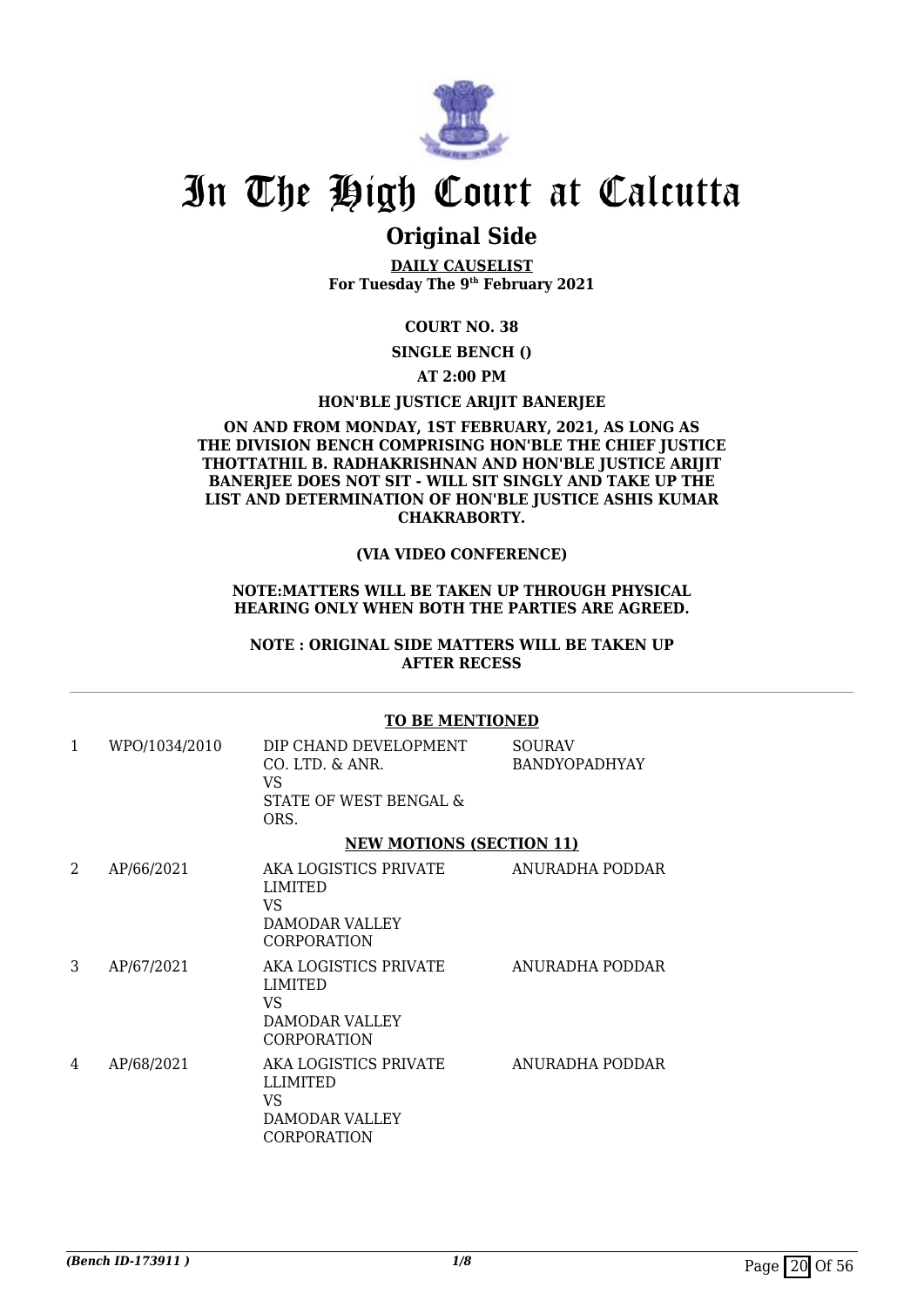

## **Original Side**

**DAILY CAUSELIST For Tuesday The 9th February 2021**

#### **COURT NO. 38**

**SINGLE BENCH ()**

#### **AT 2:00 PM**

#### **HON'BLE JUSTICE ARIJIT BANERJEE**

#### **ON AND FROM MONDAY, 1ST FEBRUARY, 2021, AS LONG AS THE DIVISION BENCH COMPRISING HON'BLE THE CHIEF JUSTICE THOTTATHIL B. RADHAKRISHNAN AND HON'BLE JUSTICE ARIJIT BANERJEE DOES NOT SIT - WILL SIT SINGLY AND TAKE UP THE LIST AND DETERMINATION OF HON'BLE JUSTICE ASHIS KUMAR CHAKRABORTY.**

#### **(VIA VIDEO CONFERENCE)**

#### **NOTE:MATTERS WILL BE TAKEN UP THROUGH PHYSICAL HEARING ONLY WHEN BOTH THE PARTIES ARE AGREED.**

**NOTE : ORIGINAL SIDE MATTERS WILL BE TAKEN UP AFTER RECESS**

#### **TO BE MENTIONED**

| 1 | WPO/1034/2010 | DIP CHAND DEVELOPMENT<br>CO. LTD. & ANR.<br>VS.<br>STATE OF WEST BENGAL &<br>ORS. | <b>SOURAV</b><br><b>BANDYOPADHYAY</b> |
|---|---------------|-----------------------------------------------------------------------------------|---------------------------------------|
|   |               | <b>NEW MOTIONS (SECTION 11)</b>                                                   |                                       |
| 2 | AP/66/2021    | AKA LOGISTICS PRIVATE<br>LIMITED<br>VS.<br>DAMODAR VALLEY<br><b>CORPORATION</b>   | ANURADHA PODDAR                       |
| 3 | AP/67/2021    | AKA LOGISTICS PRIVATE<br>LIMITED<br>VS.<br>DAMODAR VALLEY<br><b>CORPORATION</b>   | ANURADHA PODDAR                       |
| 4 | AP/68/2021    | AKA LOGISTICS PRIVATE<br><b>LLIMITED</b><br>VS<br>DAMODAR VALLEY<br>CORPORATION   | ANURADHA PODDAR                       |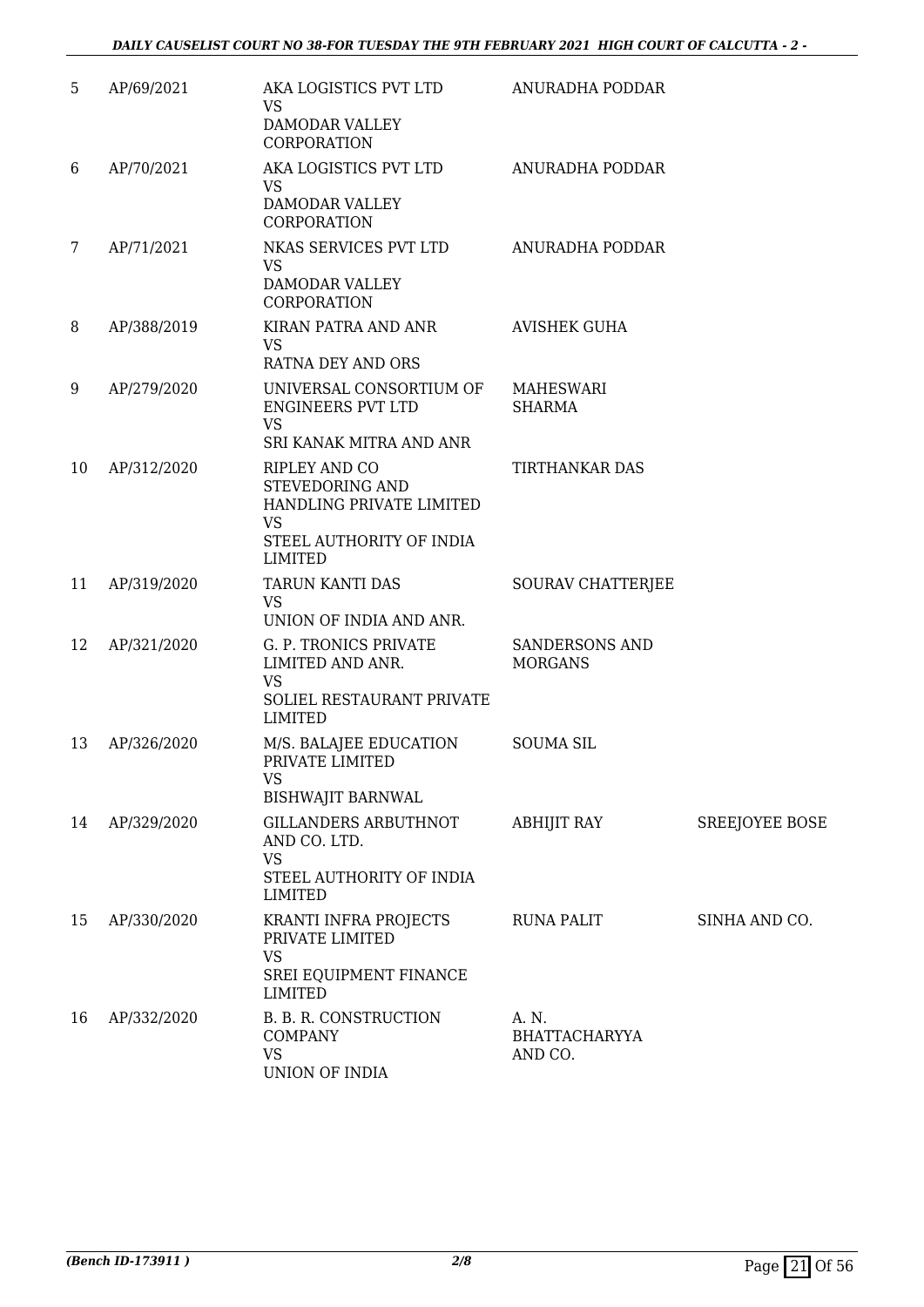| 5. | AP/69/2021  | AKA LOGISTICS PVT LTD<br><b>VS</b><br>DAMODAR VALLEY<br>CORPORATION                                                            | ANURADHA PODDAR                          |                |
|----|-------------|--------------------------------------------------------------------------------------------------------------------------------|------------------------------------------|----------------|
| 6  | AP/70/2021  | AKA LOGISTICS PVT LTD<br><b>VS</b><br><b>DAMODAR VALLEY</b><br>CORPORATION                                                     | ANURADHA PODDAR                          |                |
| 7  | AP/71/2021  | NKAS SERVICES PVT LTD<br><b>VS</b><br>DAMODAR VALLEY<br>CORPORATION                                                            | ANURADHA PODDAR                          |                |
| 8  | AP/388/2019 | KIRAN PATRA AND ANR<br>VS<br>RATNA DEY AND ORS                                                                                 | <b>AVISHEK GUHA</b>                      |                |
| 9  | AP/279/2020 | UNIVERSAL CONSORTIUM OF<br><b>ENGINEERS PVT LTD</b><br><b>VS</b><br>SRI KANAK MITRA AND ANR                                    | <b>MAHESWARI</b><br><b>SHARMA</b>        |                |
| 10 | AP/312/2020 | RIPLEY AND CO<br><b>STEVEDORING AND</b><br>HANDLING PRIVATE LIMITED<br><b>VS</b><br>STEEL AUTHORITY OF INDIA<br><b>LIMITED</b> | <b>TIRTHANKAR DAS</b>                    |                |
| 11 | AP/319/2020 | TARUN KANTI DAS<br><b>VS</b><br>UNION OF INDIA AND ANR.                                                                        | SOURAV CHATTERJEE                        |                |
| 12 | AP/321/2020 | G. P. TRONICS PRIVATE<br>LIMITED AND ANR.<br><b>VS</b><br>SOLIEL RESTAURANT PRIVATE<br><b>LIMITED</b>                          | SANDERSONS AND<br><b>MORGANS</b>         |                |
| 13 | AP/326/2020 | M/S. BALAJEE EDUCATION<br>PRIVATE LIMITED<br><b>VS</b><br><b>BISHWAJIT BARNWAL</b>                                             | <b>SOUMA SIL</b>                         |                |
| 14 | AP/329/2020 | <b>GILLANDERS ARBUTHNOT</b><br>AND CO. LTD.<br><b>VS</b><br>STEEL AUTHORITY OF INDIA<br><b>LIMITED</b>                         | <b>ABHIJIT RAY</b>                       | SREEJOYEE BOSE |
| 15 | AP/330/2020 | KRANTI INFRA PROJECTS<br>PRIVATE LIMITED<br><b>VS</b><br>SREI EQUIPMENT FINANCE<br><b>LIMITED</b>                              | RUNA PALIT                               | SINHA AND CO.  |
| 16 | AP/332/2020 | B. B. R. CONSTRUCTION<br><b>COMPANY</b><br><b>VS</b><br>UNION OF INDIA                                                         | A. N.<br><b>BHATTACHARYYA</b><br>AND CO. |                |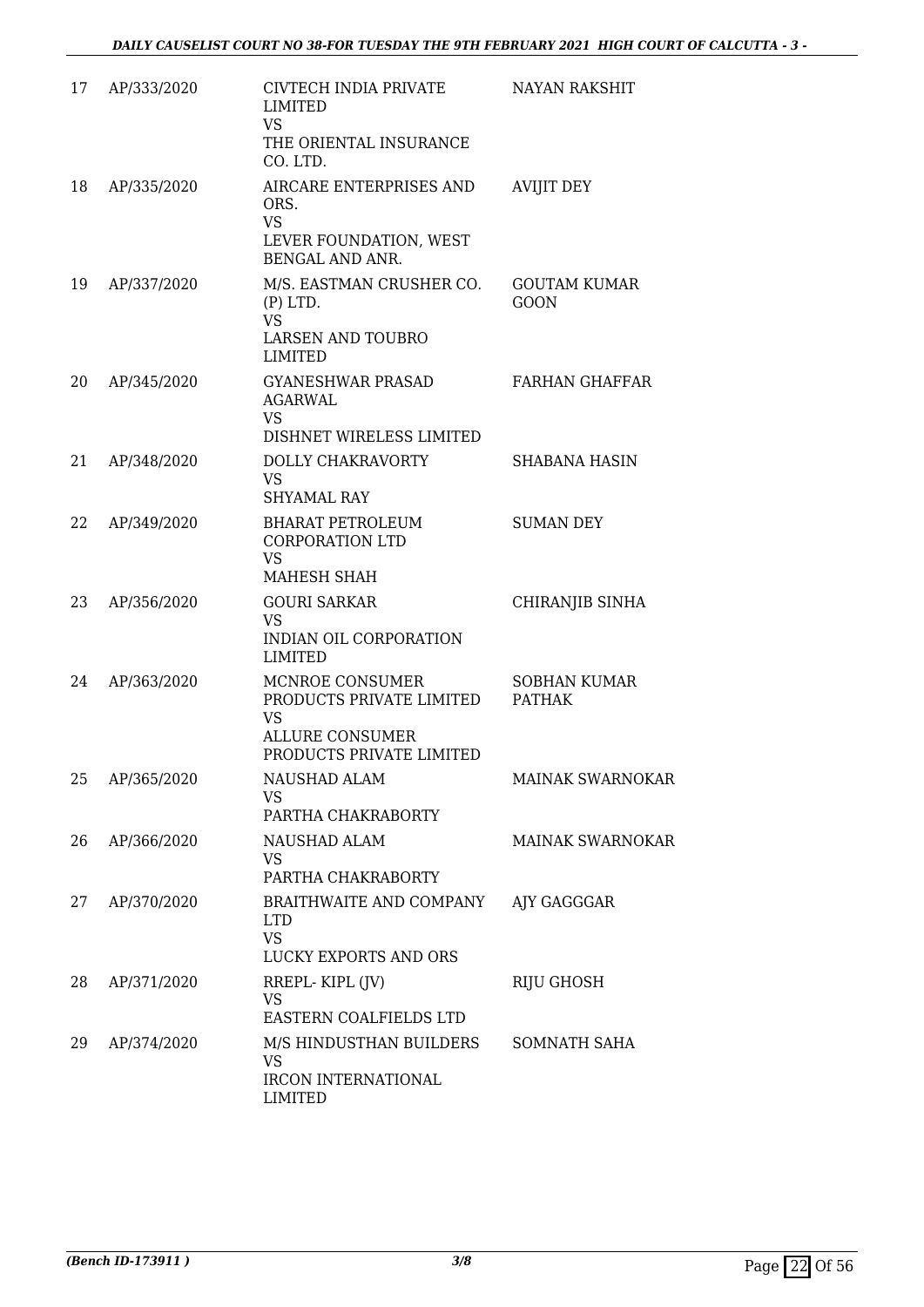| 17 | AP/333/2020 | CIVTECH INDIA PRIVATE<br><b>LIMITED</b><br><b>VS</b><br>THE ORIENTAL INSURANCE<br>CO. LTD.              | <b>NAYAN RAKSHIT</b>                 |
|----|-------------|---------------------------------------------------------------------------------------------------------|--------------------------------------|
| 18 | AP/335/2020 | AIRCARE ENTERPRISES AND<br>ORS.<br><b>VS</b><br>LEVER FOUNDATION, WEST<br>BENGAL AND ANR.               | <b>AVIJIT DEY</b>                    |
| 19 | AP/337/2020 | M/S. EASTMAN CRUSHER CO.<br>$(P)$ LTD.<br>VS.<br>LARSEN AND TOUBRO<br><b>LIMITED</b>                    | <b>GOUTAM KUMAR</b><br><b>GOON</b>   |
| 20 | AP/345/2020 | <b>GYANESHWAR PRASAD</b><br><b>AGARWAL</b><br><b>VS</b>                                                 | <b>FARHAN GHAFFAR</b>                |
| 21 | AP/348/2020 | DISHNET WIRELESS LIMITED<br>DOLLY CHAKRAVORTY<br><b>VS</b><br><b>SHYAMAL RAY</b>                        | SHABANA HASIN                        |
| 22 | AP/349/2020 | BHARAT PETROLEUM<br><b>CORPORATION LTD</b><br><b>VS</b><br>MAHESH SHAH                                  | <b>SUMAN DEY</b>                     |
| 23 | AP/356/2020 | <b>GOURI SARKAR</b><br><b>VS</b><br>INDIAN OIL CORPORATION<br><b>LIMITED</b>                            | CHIRANJIB SINHA                      |
| 24 | AP/363/2020 | MCNROE CONSUMER<br>PRODUCTS PRIVATE LIMITED<br>VS<br><b>ALLURE CONSUMER</b><br>PRODUCTS PRIVATE LIMITED | <b>SOBHAN KUMAR</b><br><b>PATHAK</b> |
| 25 | AP/365/2020 | <b>NAUSHAD ALAM</b><br>VS<br>PARTHA CHAKRABORTY                                                         | MAINAK SWARNOKAR                     |
| 26 | AP/366/2020 | NAUSHAD ALAM<br><b>VS</b><br>PARTHA CHAKRABORTY                                                         | <b>MAINAK SWARNOKAR</b>              |
| 27 | AP/370/2020 | BRAITHWAITE AND COMPANY<br><b>LTD</b><br><b>VS</b><br>LUCKY EXPORTS AND ORS                             | AJY GAGGGAR                          |
| 28 | AP/371/2020 | RREPL-KIPL (JV)<br><b>VS</b><br>EASTERN COALFIELDS LTD                                                  | RIJU GHOSH                           |
| 29 | AP/374/2020 | M/S HINDUSTHAN BUILDERS<br><b>VS</b><br>IRCON INTERNATIONAL<br>LIMITED                                  | SOMNATH SAHA                         |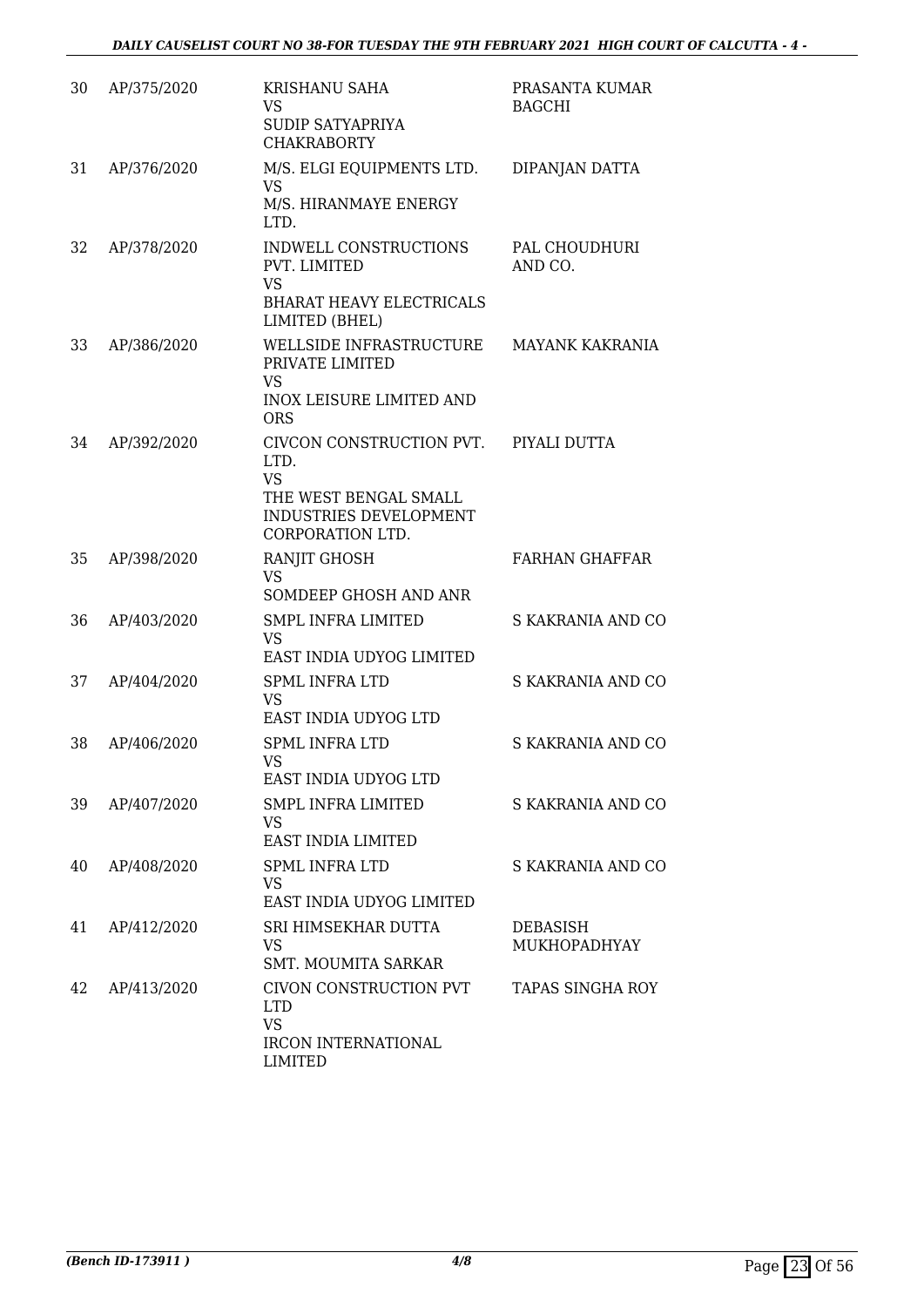| 30 | AP/375/2020 | <b>KRISHANU SAHA</b><br>VS<br>SUDIP SATYAPRIYA<br><b>CHAKRABORTY</b>                                                               | PRASANTA KUMAR<br><b>BAGCHI</b> |
|----|-------------|------------------------------------------------------------------------------------------------------------------------------------|---------------------------------|
| 31 | AP/376/2020 | M/S. ELGI EQUIPMENTS LTD.<br>VS<br>M/S. HIRANMAYE ENERGY<br>LTD.                                                                   | DIPANJAN DATTA                  |
| 32 | AP/378/2020 | INDWELL CONSTRUCTIONS<br>PVT. LIMITED<br><b>VS</b><br><b>BHARAT HEAVY ELECTRICALS</b><br>LIMITED (BHEL)                            | PAL CHOUDHURI<br>AND CO.        |
| 33 | AP/386/2020 | WELLSIDE INFRASTRUCTURE<br>PRIVATE LIMITED<br>VS<br><b>INOX LEISURE LIMITED AND</b>                                                | <b>MAYANK KAKRANIA</b>          |
| 34 | AP/392/2020 | <b>ORS</b><br>CIVCON CONSTRUCTION PVT.<br>LTD.<br><b>VS</b><br>THE WEST BENGAL SMALL<br>INDUSTRIES DEVELOPMENT<br>CORPORATION LTD. | PIYALI DUTTA                    |
| 35 | AP/398/2020 | RANJIT GHOSH<br>VS<br>SOMDEEP GHOSH AND ANR                                                                                        | <b>FARHAN GHAFFAR</b>           |
| 36 | AP/403/2020 | SMPL INFRA LIMITED<br><b>VS</b><br>EAST INDIA UDYOG LIMITED                                                                        | S KAKRANIA AND CO               |
| 37 | AP/404/2020 | <b>SPML INFRA LTD</b><br><b>VS</b><br>EAST INDIA UDYOG LTD                                                                         | S KAKRANIA AND CO               |
| 38 | AP/406/2020 | <b>SPML INFRA LTD</b><br>VS<br>EAST INDIA UDYOG LTD                                                                                | S KAKRANIA AND CO               |
| 39 | AP/407/2020 | <b>SMPL INFRA LIMITED</b><br>VS<br>EAST INDIA LIMITED                                                                              | S KAKRANIA AND CO               |
| 40 | AP/408/2020 | <b>SPML INFRA LTD</b><br>VS<br>EAST INDIA UDYOG LIMITED                                                                            | S KAKRANIA AND CO               |
| 41 | AP/412/2020 | SRI HIMSEKHAR DUTTA<br>VS<br><b>SMT. MOUMITA SARKAR</b>                                                                            | DEBASISH<br>MUKHOPADHYAY        |
| 42 | AP/413/2020 | CIVON CONSTRUCTION PVT<br><b>LTD</b><br><b>VS</b><br>IRCON INTERNATIONAL<br>LIMITED                                                | TAPAS SINGHA ROY                |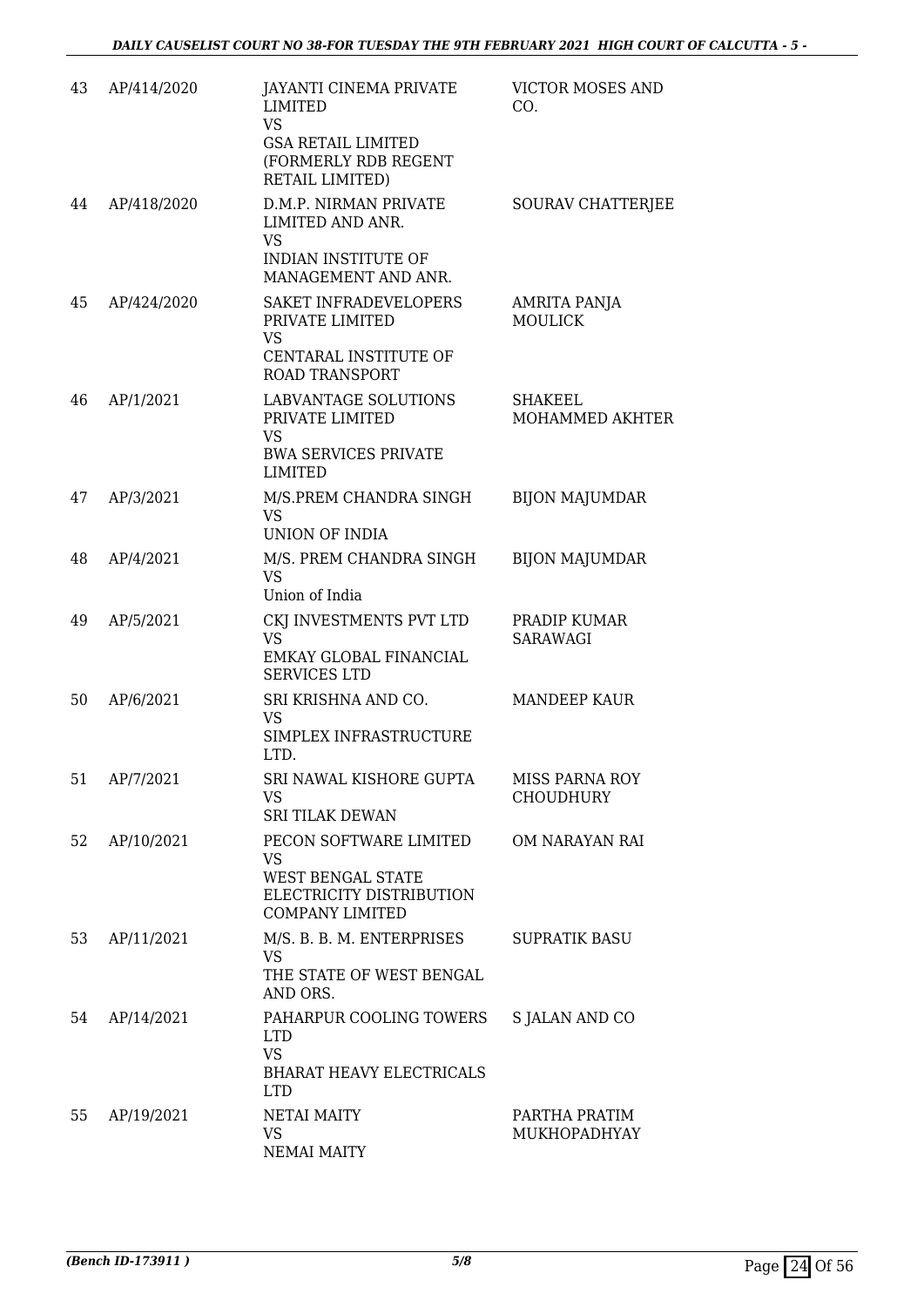| 43 | AP/414/2020 | JAYANTI CINEMA PRIVATE<br>LIMITED<br><b>VS</b><br><b>GSA RETAIL LIMITED</b><br>(FORMERLY RDB REGENT<br>RETAIL LIMITED) | <b>VICTOR MOSES AND</b><br>CO.     |
|----|-------------|------------------------------------------------------------------------------------------------------------------------|------------------------------------|
| 44 | AP/418/2020 | D.M.P. NIRMAN PRIVATE<br>LIMITED AND ANR.<br>VS<br>INDIAN INSTITUTE OF<br>MANAGEMENT AND ANR.                          | SOURAV CHATTERJEE                  |
| 45 | AP/424/2020 | SAKET INFRADEVELOPERS<br>PRIVATE LIMITED<br><b>VS</b><br>CENTARAL INSTITUTE OF<br><b>ROAD TRANSPORT</b>                | AMRITA PANJA<br><b>MOULICK</b>     |
| 46 | AP/1/2021   | <b>LABVANTAGE SOLUTIONS</b><br>PRIVATE LIMITED<br><b>VS</b><br><b>BWA SERVICES PRIVATE</b><br>LIMITED                  | SHAKEEL<br>MOHAMMED AKHTER         |
| 47 | AP/3/2021   | M/S.PREM CHANDRA SINGH<br><b>VS</b><br>UNION OF INDIA                                                                  | <b>BIJON MAJUMDAR</b>              |
| 48 | AP/4/2021   | M/S. PREM CHANDRA SINGH<br><b>VS</b><br>Union of India                                                                 | <b>BIJON MAJUMDAR</b>              |
| 49 | AP/5/2021   | CKJ INVESTMENTS PVT LTD<br><b>VS</b><br>EMKAY GLOBAL FINANCIAL<br><b>SERVICES LTD</b>                                  | PRADIP KUMAR<br>SARAWAGI           |
| 50 | AP/6/2021   | SRI KRISHNA AND CO.<br>VS<br>SIMPLEX INFRASTRUCTURE<br>LTD.                                                            | <b>MANDEEP KAUR</b>                |
| 51 | AP/7/2021   | SRI NAWAL KISHORE GUPTA<br>VS.<br><b>SRI TILAK DEWAN</b>                                                               | MISS PARNA ROY<br><b>CHOUDHURY</b> |
| 52 | AP/10/2021  | PECON SOFTWARE LIMITED<br><b>VS</b><br><b>WEST BENGAL STATE</b><br>ELECTRICITY DISTRIBUTION<br><b>COMPANY LIMITED</b>  | OM NARAYAN RAI                     |
| 53 | AP/11/2021  | M/S. B. B. M. ENTERPRISES<br>VS<br>THE STATE OF WEST BENGAL<br>AND ORS.                                                | <b>SUPRATIK BASU</b>               |
| 54 | AP/14/2021  | PAHARPUR COOLING TOWERS<br><b>LTD</b><br><b>VS</b><br><b>BHARAT HEAVY ELECTRICALS</b><br><b>LTD</b>                    | S JALAN AND CO                     |
| 55 | AP/19/2021  | <b>NETAI MAITY</b><br><b>VS</b><br><b>NEMAI MAITY</b>                                                                  | PARTHA PRATIM<br>MUKHOPADHYAY      |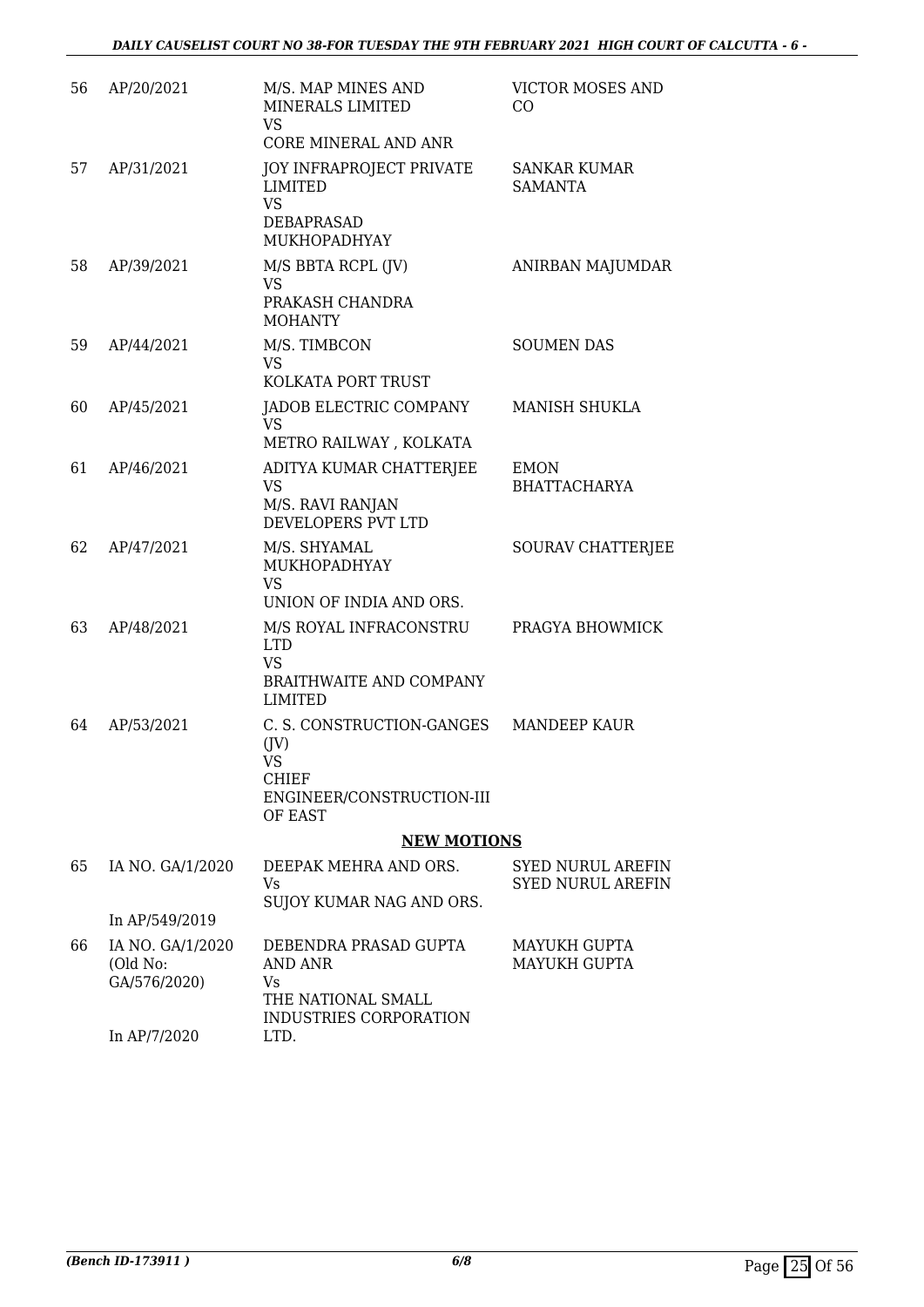| 56 | AP/20/2021                                   | M/S. MAP MINES AND<br>MINERALS LIMITED<br><b>VS</b><br>CORE MINERAL AND ANR                            | VICTOR MOSES AND<br>CO                               |
|----|----------------------------------------------|--------------------------------------------------------------------------------------------------------|------------------------------------------------------|
| 57 | AP/31/2021                                   | <b>JOY INFRAPROJECT PRIVATE</b><br><b>LIMITED</b><br><b>VS</b><br>DEBAPRASAD<br><b>MUKHOPADHYAY</b>    | <b>SANKAR KUMAR</b><br><b>SAMANTA</b>                |
| 58 | AP/39/2021                                   | M/S BBTA RCPL (JV)<br><b>VS</b><br>PRAKASH CHANDRA<br><b>MOHANTY</b>                                   | ANIRBAN MAJUMDAR                                     |
| 59 | AP/44/2021                                   | M/S. TIMBCON<br><b>VS</b><br>KOLKATA PORT TRUST                                                        | <b>SOUMEN DAS</b>                                    |
| 60 | AP/45/2021                                   | JADOB ELECTRIC COMPANY<br>VS<br>METRO RAILWAY, KOLKATA                                                 | MANISH SHUKLA                                        |
| 61 | AP/46/2021                                   | ADITYA KUMAR CHATTERJEE<br><b>VS</b><br>M/S. RAVI RANJAN<br>DEVELOPERS PVT LTD                         | <b>EMON</b><br><b>BHATTACHARYA</b>                   |
| 62 | AP/47/2021                                   | M/S. SHYAMAL<br>MUKHOPADHYAY<br><b>VS</b><br>UNION OF INDIA AND ORS.                                   | SOURAV CHATTERJEE                                    |
| 63 | AP/48/2021                                   | M/S ROYAL INFRACONSTRU<br><b>LTD</b><br><b>VS</b><br><b>BRAITHWAITE AND COMPANY</b><br>LIMITED         | PRAGYA BHOWMICK                                      |
| 64 | AP/53/2021                                   | C. S. CONSTRUCTION-GANGES<br>(JV)<br><b>VS</b><br><b>CHIEF</b><br>ENGINEER/CONSTRUCTION-III<br>OF EAST | <b>MANDEEP KAUR</b>                                  |
|    |                                              | <b>NEW MOTIONS</b>                                                                                     |                                                      |
| 65 | IA NO. GA/1/2020                             | DEEPAK MEHRA AND ORS.<br>Vs<br>SUJOY KUMAR NAG AND ORS.                                                | <b>SYED NURUL AREFIN</b><br><b>SYED NURUL AREFIN</b> |
|    | In AP/549/2019                               |                                                                                                        |                                                      |
| 66 | IA NO. GA/1/2020<br>(Old No:<br>GA/576/2020) | DEBENDRA PRASAD GUPTA<br>AND ANR<br>Vs<br>THE NATIONAL SMALL<br>INDUSTRIES CORPORATION                 | MAYUKH GUPTA<br><b>MAYUKH GUPTA</b>                  |
|    | In AP/7/2020                                 | LTD.                                                                                                   |                                                      |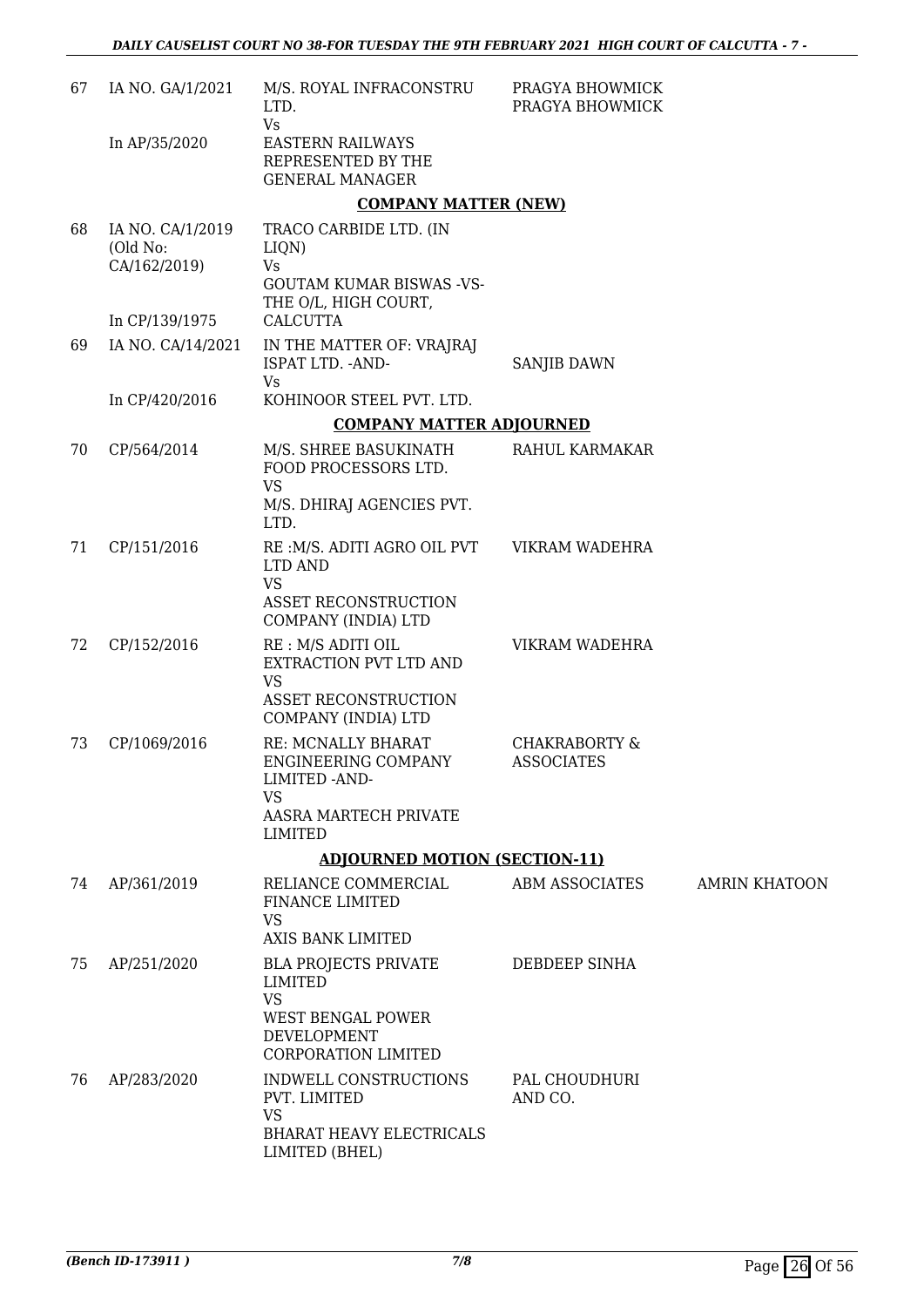| 67 | IA NO. GA/1/2021                             | M/S. ROYAL INFRACONSTRU<br>LTD.<br>Vs                                                            | PRAGYA BHOWMICK<br>PRAGYA BHOWMICK            |                      |
|----|----------------------------------------------|--------------------------------------------------------------------------------------------------|-----------------------------------------------|----------------------|
|    | In AP/35/2020                                | <b>EASTERN RAILWAYS</b><br>REPRESENTED BY THE<br><b>GENERAL MANAGER</b>                          |                                               |                      |
|    |                                              | <b>COMPANY MATTER (NEW)</b>                                                                      |                                               |                      |
| 68 | IA NO. CA/1/2019<br>(Old No:<br>CA/162/2019) | TRACO CARBIDE LTD. (IN<br>LIQN)<br>Vs<br><b>GOUTAM KUMAR BISWAS -VS-</b><br>THE O/L, HIGH COURT, |                                               |                      |
|    | In CP/139/1975                               | <b>CALCUTTA</b>                                                                                  |                                               |                      |
| 69 | IA NO. CA/14/2021                            | IN THE MATTER OF: VRAJRAJ<br>ISPAT LTD. - AND-<br>Vs                                             | SANJIB DAWN                                   |                      |
|    | In CP/420/2016                               | KOHINOOR STEEL PVT. LTD.                                                                         |                                               |                      |
|    |                                              | <b>COMPANY MATTER ADJOURNED</b>                                                                  |                                               |                      |
| 70 | CP/564/2014                                  | M/S. SHREE BASUKINATH<br>FOOD PROCESSORS LTD.<br>VS                                              | RAHUL KARMAKAR                                |                      |
|    |                                              | M/S. DHIRAJ AGENCIES PVT.<br>LTD.                                                                |                                               |                      |
| 71 | CP/151/2016                                  | RE: M/S. ADITI AGRO OIL PVT<br>LTD AND<br><b>VS</b>                                              | VIKRAM WADEHRA                                |                      |
|    |                                              | ASSET RECONSTRUCTION<br>COMPANY (INDIA) LTD                                                      |                                               |                      |
| 72 | CP/152/2016                                  | RE : M/S ADITI OIL<br>EXTRACTION PVT LTD AND<br><b>VS</b><br><b>ASSET RECONSTRUCTION</b>         | VIKRAM WADEHRA                                |                      |
|    |                                              | COMPANY (INDIA) LTD                                                                              |                                               |                      |
| 73 | CP/1069/2016                                 | RE: MCNALLY BHARAT<br><b>ENGINEERING COMPANY</b><br>LIMITED - AND-<br><b>VS</b>                  | <b>CHAKRABORTY &amp;</b><br><b>ASSOCIATES</b> |                      |
|    |                                              | AASRA MARTECH PRIVATE<br>LIMITED                                                                 |                                               |                      |
|    |                                              | <b>ADJOURNED MOTION (SECTION-11)</b>                                                             |                                               |                      |
| 74 | AP/361/2019                                  | RELIANCE COMMERCIAL<br>FINANCE LIMITED<br><b>VS</b>                                              | ABM ASSOCIATES                                | <b>AMRIN KHATOON</b> |
|    |                                              | AXIS BANK LIMITED                                                                                |                                               |                      |
| 75 | AP/251/2020                                  | <b>BLA PROJECTS PRIVATE</b><br><b>LIMITED</b><br><b>VS</b>                                       | DEBDEEP SINHA                                 |                      |
|    |                                              | WEST BENGAL POWER<br>DEVELOPMENT<br><b>CORPORATION LIMITED</b>                                   |                                               |                      |
| 76 | AP/283/2020                                  | INDWELL CONSTRUCTIONS<br>PVT. LIMITED<br><b>VS</b>                                               | PAL CHOUDHURI<br>AND CO.                      |                      |
|    |                                              | <b>BHARAT HEAVY ELECTRICALS</b><br>LIMITED (BHEL)                                                |                                               |                      |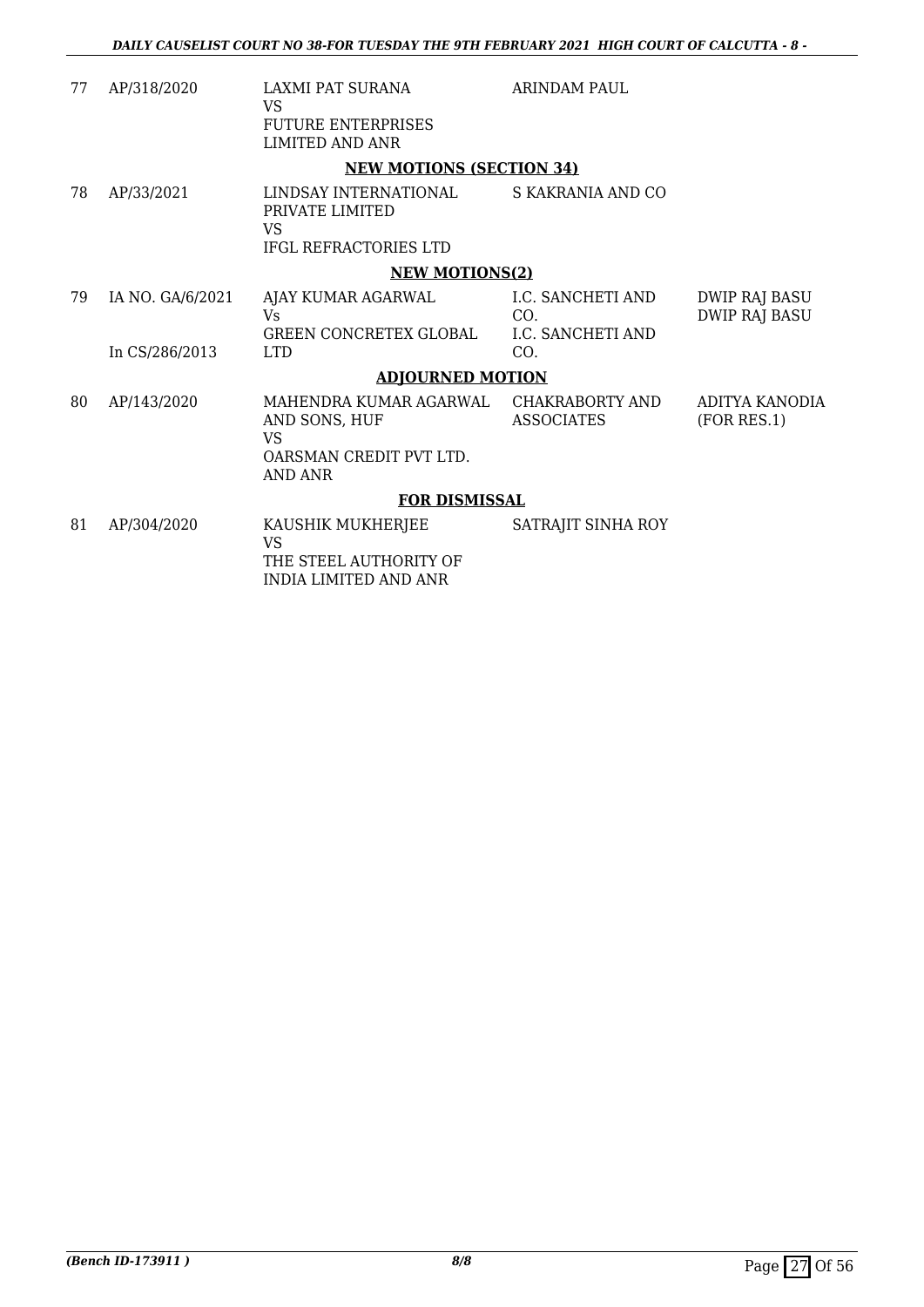| 77  | AP/318/2020      | <b>LAXMI PAT SURANA</b><br>VS                                                     | <b>ARINDAM PAUL</b>           |                                              |
|-----|------------------|-----------------------------------------------------------------------------------|-------------------------------|----------------------------------------------|
|     |                  | <b>FUTURE ENTERPRISES</b><br>LIMITED AND ANR                                      |                               |                                              |
|     |                  | <b>NEW MOTIONS (SECTION 34)</b>                                                   |                               |                                              |
| 78  | AP/33/2021       | LINDSAY INTERNATIONAL<br>PRIVATE LIMITED<br>VS                                    | S KAKRANIA AND CO             |                                              |
|     |                  | IFGL REFRACTORIES LTD                                                             |                               |                                              |
|     |                  | <b>NEW MOTIONS(2)</b>                                                             |                               |                                              |
| 79. | IA NO. GA/6/2021 | AJAY KUMAR AGARWAL<br>Vs.                                                         | I.C. SANCHETI AND<br>CO.      | <b>DWIP RAJ BASU</b><br><b>DWIP RAJ BASU</b> |
|     | In CS/286/2013   | GREEN CONCRETEX GLOBAL<br><b>LTD</b>                                              | I.C. SANCHETI AND<br>CO.      |                                              |
|     |                  | <b>ADJOURNED MOTION</b>                                                           |                               |                                              |
| 80  | AP/143/2020      | MAHENDRA KUMAR AGARWAL<br>AND SONS, HUF<br>VS<br>OARSMAN CREDIT PVT LTD.          | CHAKRABORTY AND<br>ASSOCIATES | ADITYA KANODIA<br>(FOR RES.1)                |
|     |                  | <b>AND ANR</b>                                                                    |                               |                                              |
|     |                  | <b>FOR DISMISSAL</b>                                                              |                               |                                              |
| 81  | AP/304/2020      | KAUSHIK MUKHERJEE<br>VS<br>THE STEEL AUTHORITY OF<br><b>INDIA LIMITED AND ANR</b> | SATRAJIT SINHA ROY            |                                              |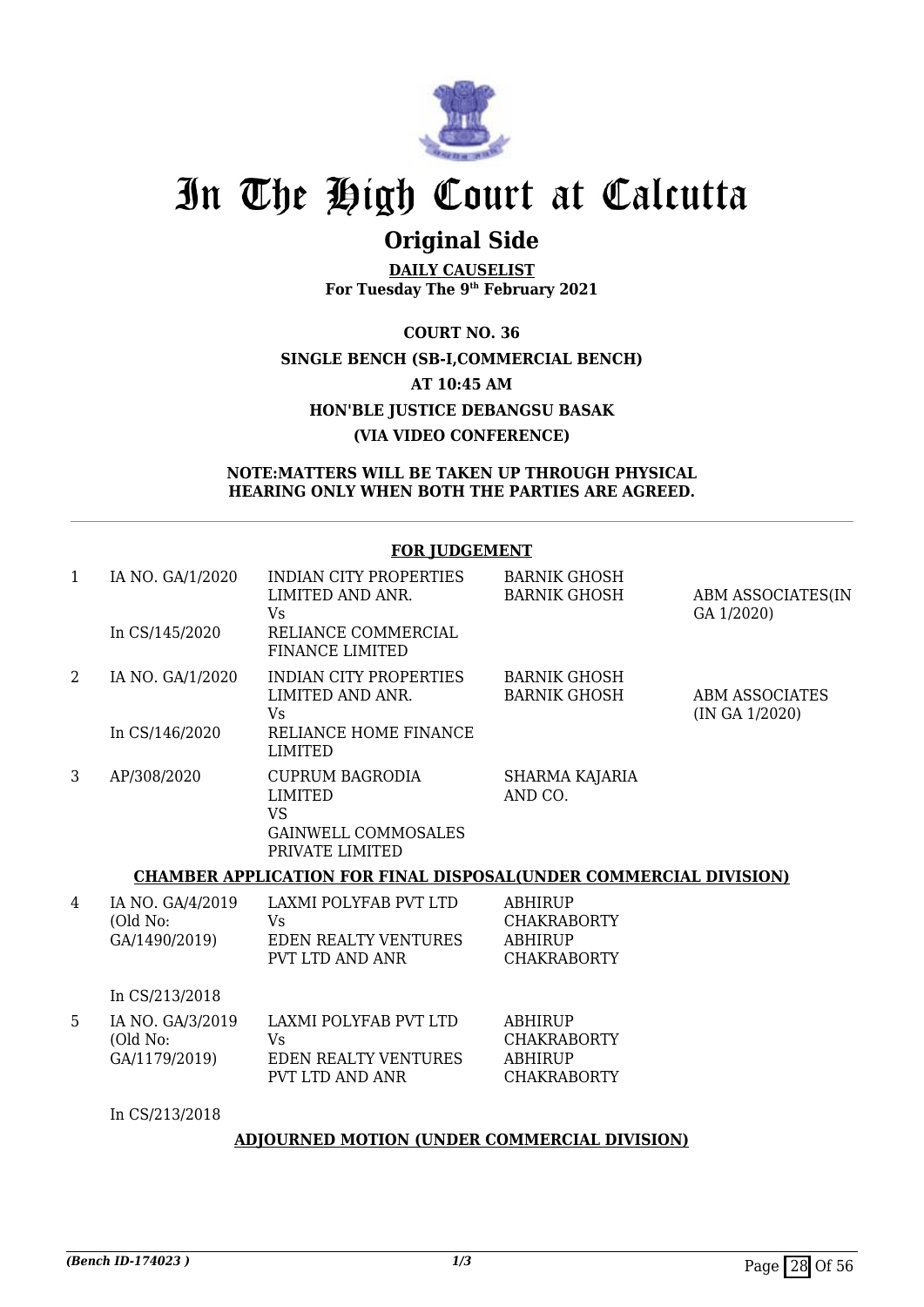

## **Original Side**

**DAILY CAUSELIST For Tuesday The 9th February 2021**

**COURT NO. 36 SINGLE BENCH (SB-I,COMMERCIAL BENCH) AT 10:45 AM HON'BLE JUSTICE DEBANGSU BASAK (VIA VIDEO CONFERENCE)**

#### **NOTE:MATTERS WILL BE TAKEN UP THROUGH PHYSICAL HEARING ONLY WHEN BOTH THE PARTIES ARE AGREED.**

**FOR JUDGEMENT**

|   |                                               | <u>FUR JUDGEMENT</u>                                                                                   |                                                                              |                                         |
|---|-----------------------------------------------|--------------------------------------------------------------------------------------------------------|------------------------------------------------------------------------------|-----------------------------------------|
| 1 | IA NO. GA/1/2020                              | <b>INDIAN CITY PROPERTIES</b><br>LIMITED AND ANR.<br><b>Vs</b>                                         | <b>BARNIK GHOSH</b><br><b>BARNIK GHOSH</b>                                   | ABM ASSOCIATES(IN<br>GA 1/2020)         |
|   | In CS/145/2020                                | RELIANCE COMMERCIAL<br><b>FINANCE LIMITED</b>                                                          |                                                                              |                                         |
| 2 | IA NO. GA/1/2020                              | <b>INDIAN CITY PROPERTIES</b><br>LIMITED AND ANR.<br><b>Vs</b>                                         | <b>BARNIK GHOSH</b><br><b>BARNIK GHOSH</b>                                   | <b>ABM ASSOCIATES</b><br>(IN GA 1/2020) |
|   | In CS/146/2020                                | RELIANCE HOME FINANCE<br><b>LIMITED</b>                                                                |                                                                              |                                         |
| 3 | AP/308/2020                                   | <b>CUPRUM BAGRODIA</b><br><b>LIMITED</b><br><b>VS</b><br><b>GAINWELL COMMOSALES</b><br>PRIVATE LIMITED | SHARMA KAJARIA<br>AND CO.                                                    |                                         |
|   |                                               | <b>CHAMBER APPLICATION FOR FINAL DISPOSAL(UNDER COMMERCIAL DIVISION)</b>                               |                                                                              |                                         |
| 4 | IA NO. GA/4/2019<br>(Old No:<br>GA/1490/2019) | LAXMI POLYFAB PVT LTD<br>Vs<br><b>EDEN REALTY VENTURES</b><br>PVT LTD AND ANR                          | <b>ABHIRUP</b><br><b>CHAKRABORTY</b><br><b>ABHIRUP</b><br><b>CHAKRABORTY</b> |                                         |
|   | In CS/213/2018                                |                                                                                                        |                                                                              |                                         |
| 5 | IA NO. GA/3/2019<br>(Old No:<br>GA/1179/2019) | LAXMI POLYFAB PVT LTD<br>Vs<br><b>EDEN REALTY VENTURES</b><br><b>PVT LTD AND ANR</b>                   | <b>ABHIRUP</b><br><b>CHAKRABORTY</b><br><b>ABHIRUP</b><br><b>CHAKRABORTY</b> |                                         |
|   | In CS/213/2018                                |                                                                                                        |                                                                              |                                         |
|   |                                               | A DIOUDNED MOTION (UNDER COMMERCIAL DIVICION)                                                          |                                                                              |                                         |

#### **ADJOURNED MOTION (UNDER COMMERCIAL DIVISION)**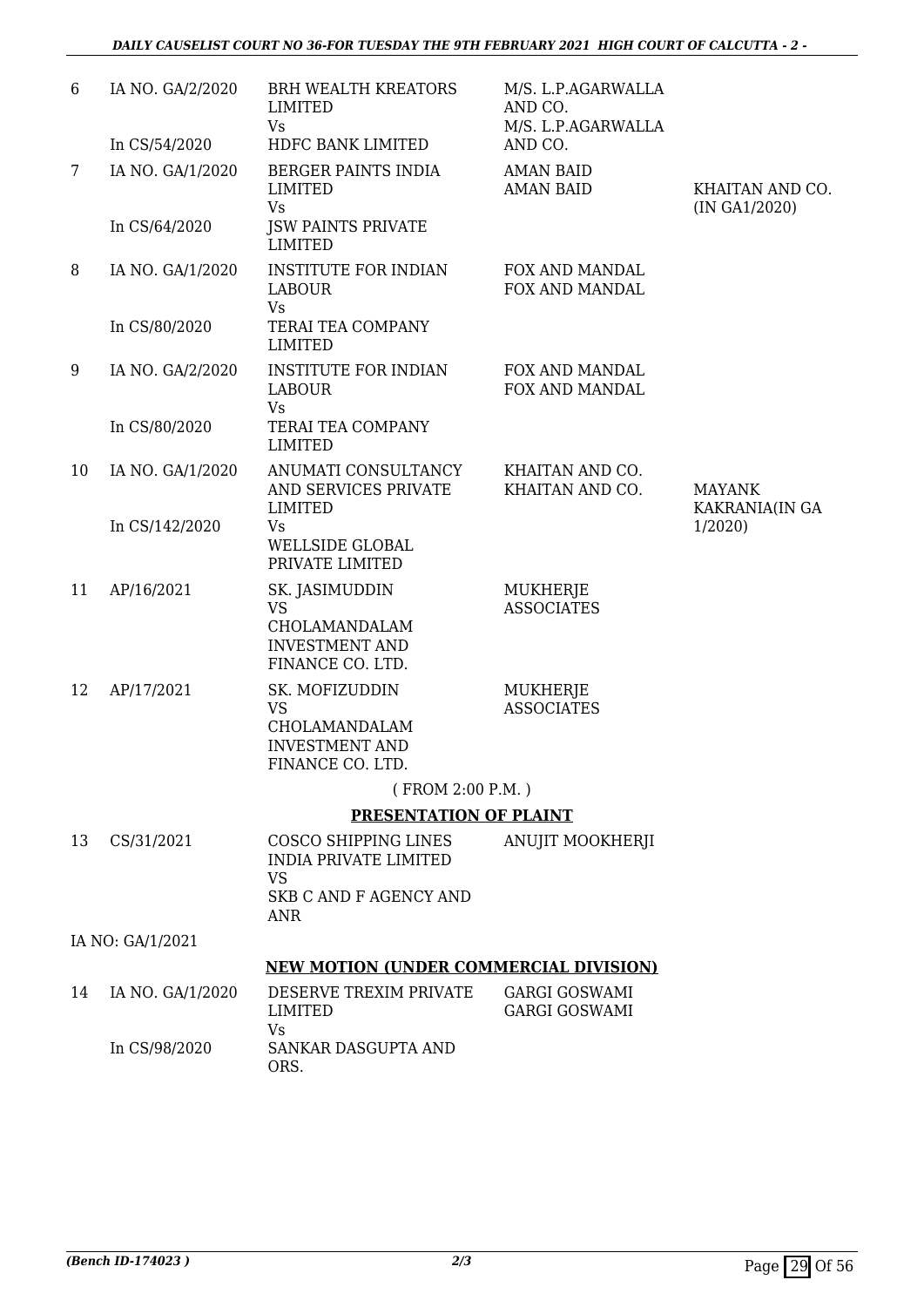| 6              | IA NO. GA/2/2020 | <b>BRH WEALTH KREATORS</b><br>LIMITED<br>Vs                                               | M/S. L.P.AGARWALLA<br>AND CO.<br>M/S. L.P.AGARWALLA |                                  |
|----------------|------------------|-------------------------------------------------------------------------------------------|-----------------------------------------------------|----------------------------------|
|                | In CS/54/2020    | HDFC BANK LIMITED                                                                         | AND CO.                                             |                                  |
| $7\phantom{.}$ | IA NO. GA/1/2020 | BERGER PAINTS INDIA<br>LIMITED<br><b>Vs</b>                                               | <b>AMAN BAID</b><br><b>AMAN BAID</b>                | KHAITAN AND CO.<br>(IN GA1/2020) |
|                | In CS/64/2020    | <b>JSW PAINTS PRIVATE</b><br><b>LIMITED</b>                                               |                                                     |                                  |
| 8              | IA NO. GA/1/2020 | <b>INSTITUTE FOR INDIAN</b><br><b>LABOUR</b><br>Vs                                        | FOX AND MANDAL<br>FOX AND MANDAL                    |                                  |
|                | In CS/80/2020    | TERAI TEA COMPANY<br><b>LIMITED</b>                                                       |                                                     |                                  |
| 9              | IA NO. GA/2/2020 | <b>INSTITUTE FOR INDIAN</b><br><b>LABOUR</b><br><b>Vs</b>                                 | FOX AND MANDAL<br>FOX AND MANDAL                    |                                  |
|                | In CS/80/2020    | TERAI TEA COMPANY<br><b>LIMITED</b>                                                       |                                                     |                                  |
| 10             | IA NO. GA/1/2020 | ANUMATI CONSULTANCY<br>AND SERVICES PRIVATE<br><b>LIMITED</b>                             | KHAITAN AND CO.<br>KHAITAN AND CO.                  | <b>MAYANK</b><br>KAKRANIA(IN GA  |
|                | In CS/142/2020   | Vs<br><b>WELLSIDE GLOBAL</b><br>PRIVATE LIMITED                                           |                                                     | 1/2020                           |
| 11             | AP/16/2021       | SK. JASIMUDDIN<br><b>VS</b><br>CHOLAMANDALAM<br><b>INVESTMENT AND</b>                     | MUKHERJE<br><b>ASSOCIATES</b>                       |                                  |
|                |                  | FINANCE CO. LTD.                                                                          |                                                     |                                  |
| 12             | AP/17/2021       | SK. MOFIZUDDIN<br><b>VS</b><br>CHOLAMANDALAM<br><b>INVESTMENT AND</b><br>FINANCE CO. LTD. | MUKHERJE<br><b>ASSOCIATES</b>                       |                                  |
|                |                  | (FROM 2:00 P.M.)                                                                          |                                                     |                                  |
|                |                  | <b>PRESENTATION OF PLAINT</b>                                                             |                                                     |                                  |
| 13             | CS/31/2021       | COSCO SHIPPING LINES<br><b>INDIA PRIVATE LIMITED</b><br>VS                                | ANUJIT MOOKHERJI                                    |                                  |
|                |                  | <b>SKB C AND F AGENCY AND</b><br>ANR                                                      |                                                     |                                  |
|                | IA NO: GA/1/2021 |                                                                                           |                                                     |                                  |
|                |                  | <b>NEW MOTION (UNDER COMMERCIAL DIVISION)</b>                                             |                                                     |                                  |
| 14             | IA NO. GA/1/2020 | DESERVE TREXIM PRIVATE<br>LIMITED<br>Vs                                                   | <b>GARGI GOSWAMI</b><br><b>GARGI GOSWAMI</b>        |                                  |
|                | In CS/98/2020    | SANKAR DASGUPTA AND<br>ORS.                                                               |                                                     |                                  |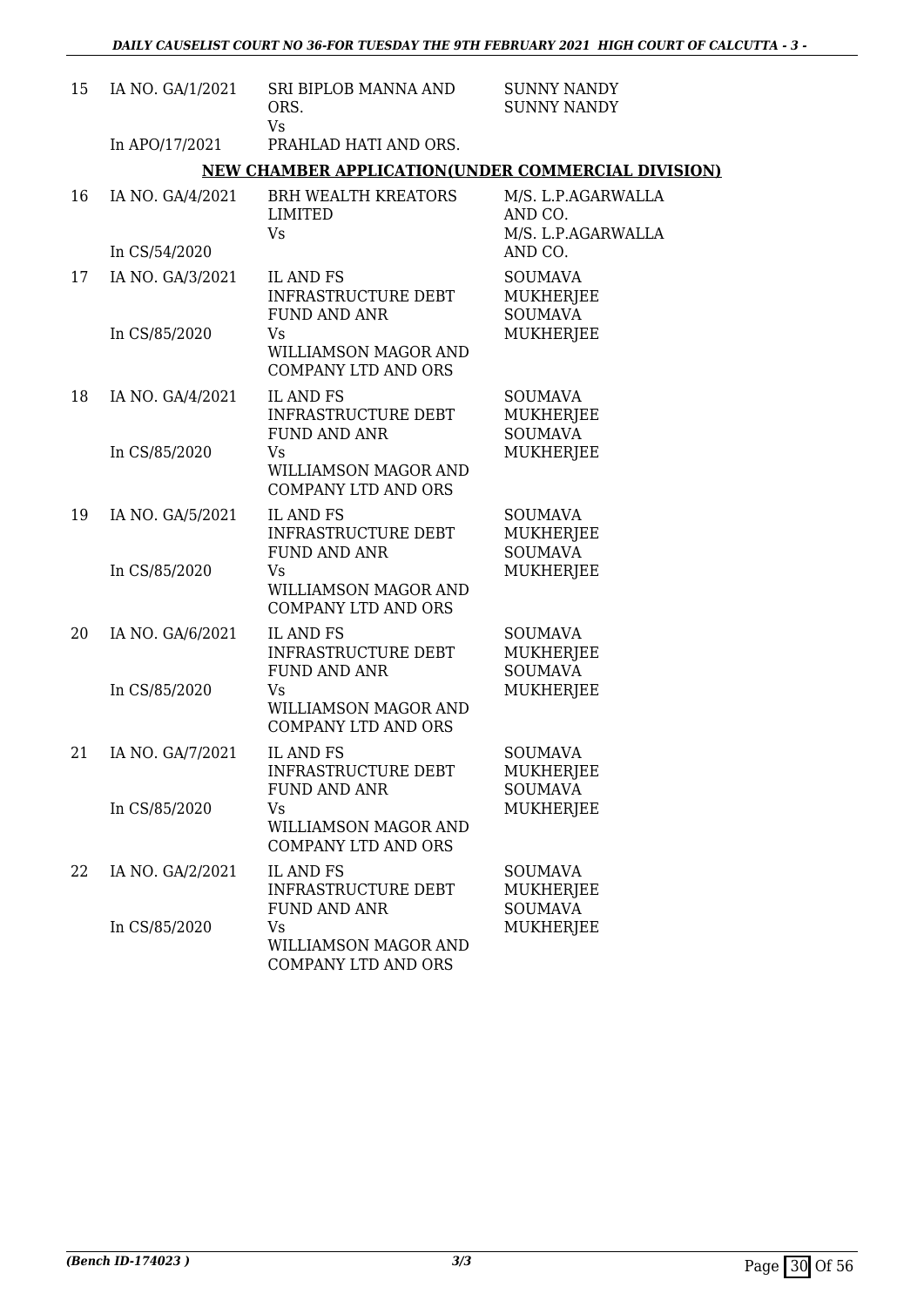| 15 | IA NO. GA/1/2021 | SRI BIPLOB MANNA AND<br>ORS.<br>Vs                                    | <b>SUNNY NANDY</b><br><b>SUNNY NANDY</b>             |
|----|------------------|-----------------------------------------------------------------------|------------------------------------------------------|
|    | In APO/17/2021   | PRAHLAD HATI AND ORS.                                                 |                                                      |
|    |                  | NEW CHAMBER APPLICATION(UNDER COMMERCIAL DIVISION)                    |                                                      |
| 16 | IA NO. GA/4/2021 | <b>BRH WEALTH KREATORS</b><br><b>LIMITED</b><br>Vs                    | M/S. L.P.AGARWALLA<br>AND CO.<br>M/S. L.P.AGARWALLA  |
|    | In CS/54/2020    |                                                                       | AND CO.                                              |
| 17 | IA NO. GA/3/2021 | IL AND FS<br>INFRASTRUCTURE DEBT<br><b>FUND AND ANR</b>               | <b>SOUMAVA</b><br><b>MUKHERJEE</b><br><b>SOUMAVA</b> |
|    | In CS/85/2020    | Vs<br>WILLIAMSON MAGOR AND<br><b>COMPANY LTD AND ORS</b>              | <b>MUKHERJEE</b>                                     |
| 18 | IA NO. GA/4/2021 | <b>IL AND FS</b><br><b>INFRASTRUCTURE DEBT</b><br><b>FUND AND ANR</b> | <b>SOUMAVA</b><br><b>MUKHERJEE</b><br><b>SOUMAVA</b> |
|    | In CS/85/2020    | Vs<br><b>WILLIAMSON MAGOR AND</b><br><b>COMPANY LTD AND ORS</b>       | MUKHERJEE                                            |
| 19 | IA NO. GA/5/2021 | <b>IL AND FS</b><br><b>INFRASTRUCTURE DEBT</b><br><b>FUND AND ANR</b> | <b>SOUMAVA</b><br><b>MUKHERJEE</b><br><b>SOUMAVA</b> |
|    | In CS/85/2020    | Vs<br>WILLIAMSON MAGOR AND<br><b>COMPANY LTD AND ORS</b>              | <b>MUKHERJEE</b>                                     |
| 20 | IA NO. GA/6/2021 | IL AND FS<br>INFRASTRUCTURE DEBT<br><b>FUND AND ANR</b>               | <b>SOUMAVA</b><br><b>MUKHERJEE</b><br><b>SOUMAVA</b> |
|    | In CS/85/2020    | Vs<br>WILLIAMSON MAGOR AND<br><b>COMPANY LTD AND ORS</b>              | MUKHERJEE                                            |
| 21 | IA NO. GA/7/2021 | IL AND FS<br><b>INFRASTRUCTURE DEBT</b><br><b>FUND AND ANR</b>        | <b>SOUMAVA</b><br>MUKHERJEE<br><b>SOUMAVA</b>        |
|    | In CS/85/2020    | Vs<br>WILLIAMSON MAGOR AND<br><b>COMPANY LTD AND ORS</b>              | <b>MUKHERJEE</b>                                     |
| 22 | IA NO. GA/2/2021 | <b>IL AND FS</b><br><b>INFRASTRUCTURE DEBT</b><br><b>FUND AND ANR</b> | <b>SOUMAVA</b><br>MUKHERJEE<br><b>SOUMAVA</b>        |
|    | In CS/85/2020    | Vs<br>WILLIAMSON MAGOR AND<br>COMPANY LTD AND ORS                     | MUKHERJEE                                            |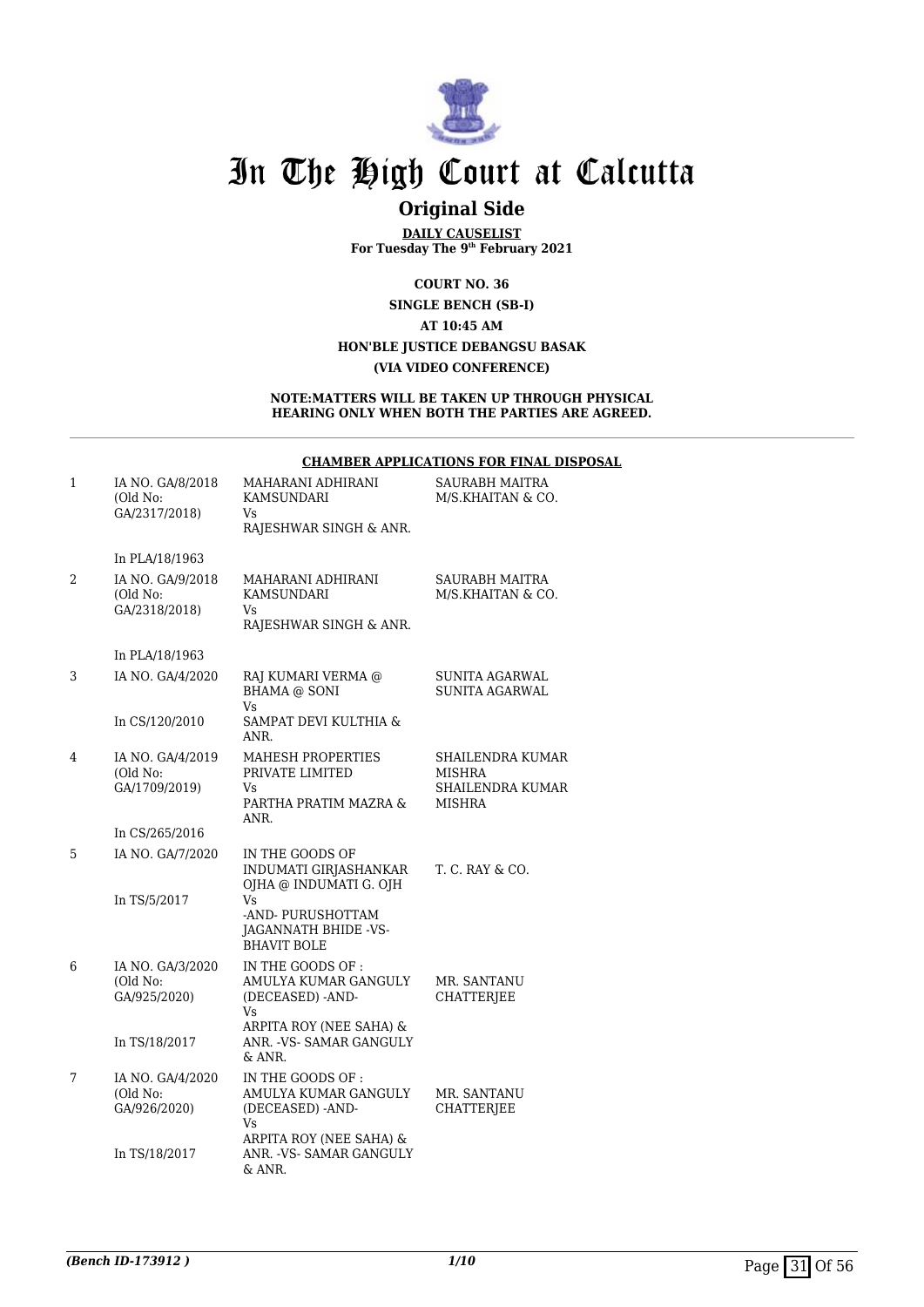

## **Original Side**

**DAILY CAUSELIST For Tuesday The 9th February 2021**

**COURT NO. 36 SINGLE BENCH (SB-I) AT 10:45 AM HON'BLE JUSTICE DEBANGSU BASAK (VIA VIDEO CONFERENCE)**

#### **NOTE:MATTERS WILL BE TAKEN UP THROUGH PHYSICAL HEARING ONLY WHEN BOTH THE PARTIES ARE AGREED.**

#### **CHAMBER APPLICATIONS FOR FINAL DISPOSAL**

| 1 | IA NO. GA/8/2018<br>(Old No:<br>GA/2317/2018) | MAHARANI ADHIRANI<br>KAMSUNDARI<br>Vs<br>RAJESHWAR SINGH & ANR.                    | SAURABH MAITRA<br>M/S.KHAITAN & CO.                      |
|---|-----------------------------------------------|------------------------------------------------------------------------------------|----------------------------------------------------------|
|   | In PLA/18/1963                                |                                                                                    |                                                          |
| 2 | IA NO. GA/9/2018<br>(Old No:<br>GA/2318/2018) | MAHARANI ADHIRANI<br>KAMSUNDARI<br>Vs<br>RAJESHWAR SINGH & ANR.                    | <b>SAURABH MAITRA</b><br>M/S.KHAITAN & CO.               |
|   | In PLA/18/1963                                |                                                                                    |                                                          |
| 3 | IA NO. GA/4/2020                              | RAJ KUMARI VERMA @<br>BHAMA @ SONI<br>Vs                                           | SUNITA AGARWAL<br>SUNITA AGARWAL                         |
|   | In CS/120/2010                                | SAMPAT DEVI KULTHIA &<br>ANR.                                                      |                                                          |
| 4 | IA NO. GA/4/2019<br>(Old No:<br>GA/1709/2019) | <b>MAHESH PROPERTIES</b><br>PRIVATE LIMITED<br>Vs<br>PARTHA PRATIM MAZRA &<br>ANR. | SHAILENDRA KUMAR<br>MISHRA<br>SHAILENDRA KUMAR<br>MISHRA |
|   | In CS/265/2016                                |                                                                                    |                                                          |
| 5 | IA NO. GA/7/2020<br>In TS/5/2017              | IN THE GOODS OF<br>INDUMATI GIRJASHANKAR<br>OJHA @ INDUMATI G. OJH<br>Vs           | T. C. RAY & CO.                                          |
|   |                                               | -AND- PURUSHOTTAM<br>JAGANNATH BHIDE -VS-<br><b>BHAVIT BOLE</b>                    |                                                          |
| 6 | IA NO. GA/3/2020<br>(Old No:<br>GA/925/2020)  | IN THE GOODS OF:<br>AMULYA KUMAR GANGULY<br>(DECEASED) -AND-<br>Vs                 | MR. SANTANU<br><b>CHATTERIEE</b>                         |
|   | In TS/18/2017                                 | ARPITA ROY (NEE SAHA) &<br>ANR. - VS- SAMAR GANGULY<br>& ANR.                      |                                                          |
| 7 | IA NO. GA/4/2020<br>(Old No:<br>GA/926/2020)  | IN THE GOODS OF:<br>AMULYA KUMAR GANGULY<br>(DECEASED) -AND-<br>Vs                 | MR. SANTANU<br><b>CHATTERJEE</b>                         |
|   | In TS/18/2017                                 | ARPITA ROY (NEE SAHA) &<br>ANR. - VS- SAMAR GANGULY<br>& ANR.                      |                                                          |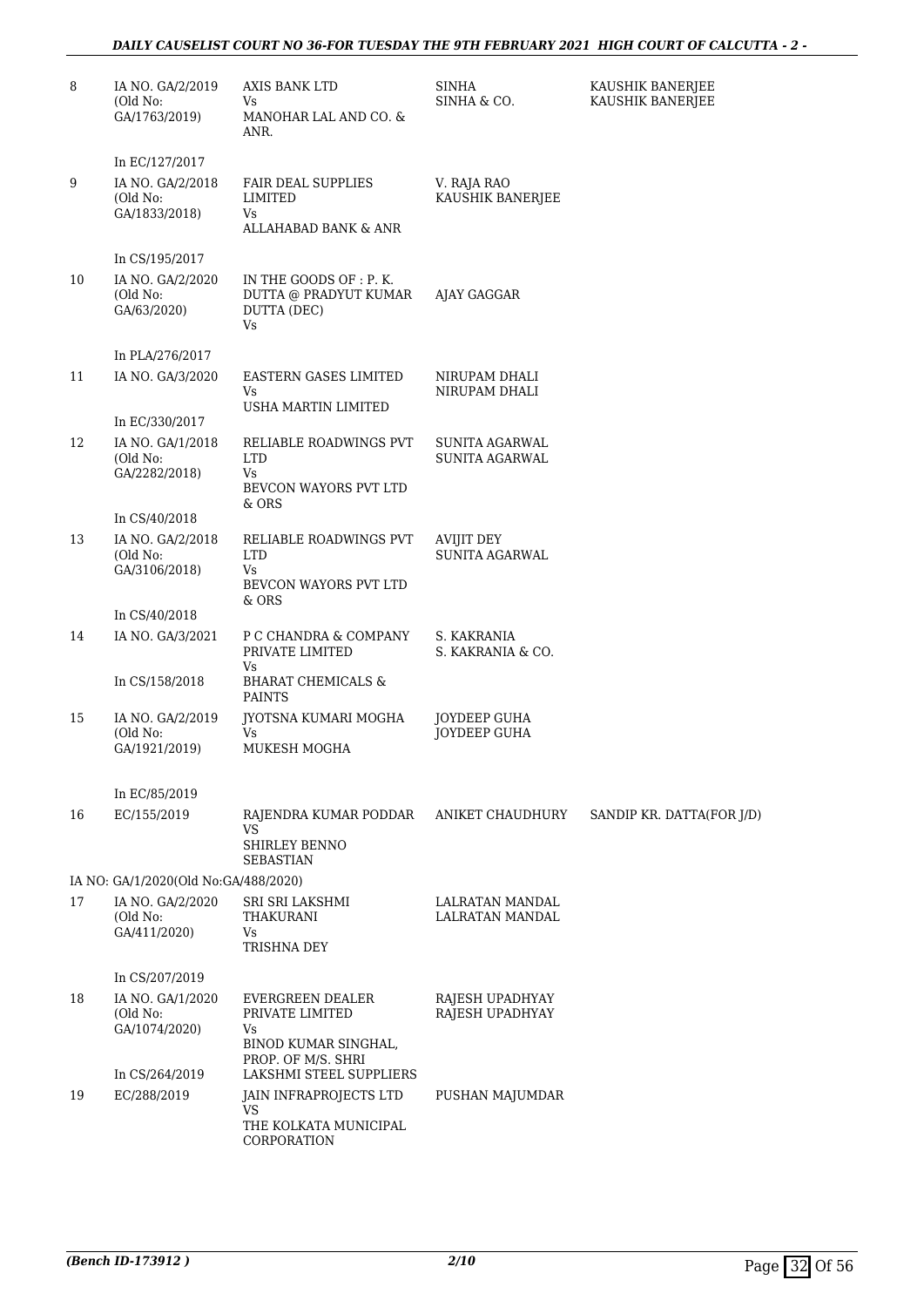#### *DAILY CAUSELIST COURT NO 36-FOR TUESDAY THE 9TH FEBRUARY 2021 HIGH COURT OF CALCUTTA - 2 -*

| 8  | IA NO. GA/2/2019<br>(Old No:<br>GA/1763/2019)                   | AXIS BANK LTD<br>Vs.<br>MANOHAR LAL AND CO. &<br>ANR.                                   | SINHA<br>SINHA & CO.                | KAUSHIK BANERJEE<br>KAUSHIK BANERJEE |
|----|-----------------------------------------------------------------|-----------------------------------------------------------------------------------------|-------------------------------------|--------------------------------------|
| 9  | In EC/127/2017<br>IA NO. GA/2/2018<br>(Old No:<br>GA/1833/2018) | <b>FAIR DEAL SUPPLIES</b><br>LIMITED<br>Vs<br>ALLAHABAD BANK & ANR                      | V. RAJA RAO<br>KAUSHIK BANERJEE     |                                      |
| 10 | In CS/195/2017<br>IA NO. GA/2/2020<br>(Old No:<br>GA/63/2020)   | IN THE GOODS OF : P. K.<br>DUTTA @ PRADYUT KUMAR<br>DUTTA (DEC)<br>Vs                   | AJAY GAGGAR                         |                                      |
|    | In PLA/276/2017                                                 |                                                                                         |                                     |                                      |
| 11 | IA NO. GA/3/2020                                                | EASTERN GASES LIMITED<br>Vs<br>USHA MARTIN LIMITED                                      | NIRUPAM DHALI<br>NIRUPAM DHALI      |                                      |
|    | In EC/330/2017                                                  |                                                                                         |                                     |                                      |
| 12 | IA NO. GA/1/2018<br>(Old No:<br>GA/2282/2018)                   | RELIABLE ROADWINGS PVT<br><b>LTD</b><br>Vs<br>BEVCON WAYORS PVT LTD<br>& ORS            | SUNITA AGARWAL<br>SUNITA AGARWAL    |                                      |
|    | In CS/40/2018                                                   |                                                                                         |                                     |                                      |
| 13 | IA NO. GA/2/2018<br>(Old No:<br>GA/3106/2018)                   | RELIABLE ROADWINGS PVT<br><b>LTD</b><br>Vs<br>BEVCON WAYORS PVT LTD                     | AVIJIT DEY<br>SUNITA AGARWAL        |                                      |
|    | In CS/40/2018                                                   | & ORS                                                                                   |                                     |                                      |
| 14 | IA NO. GA/3/2021                                                | P C CHANDRA & COMPANY<br>PRIVATE LIMITED<br>Vs                                          | S. KAKRANIA<br>S. KAKRANIA & CO.    |                                      |
|    | In CS/158/2018                                                  | <b>BHARAT CHEMICALS &amp;</b><br><b>PAINTS</b>                                          |                                     |                                      |
| 15 | IA NO. GA/2/2019<br>(Old No:<br>GA/1921/2019)                   | JYOTSNA KUMARI MOGHA<br>Vs<br>MUKESH MOGHA                                              | <b>JOYDEEP GUHA</b><br>JOYDEEP GUHA |                                      |
|    | In EC/85/2019                                                   |                                                                                         |                                     |                                      |
| 16 | EC/155/2019                                                     | RAJENDRA KUMAR PODDAR<br>VS<br><b>SHIRLEY BENNO</b><br>SEBASTIAN                        | ANIKET CHAUDHURY                    | SANDIP KR. DATTA(FOR J/D)            |
|    | IA NO: GA/1/2020(Old No:GA/488/2020)                            |                                                                                         |                                     |                                      |
| 17 | IA NO. GA/2/2020<br>(Old No:<br>GA/411/2020)                    | SRI SRI LAKSHMI<br>THAKURANI<br>Vs.<br>TRISHNA DEY                                      | LALRATAN MANDAL<br>LALRATAN MANDAL  |                                      |
|    | In CS/207/2019                                                  |                                                                                         |                                     |                                      |
| 18 | IA NO. GA/1/2020<br>(Old No:<br>GA/1074/2020)                   | EVERGREEN DEALER<br>PRIVATE LIMITED<br>Vs<br>BINOD KUMAR SINGHAL,<br>PROP. OF M/S. SHRI | RAJESH UPADHYAY<br>RAJESH UPADHYAY  |                                      |
|    | In CS/264/2019                                                  | LAKSHMI STEEL SUPPLIERS                                                                 |                                     |                                      |
| 19 | EC/288/2019                                                     | JAIN INFRAPROJECTS LTD<br>VS<br>THE KOLKATA MUNICIPAL<br>CORPORATION                    | PUSHAN MAJUMDAR                     |                                      |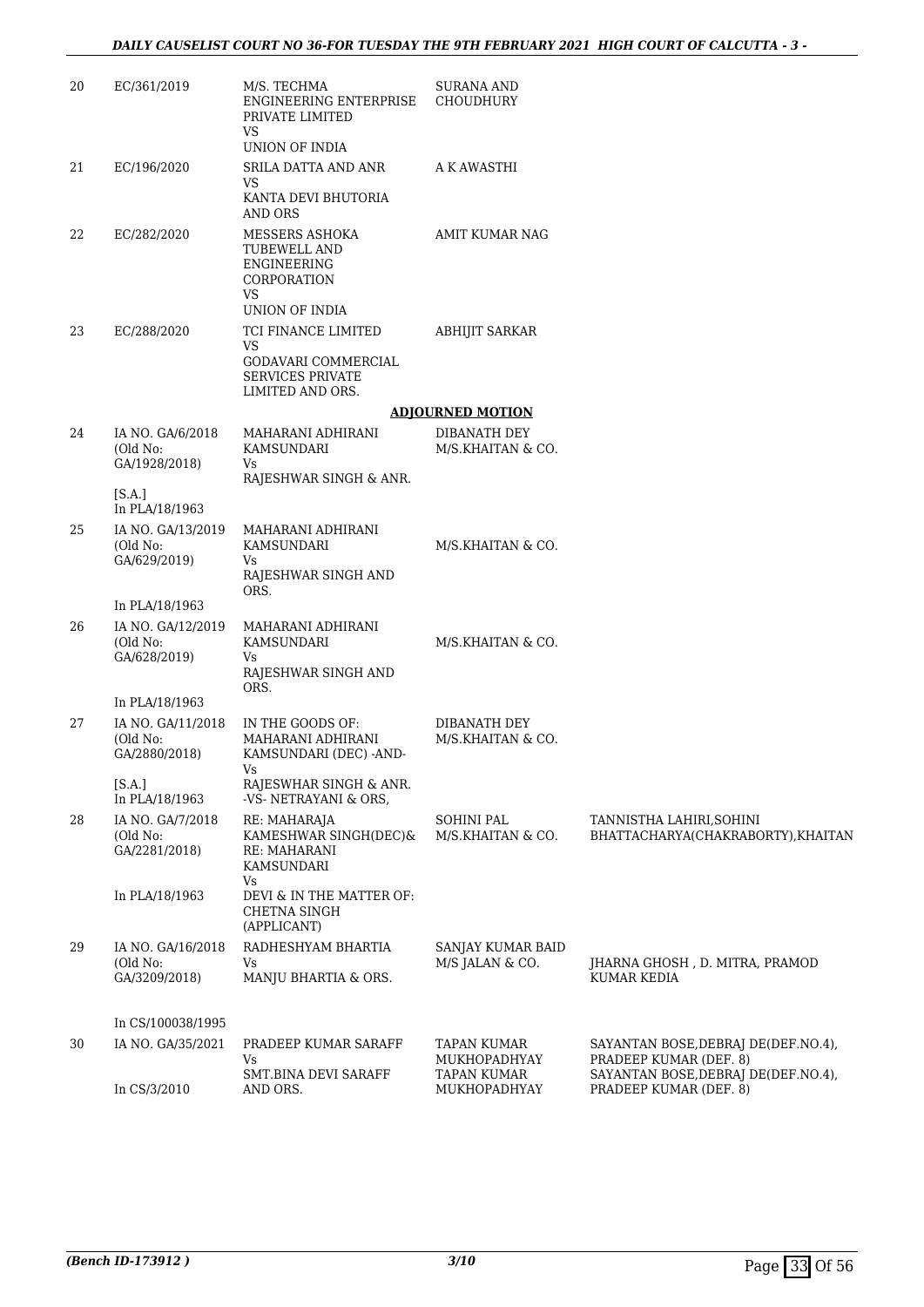| 20 | EC/361/2019                                    | M/S. TECHMA<br><b>ENGINEERING ENTERPRISE</b><br>PRIVATE LIMITED<br>VS                              | <b>SURANA AND</b><br>CHOUDHURY         |                                                                |
|----|------------------------------------------------|----------------------------------------------------------------------------------------------------|----------------------------------------|----------------------------------------------------------------|
|    |                                                | UNION OF INDIA                                                                                     |                                        |                                                                |
| 21 | EC/196/2020                                    | SRILA DATTA AND ANR<br>VS                                                                          | A K AWASTHI                            |                                                                |
|    |                                                | KANTA DEVI BHUTORIA<br><b>AND ORS</b>                                                              |                                        |                                                                |
| 22 | EC/282/2020                                    | MESSERS ASHOKA<br>TUBEWELL AND<br><b>ENGINEERING</b><br>CORPORATION<br>VS<br><b>UNION OF INDIA</b> | <b>AMIT KUMAR NAG</b>                  |                                                                |
| 23 | EC/288/2020                                    | TCI FINANCE LIMITED                                                                                | <b>ABHIJIT SARKAR</b>                  |                                                                |
|    |                                                | VS<br>GODAVARI COMMERCIAL<br><b>SERVICES PRIVATE</b><br>LIMITED AND ORS.                           |                                        |                                                                |
|    |                                                |                                                                                                    | <b>ADJOURNED MOTION</b>                |                                                                |
| 24 | IA NO. GA/6/2018<br>(Old No:                   | MAHARANI ADHIRANI<br><b>KAMSUNDARI</b>                                                             | DIBANATH DEY<br>M/S.KHAITAN & CO.      |                                                                |
|    | GA/1928/2018)                                  | Vs<br>RAJESHWAR SINGH & ANR.                                                                       |                                        |                                                                |
|    | [S.A.]<br>In PLA/18/1963                       |                                                                                                    |                                        |                                                                |
| 25 | IA NO. GA/13/2019<br>(Old No:<br>GA/629/2019)  | MAHARANI ADHIRANI<br>KAMSUNDARI<br>Vs<br>RAJESHWAR SINGH AND                                       | M/S.KHAITAN & CO.                      |                                                                |
|    | In PLA/18/1963                                 | ORS.                                                                                               |                                        |                                                                |
| 26 | IA NO. GA/12/2019<br>(Old No:<br>GA/628/2019)  | MAHARANI ADHIRANI<br>KAMSUNDARI<br>Vs<br>RAJESHWAR SINGH AND<br>ORS.                               | M/S.KHAITAN & CO.                      |                                                                |
|    | In PLA/18/1963                                 |                                                                                                    |                                        |                                                                |
| 27 | IA NO. GA/11/2018<br>(Old No:<br>GA/2880/2018) | IN THE GOODS OF:<br>MAHARANI ADHIRANI<br>KAMSUNDARI (DEC) -AND-<br>Vs                              | DIBANATH DEY<br>M/S.KHAITAN & CO.      |                                                                |
|    | [SA.]<br>In PLA/18/1963                        | RAJESWHAR SINGH & ANR.<br>-VS- NETRAYANI & ORS,                                                    |                                        |                                                                |
| 28 | IA NO. GA/7/2018<br>(Old No:<br>GA/2281/2018)  | RE: MAHARAJA<br>KAMESHWAR SINGH(DEC)&<br>RE: MAHARANI<br>KAMSUNDARI<br>Vs                          | <b>SOHINI PAL</b><br>M/S.KHAITAN & CO. | TANNISTHA LAHIRI, SOHINI<br>BHATTACHARYA(CHAKRABORTY), KHAITAN |
|    | In PLA/18/1963                                 | DEVI & IN THE MATTER OF:<br>CHETNA SINGH<br>(APPLICANT)                                            |                                        |                                                                |
| 29 | IA NO. GA/16/2018<br>(Old No:<br>GA/3209/2018) | RADHESHYAM BHARTIA<br>Vs<br>MANJU BHARTIA & ORS.                                                   | SANJAY KUMAR BAID<br>M/S JALAN & CO.   | JHARNA GHOSH, D. MITRA, PRAMOD<br>KUMAR KEDIA                  |
|    | In CS/100038/1995                              |                                                                                                    |                                        |                                                                |
| 30 | IA NO. GA/35/2021                              | PRADEEP KUMAR SARAFF<br>Vs                                                                         | <b>TAPAN KUMAR</b><br>MUKHOPADHYAY     | SAYANTAN BOSE, DEBRAJ DE(DEF.NO.4),<br>PRADEEP KUMAR (DEF. 8)  |
|    | In CS/3/2010                                   | SMT.BINA DEVI SARAFF<br>AND ORS.                                                                   | <b>TAPAN KUMAR</b><br>MUKHOPADHYAY     | SAYANTAN BOSE, DEBRAJ DE(DEF.NO.4),<br>PRADEEP KUMAR (DEF. 8)  |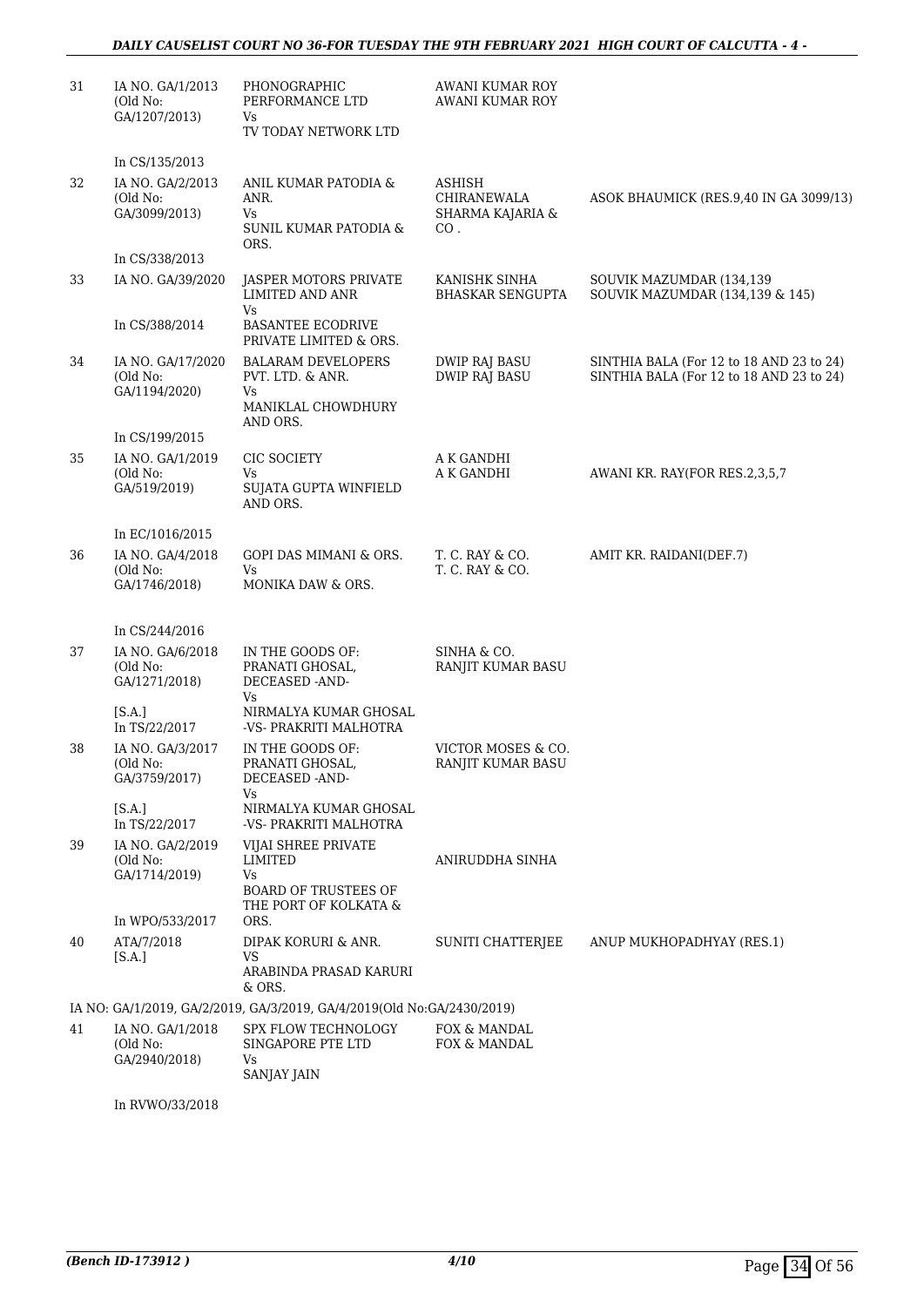| 31 | IA NO. GA/1/2013<br>(Old No:<br>GA/1207/2013)                                     | PHONOGRAPHIC<br>PERFORMANCE LTD<br>Vs<br>TV TODAY NETWORK LTD                                | <b>AWANI KUMAR ROY</b><br><b>AWANI KUMAR ROY</b>        |                                                                                      |
|----|-----------------------------------------------------------------------------------|----------------------------------------------------------------------------------------------|---------------------------------------------------------|--------------------------------------------------------------------------------------|
| 32 | In CS/135/2013<br>IA NO. GA/2/2013<br>(Old No:<br>GA/3099/2013)<br>In CS/338/2013 | ANIL KUMAR PATODIA &<br>ANR.<br>Vs<br>SUNIL KUMAR PATODIA &<br>ORS.                          | <b>ASHISH</b><br>CHIRANEWALA<br>SHARMA KAJARIA &<br>CO. | ASOK BHAUMICK (RES.9,40 IN GA 3099/13)                                               |
| 33 | IA NO. GA/39/2020                                                                 | JASPER MOTORS PRIVATE<br><b>LIMITED AND ANR</b><br>Vs                                        | KANISHK SINHA<br><b>BHASKAR SENGUPTA</b>                | SOUVIK MAZUMDAR (134,139<br>SOUVIK MAZUMDAR (134,139 & 145)                          |
|    | In CS/388/2014                                                                    | <b>BASANTEE ECODRIVE</b><br>PRIVATE LIMITED & ORS.                                           |                                                         |                                                                                      |
| 34 | IA NO. GA/17/2020<br>(Old No:<br>GA/1194/2020)                                    | <b>BALARAM DEVELOPERS</b><br>PVT. LTD. & ANR.<br>Vs<br>MANIKLAL CHOWDHURY<br>AND ORS.        | DWIP RAJ BASU<br><b>DWIP RAJ BASU</b>                   | SINTHIA BALA (For 12 to 18 AND 23 to 24)<br>SINTHIA BALA (For 12 to 18 AND 23 to 24) |
|    | In CS/199/2015                                                                    |                                                                                              |                                                         |                                                                                      |
| 35 | IA NO. GA/1/2019<br>(Old No:<br>GA/519/2019)                                      | CIC SOCIETY<br>Vs<br>SUJATA GUPTA WINFIELD<br>AND ORS.                                       | A K GANDHI<br>A K GANDHI                                | AWANI KR. RAY(FOR RES.2,3,5,7                                                        |
|    | In EC/1016/2015                                                                   |                                                                                              |                                                         |                                                                                      |
| 36 | IA NO. GA/4/2018<br>(Old No:<br>GA/1746/2018)                                     | <b>GOPI DAS MIMANI &amp; ORS.</b><br>Vs<br>MONIKA DAW & ORS.                                 | T. C. RAY & CO.<br>T. C. RAY & CO.                      | AMIT KR. RAIDANI(DEF.7)                                                              |
|    | In CS/244/2016                                                                    |                                                                                              |                                                         |                                                                                      |
| 37 | IA NO. GA/6/2018<br>(Old No:<br>GA/1271/2018)                                     | IN THE GOODS OF:<br>PRANATI GHOSAL,<br>DECEASED -AND-<br>Vs                                  | SINHA & CO.<br>RANJIT KUMAR BASU                        |                                                                                      |
|    | [ <b>S.A.</b> ]<br>In TS/22/2017                                                  | NIRMALYA KUMAR GHOSAL<br>-VS- PRAKRITI MALHOTRA                                              |                                                         |                                                                                      |
| 38 | IA NO. GA/3/2017<br>(Old No:<br>GA/3759/2017)                                     | IN THE GOODS OF:<br>PRANATI GHOSAL,<br>DECEASED -AND-<br>Vs                                  | VICTOR MOSES & CO.<br>RANJIT KUMAR BASU                 |                                                                                      |
|    | [S.A.]<br>In TS/22/2017                                                           | NIRMALYA KUMAR GHOSAL<br>-VS- PRAKRITI MALHOTRA                                              |                                                         |                                                                                      |
| 39 | IA NO. GA/2/2019<br>(Old No:<br>GA/1714/2019)                                     | VIJAI SHREE PRIVATE<br>LIMITED<br>Vs<br><b>BOARD OF TRUSTEES OF</b><br>THE PORT OF KOLKATA & | ANIRUDDHA SINHA                                         |                                                                                      |
|    | In WPO/533/2017                                                                   | ORS.                                                                                         |                                                         |                                                                                      |
| 40 | ATA/7/2018<br>[S.A.]                                                              | DIPAK KORURI & ANR.<br>VS                                                                    | SUNITI CHATTERJEE                                       | ANUP MUKHOPADHYAY (RES.1)                                                            |
|    |                                                                                   | ARABINDA PRASAD KARURI<br>& ORS.                                                             |                                                         |                                                                                      |
|    |                                                                                   | IA NO: GA/1/2019, GA/2/2019, GA/3/2019, GA/4/2019(Old No:GA/2430/2019)                       |                                                         |                                                                                      |
| 41 | IA NO. GA/1/2018<br>(Old No:<br>GA/2940/2018)                                     | SPX FLOW TECHNOLOGY<br>SINGAPORE PTE LTD<br>Vs<br><b>SANJAY JAIN</b>                         | FOX & MANDAL<br>FOX & MANDAL                            |                                                                                      |

In RVWO/33/2018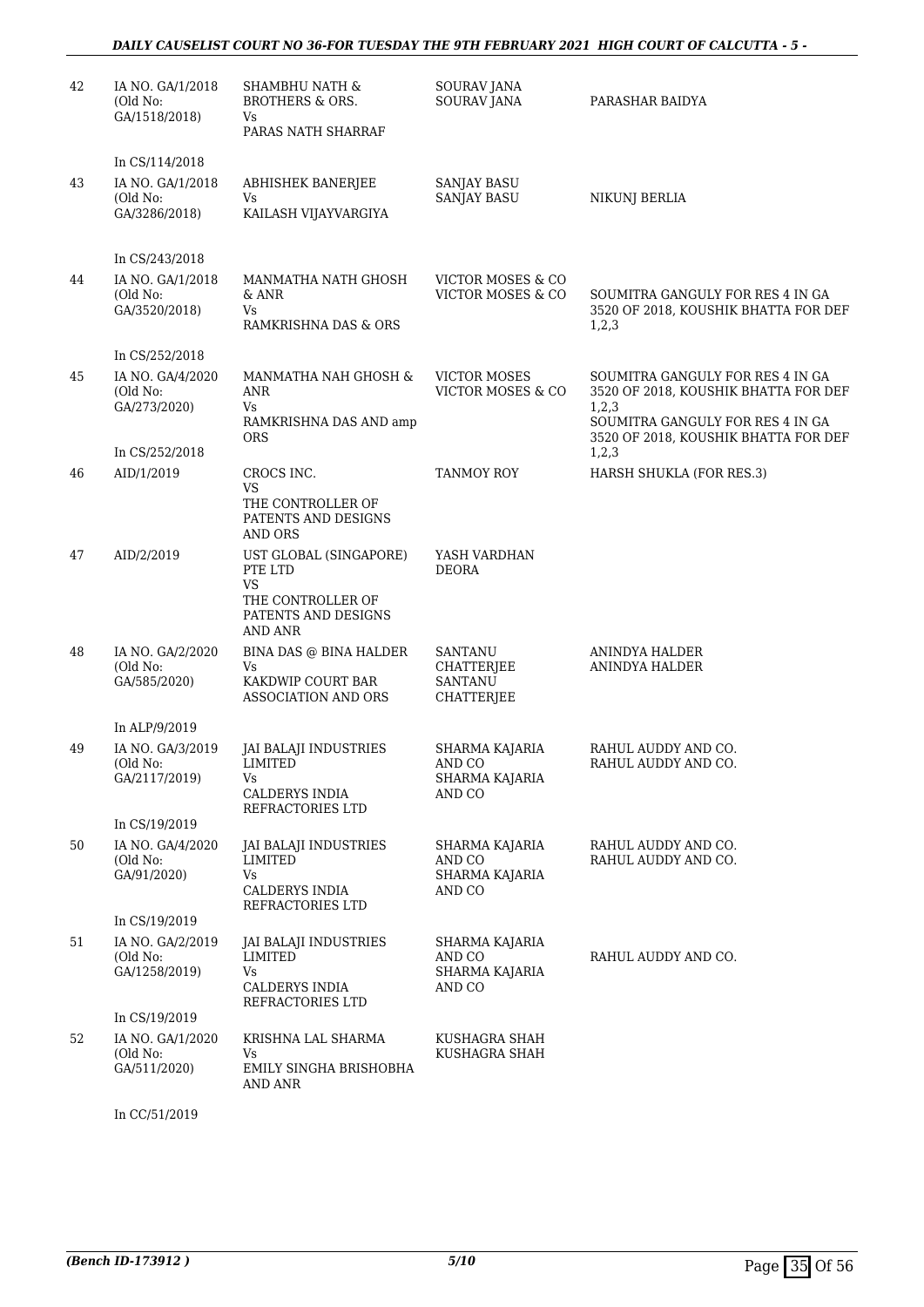| 42 | IA NO. GA/1/2018<br>(Old No:<br>GA/1518/2018) | <b>SHAMBHU NATH &amp;</b><br><b>BROTHERS &amp; ORS.</b><br>Vs<br>PARAS NATH SHARRAF                   | SOURAV JANA<br><b>SOURAV JANA</b>                                   | PARASHAR BAIDYA                                                                                                                                               |
|----|-----------------------------------------------|-------------------------------------------------------------------------------------------------------|---------------------------------------------------------------------|---------------------------------------------------------------------------------------------------------------------------------------------------------------|
|    | In CS/114/2018                                |                                                                                                       |                                                                     |                                                                                                                                                               |
| 43 | IA NO. GA/1/2018<br>(Old No:<br>GA/3286/2018) | ABHISHEK BANERJEE<br>Vs<br>KAILASH VIJAYVARGIYA                                                       | SANJAY BASU<br><b>SANJAY BASU</b>                                   | <b>NIKUNJ BERLIA</b>                                                                                                                                          |
|    |                                               |                                                                                                       |                                                                     |                                                                                                                                                               |
|    | In CS/243/2018                                |                                                                                                       |                                                                     |                                                                                                                                                               |
| 44 | IA NO. GA/1/2018<br>(Old No:<br>GA/3520/2018) | MANMATHA NATH GHOSH<br>& ANR<br>Vs<br>RAMKRISHNA DAS & ORS                                            | VICTOR MOSES & CO<br>VICTOR MOSES & CO                              | SOUMITRA GANGULY FOR RES 4 IN GA<br>3520 OF 2018, KOUSHIK BHATTA FOR DEF<br>1,2,3                                                                             |
|    | In CS/252/2018                                |                                                                                                       |                                                                     |                                                                                                                                                               |
| 45 | IA NO. GA/4/2020<br>(Old No:<br>GA/273/2020)  | MANMATHA NAH GHOSH &<br>ANR<br>Vs<br>RAMKRISHNA DAS AND amp<br><b>ORS</b>                             | <b>VICTOR MOSES</b><br>VICTOR MOSES & CO                            | SOUMITRA GANGULY FOR RES 4 IN GA<br>3520 OF 2018, KOUSHIK BHATTA FOR DEF<br>1,2,3<br>SOUMITRA GANGULY FOR RES 4 IN GA<br>3520 OF 2018, KOUSHIK BHATTA FOR DEF |
|    | In CS/252/2018                                |                                                                                                       |                                                                     | 1, 2, 3                                                                                                                                                       |
| 46 | AID/1/2019                                    | CROCS INC.<br>VS<br>THE CONTROLLER OF<br>PATENTS AND DESIGNS<br><b>AND ORS</b>                        | TANMOY ROY                                                          | HARSH SHUKLA (FOR RES.3)                                                                                                                                      |
| 47 | AID/2/2019                                    | UST GLOBAL (SINGAPORE)<br>PTE LTD<br><b>VS</b><br>THE CONTROLLER OF<br>PATENTS AND DESIGNS<br>AND ANR | YASH VARDHAN<br><b>DEORA</b>                                        |                                                                                                                                                               |
| 48 | IA NO. GA/2/2020<br>(Old No:<br>GA/585/2020)  | BINA DAS @ BINA HALDER<br>Vs<br>KAKDWIP COURT BAR<br>ASSOCIATION AND ORS                              | <b>SANTANU</b><br><b>CHATTERJEE</b><br><b>SANTANU</b><br>CHATTERJEE | ANINDYA HALDER<br>ANINDYA HALDER                                                                                                                              |
|    | In ALP/9/2019                                 |                                                                                                       |                                                                     |                                                                                                                                                               |
| 49 | IA NO. GA/3/2019<br>(Old No:<br>GA/2117/2019) | JAI BALAJI INDUSTRIES<br>LIMITED<br>Vs<br><b>CALDERYS INDIA</b><br>REFRACTORIES LTD                   | SHARMA KAJARIA<br>AND CO<br>SHARMA KAJARIA<br>AND CO                | RAHUL AUDDY AND CO.<br>RAHUL AUDDY AND CO.                                                                                                                    |
|    | In CS/19/2019                                 |                                                                                                       |                                                                     |                                                                                                                                                               |
| 50 | IA NO. GA/4/2020<br>(Old No:<br>GA/91/2020)   | JAI BALAJI INDUSTRIES<br>LIMITED<br>Vs<br>CALDERYS INDIA<br>REFRACTORIES LTD                          | SHARMA KAJARIA<br>AND CO<br>SHARMA KAJARIA<br>AND CO                | RAHUL AUDDY AND CO.<br>RAHUL AUDDY AND CO.                                                                                                                    |
|    | In CS/19/2019                                 |                                                                                                       |                                                                     |                                                                                                                                                               |
| 51 | IA NO. GA/2/2019<br>(Old No:<br>GA/1258/2019) | JAI BALAJI INDUSTRIES<br>LIMITED<br>Vs<br>CALDERYS INDIA<br>REFRACTORIES LTD                          | SHARMA KAJARIA<br>AND CO<br>SHARMA KAJARIA<br>AND CO                | RAHUL AUDDY AND CO.                                                                                                                                           |
|    | In CS/19/2019                                 |                                                                                                       |                                                                     |                                                                                                                                                               |
| 52 | IA NO. GA/1/2020<br>(Old No:<br>GA/511/2020)  | KRISHNA LAL SHARMA<br>Vs<br>EMILY SINGHA BRISHOBHA<br>AND ANR                                         | KUSHAGRA SHAH<br>KUSHAGRA SHAH                                      |                                                                                                                                                               |

In CC/51/2019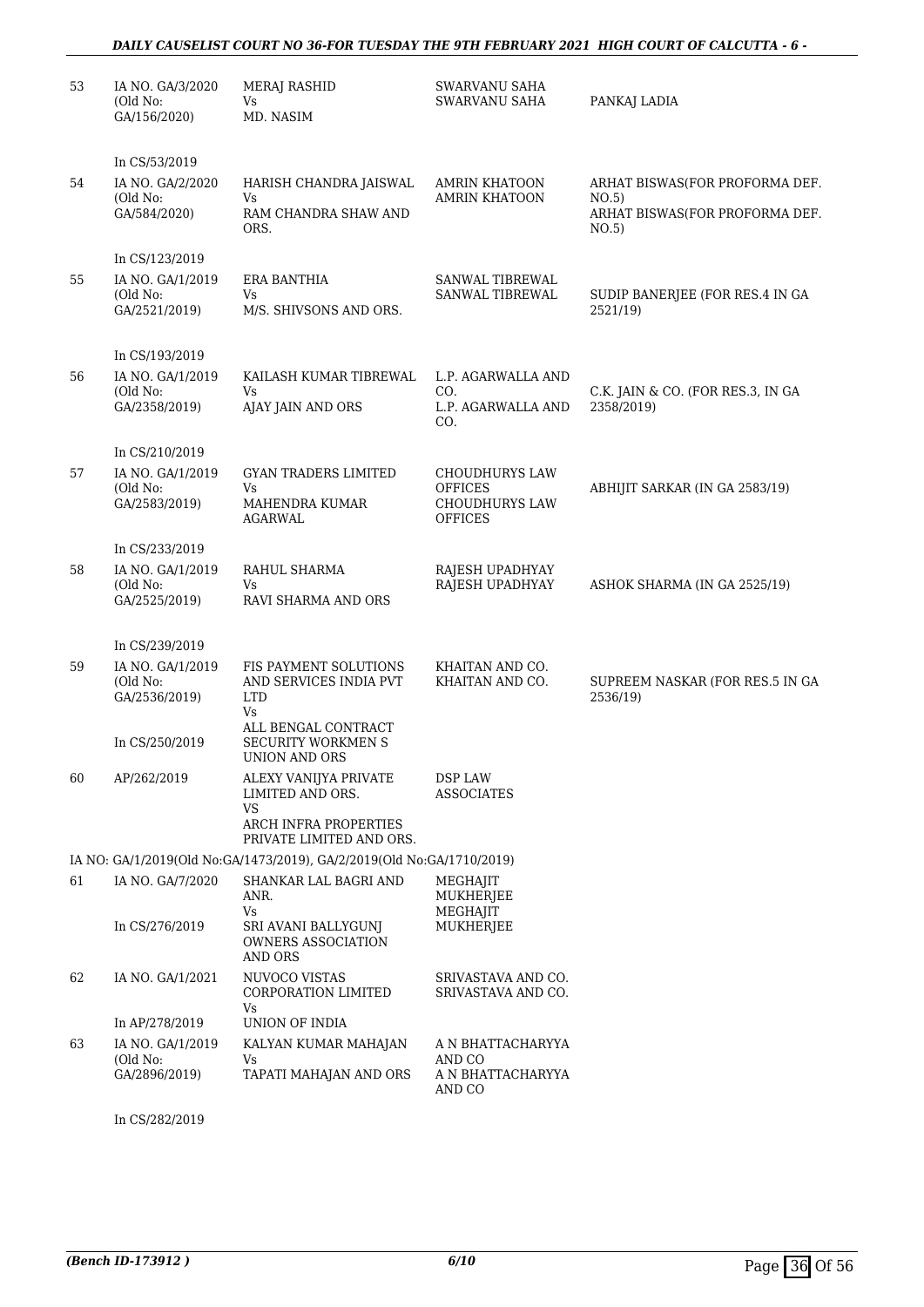#### *DAILY CAUSELIST COURT NO 36-FOR TUESDAY THE 9TH FEBRUARY 2021 HIGH COURT OF CALCUTTA - 6 -*

| 53 | IA NO. GA/3/2020<br>(Old No:<br>GA/156/2020)                                      | <b>MERAJ RASHID</b><br>Vs<br>MD. NASIM                                                                                            | SWARVANU SAHA<br><b>SWARVANU SAHA</b>                                              | PANKAJ LADIA                                                                       |
|----|-----------------------------------------------------------------------------------|-----------------------------------------------------------------------------------------------------------------------------------|------------------------------------------------------------------------------------|------------------------------------------------------------------------------------|
| 54 | In CS/53/2019<br>IA NO. GA/2/2020<br>(Old No:<br>GA/584/2020)                     | HARISH CHANDRA JAISWAL<br>Vs<br>RAM CHANDRA SHAW AND<br>ORS.                                                                      | AMRIN KHATOON<br><b>AMRIN KHATOON</b>                                              | ARHAT BISWAS(FOR PROFORMA DEF.<br>NO.5)<br>ARHAT BISWAS(FOR PROFORMA DEF.<br>NO.5) |
| 55 | In CS/123/2019<br>IA NO. GA/1/2019<br>(Old No:<br>GA/2521/2019)                   | <b>ERA BANTHIA</b><br>Vs<br>M/S. SHIVSONS AND ORS.                                                                                | SANWAL TIBREWAL<br>SANWAL TIBREWAL                                                 | SUDIP BANERJEE (FOR RES.4 IN GA<br>2521/19)                                        |
| 56 | In CS/193/2019<br>IA NO. GA/1/2019<br>(Old No:<br>GA/2358/2019)                   | KAILASH KUMAR TIBREWAL<br>Vs<br>AJAY JAIN AND ORS                                                                                 | L.P. AGARWALLA AND<br>CO.<br>L.P. AGARWALLA AND<br>CO.                             | C.K. JAIN & CO. (FOR RES.3, IN GA<br>2358/2019)                                    |
| 57 | In CS/210/2019<br>IA NO. GA/1/2019<br>(Old No:<br>GA/2583/2019)                   | <b>GYAN TRADERS LIMITED</b><br>Vs<br>MAHENDRA KUMAR<br><b>AGARWAL</b>                                                             | <b>CHOUDHURYS LAW</b><br><b>OFFICES</b><br><b>CHOUDHURYS LAW</b><br><b>OFFICES</b> | ABHIJIT SARKAR (IN GA 2583/19)                                                     |
| 58 | In CS/233/2019<br>IA NO. GA/1/2019<br>(Old No:<br>GA/2525/2019)                   | RAHUL SHARMA<br>Vs<br>RAVI SHARMA AND ORS                                                                                         | RAJESH UPADHYAY<br>RAJESH UPADHYAY                                                 | ASHOK SHARMA (IN GA 2525/19)                                                       |
| 59 | In CS/239/2019<br>IA NO. GA/1/2019<br>(Old No:<br>GA/2536/2019)<br>In CS/250/2019 | FIS PAYMENT SOLUTIONS<br>AND SERVICES INDIA PVT<br><b>LTD</b><br>Vs<br>ALL BENGAL CONTRACT<br>SECURITY WORKMEN S<br>UNION AND ORS | KHAITAN AND CO.<br>KHAITAN AND CO.                                                 | SUPREEM NASKAR (FOR RES.5 IN GA<br>2536/19)                                        |
| 60 | AP/262/2019                                                                       | ALEXY VANIJYA PRIVATE<br>LIMITED AND ORS.<br><b>VS</b><br>ARCH INFRA PROPERTIES<br>PRIVATE LIMITED AND ORS.                       | DSP LAW<br><b>ASSOCIATES</b>                                                       |                                                                                    |
|    |                                                                                   | IA NO: GA/1/2019(Old No:GA/1473/2019), GA/2/2019(Old No:GA/1710/2019)                                                             |                                                                                    |                                                                                    |
| 61 | IA NO. GA/7/2020<br>In CS/276/2019                                                | SHANKAR LAL BAGRI AND<br>ANR.<br>Vs<br>SRI AVANI BALLYGUNJ<br>OWNERS ASSOCIATION<br>AND ORS                                       | MEGHAJIT<br><b>MUKHERJEE</b><br>MEGHAIIT<br>MUKHERJEE                              |                                                                                    |
| 62 | IA NO. GA/1/2021<br>In AP/278/2019                                                | NUVOCO VISTAS<br>CORPORATION LIMITED<br>Vs<br>UNION OF INDIA                                                                      | SRIVASTAVA AND CO.<br>SRIVASTAVA AND CO.                                           |                                                                                    |
| 63 | IA NO. GA/1/2019<br>(Old No:<br>GA/2896/2019)                                     | KALYAN KUMAR MAHAJAN<br>Vs<br>TAPATI MAHAJAN AND ORS                                                                              | A N BHATTACHARYYA<br>AND CO<br>A N BHATTACHARYYA<br>AND CO                         |                                                                                    |
|    | In CS/282/2019                                                                    |                                                                                                                                   |                                                                                    |                                                                                    |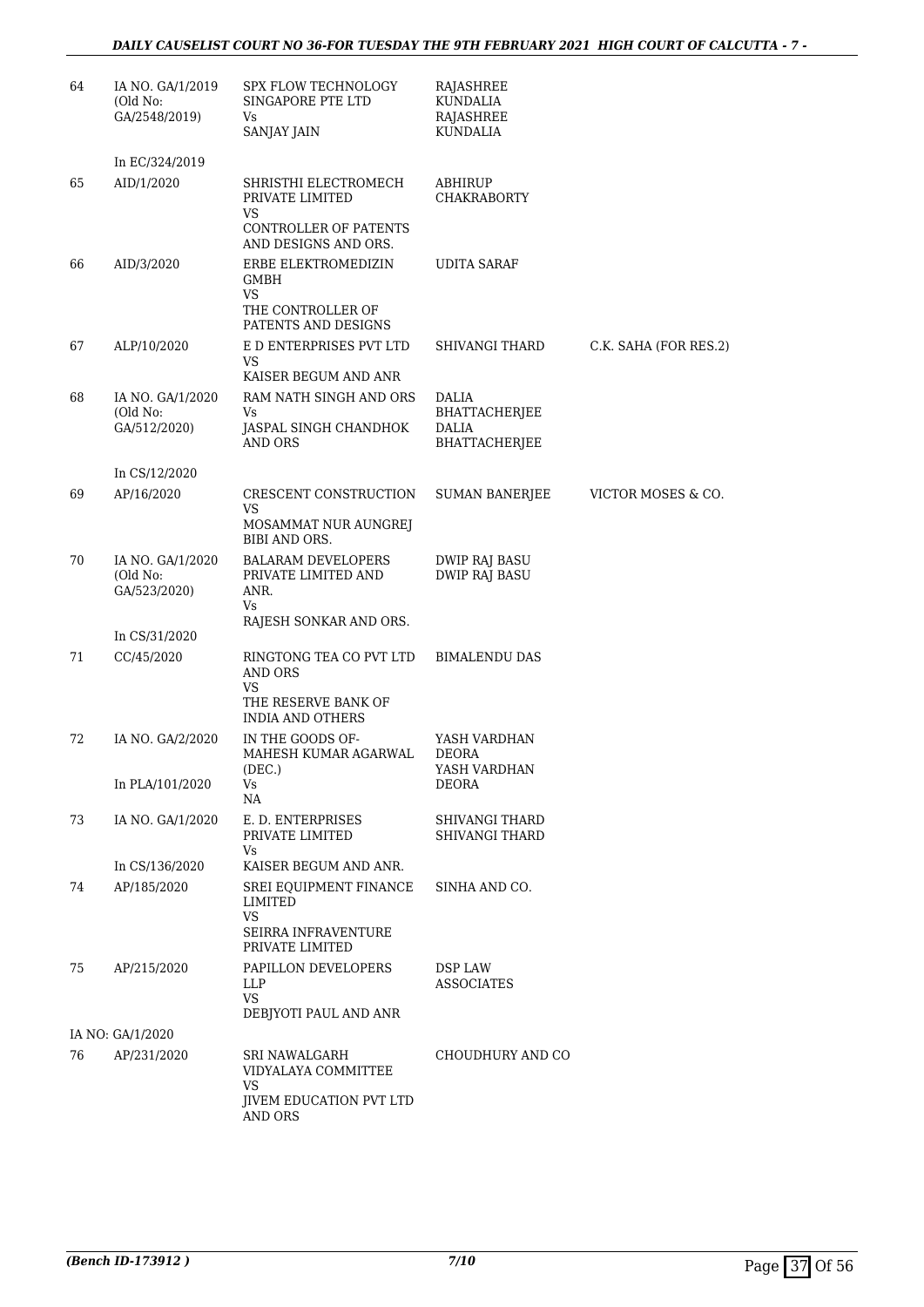| 64 | IA NO. GA/1/2019<br>(Old No:<br>GA/2548/2019) | SPX FLOW TECHNOLOGY<br>SINGAPORE PTE LTD<br>Vs<br><b>SANJAY JAIN</b>                     | RAJASHREE<br><b>KUNDALIA</b><br>RAJASHREE<br>KUNDALIA |                       |
|----|-----------------------------------------------|------------------------------------------------------------------------------------------|-------------------------------------------------------|-----------------------|
|    | In EC/324/2019                                |                                                                                          |                                                       |                       |
| 65 | AID/1/2020                                    | SHRISTHI ELECTROMECH<br>PRIVATE LIMITED<br>VS                                            | ABHIRUP<br><b>CHAKRABORTY</b>                         |                       |
|    |                                               | CONTROLLER OF PATENTS<br>AND DESIGNS AND ORS.                                            |                                                       |                       |
| 66 | AID/3/2020                                    | ERBE ELEKTROMEDIZIN<br>GMBH<br><b>VS</b>                                                 | <b>UDITA SARAF</b>                                    |                       |
|    |                                               | THE CONTROLLER OF<br>PATENTS AND DESIGNS                                                 |                                                       |                       |
| 67 | ALP/10/2020                                   | E D ENTERPRISES PVT LTD<br>VS.                                                           | SHIVANGI THARD                                        | C.K. SAHA (FOR RES.2) |
| 68 |                                               | KAISER BEGUM AND ANR<br>RAM NATH SINGH AND ORS                                           | <b>DALIA</b>                                          |                       |
|    | IA NO. GA/1/2020<br>(Old No:<br>GA/512/2020)  | Vs<br>JASPAL SINGH CHANDHOK<br>AND ORS                                                   | <b>BHATTACHERIEE</b><br><b>DALIA</b><br>BHATTACHERJEE |                       |
|    |                                               |                                                                                          |                                                       |                       |
| 69 | In CS/12/2020<br>AP/16/2020                   | CRESCENT CONSTRUCTION                                                                    | SUMAN BANERJEE                                        | VICTOR MOSES & CO.    |
|    |                                               | <b>VS</b><br>MOSAMMAT NUR AUNGREJ<br>BIBI AND ORS.                                       |                                                       |                       |
| 70 | IA NO. GA/1/2020<br>(Old No:<br>GA/523/2020)  | <b>BALARAM DEVELOPERS</b><br>PRIVATE LIMITED AND<br>ANR.<br>Vs                           | <b>DWIP RAJ BASU</b><br><b>DWIP RAJ BASU</b>          |                       |
|    | In CS/31/2020                                 | RAJESH SONKAR AND ORS.                                                                   |                                                       |                       |
| 71 | CC/45/2020                                    | RINGTONG TEA CO PVT LTD<br>AND ORS<br><b>VS</b>                                          | <b>BIMALENDU DAS</b>                                  |                       |
|    |                                               | THE RESERVE BANK OF<br>INDIA AND OTHERS                                                  |                                                       |                       |
| 72 | IA NO. GA/2/2020                              | IN THE GOODS OF-<br>MAHESH KUMAR AGARWAL<br>(DEC.)                                       | YASH VARDHAN<br><b>DEORA</b><br>YASH VARDHAN          |                       |
|    | In PLA/101/2020                               | Vs<br>NA                                                                                 | DEORA                                                 |                       |
| 73 | IA NO. GA/1/2020                              | E. D. ENTERPRISES<br>PRIVATE LIMITED<br>Vs                                               | <b>SHIVANGI THARD</b><br><b>SHIVANGI THARD</b>        |                       |
|    | In CS/136/2020                                | KAISER BEGUM AND ANR.                                                                    |                                                       |                       |
| 74 | AP/185/2020                                   | SREI EOUIPMENT FINANCE<br>LIMITED<br><b>VS</b>                                           | SINHA AND CO.                                         |                       |
|    |                                               | <b>SEIRRA INFRAVENTURE</b><br>PRIVATE LIMITED                                            |                                                       |                       |
| 75 | AP/215/2020                                   | PAPILLON DEVELOPERS<br><b>LLP</b><br>VS<br>DEBJYOTI PAUL AND ANR                         | <b>DSP LAW</b><br><b>ASSOCIATES</b>                   |                       |
|    | IA NO: GA/1/2020                              |                                                                                          |                                                       |                       |
| 76 | AP/231/2020                                   | SRI NAWALGARH<br>VIDYALAYA COMMITTEE<br>VS.<br><b>JIVEM EDUCATION PVT LTD</b><br>AND ORS | CHOUDHURY AND CO                                      |                       |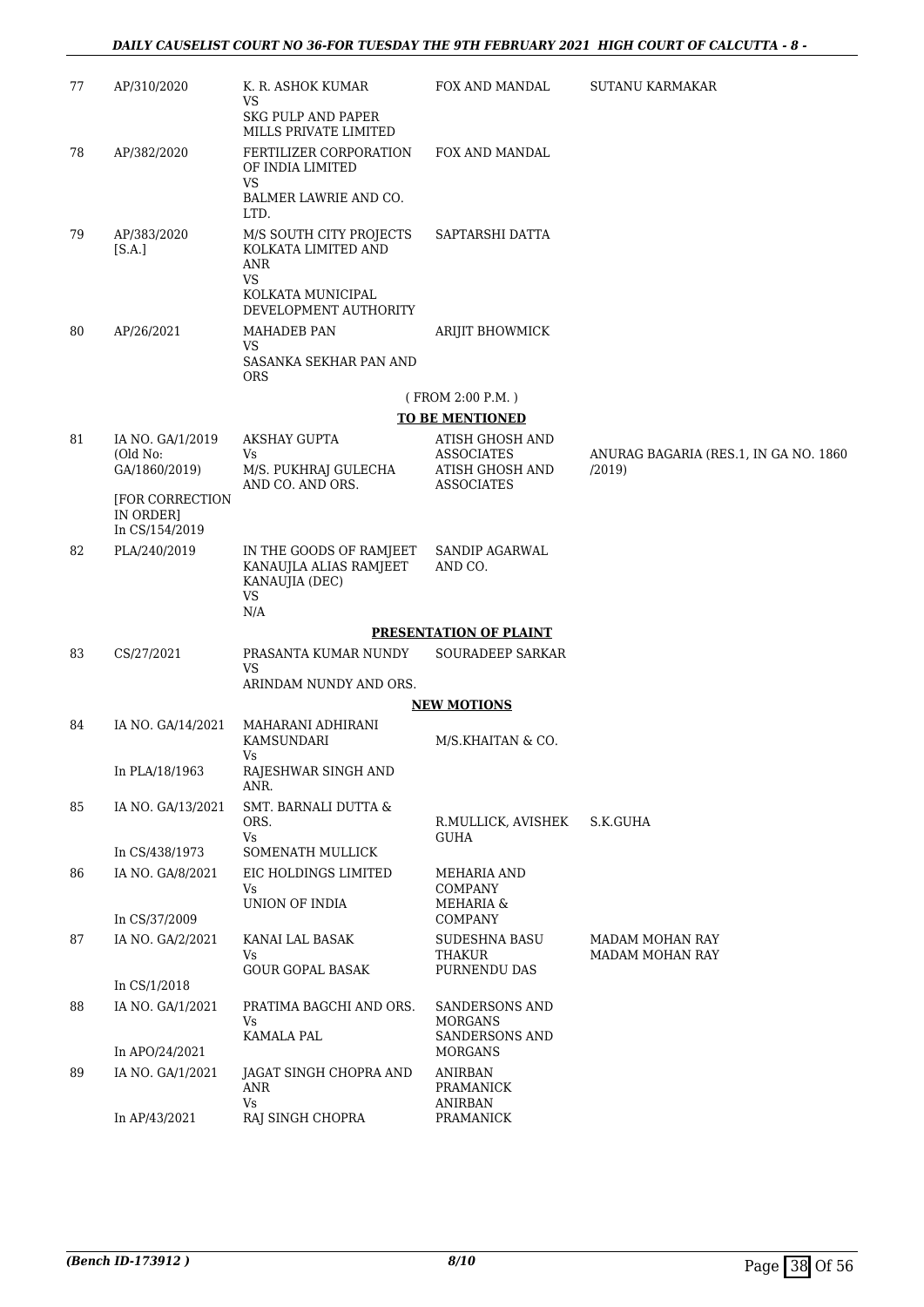| 77 | AP/310/2020                                    | K. R. ASHOK KUMAR                                                                | FOX AND MANDAL                                                                      | <b>SUTANU KARMAKAR</b>                          |
|----|------------------------------------------------|----------------------------------------------------------------------------------|-------------------------------------------------------------------------------------|-------------------------------------------------|
|    |                                                | VS<br>SKG PULP AND PAPER<br>MILLS PRIVATE LIMITED                                |                                                                                     |                                                 |
| 78 | AP/382/2020                                    | FERTILIZER CORPORATION<br>OF INDIA LIMITED<br>VS                                 | FOX AND MANDAL                                                                      |                                                 |
|    |                                                | BALMER LAWRIE AND CO.<br>LTD.                                                    |                                                                                     |                                                 |
| 79 | AP/383/2020<br>[SA.]                           | M/S SOUTH CITY PROJECTS<br>KOLKATA LIMITED AND<br><b>ANR</b><br>VS               | SAPTARSHI DATTA                                                                     |                                                 |
|    |                                                | KOLKATA MUNICIPAL<br>DEVELOPMENT AUTHORITY                                       |                                                                                     |                                                 |
| 80 | AP/26/2021                                     | MAHADEB PAN<br>VS<br>SASANKA SEKHAR PAN AND                                      | ARIJIT BHOWMICK                                                                     |                                                 |
|    |                                                | <b>ORS</b>                                                                       |                                                                                     |                                                 |
|    |                                                |                                                                                  | (FROM 2:00 P.M.)<br><b>TO BE MENTIONED</b>                                          |                                                 |
| 81 | IA NO. GA/1/2019<br>(Old No:<br>GA/1860/2019)  | AKSHAY GUPTA<br>Vs<br>M/S. PUKHRAJ GULECHA<br>AND CO. AND ORS.                   | <b>ATISH GHOSH AND</b><br><b>ASSOCIATES</b><br>ATISH GHOSH AND<br><b>ASSOCIATES</b> | ANURAG BAGARIA (RES.1, IN GA NO. 1860)<br>/2019 |
|    | [FOR CORRECTION<br>IN ORDER]<br>In CS/154/2019 |                                                                                  |                                                                                     |                                                 |
| 82 | PLA/240/2019                                   | IN THE GOODS OF RAMJEET<br>KANAUJLA ALIAS RAMJEET<br>KANAUJIA (DEC)<br><b>VS</b> | SANDIP AGARWAL<br>AND CO.                                                           |                                                 |
|    |                                                | N/A                                                                              | <b>PRESENTATION OF PLAINT</b>                                                       |                                                 |
| 83 | CS/27/2021                                     | PRASANTA KUMAR NUNDY                                                             | <b>SOURADEEP SARKAR</b>                                                             |                                                 |
|    |                                                | VS<br>ARINDAM NUNDY AND ORS.                                                     |                                                                                     |                                                 |
|    |                                                |                                                                                  | <b>NEW MOTIONS</b>                                                                  |                                                 |
| 84 | IA NO. GA/14/2021                              | MAHARANI ADHIRANI<br>KAMSUNDARI<br>Vs                                            | M/S.KHAITAN & CO.                                                                   |                                                 |
|    | In PLA/18/1963                                 | RAJESHWAR SINGH AND<br>ANR.                                                      |                                                                                     |                                                 |
| 85 | IA NO. GA/13/2021                              | SMT. BARNALI DUTTA &<br>ORS.<br>Vs                                               | R.MULLICK, AVISHEK<br><b>GUHA</b>                                                   | S.K.GUHA                                        |
|    | In CS/438/1973                                 | SOMENATH MULLICK                                                                 |                                                                                     |                                                 |
| 86 | IA NO. GA/8/2021                               | EIC HOLDINGS LIMITED<br>Vs<br>UNION OF INDIA                                     | MEHARIA AND<br><b>COMPANY</b><br>MEHARIA &                                          |                                                 |
|    | In CS/37/2009                                  |                                                                                  | <b>COMPANY</b>                                                                      |                                                 |
| 87 | IA NO. GA/2/2021                               | KANAI LAL BASAK<br>Vs<br><b>GOUR GOPAL BASAK</b>                                 | SUDESHNA BASU<br><b>THAKUR</b><br>PURNENDU DAS                                      | MADAM MOHAN RAY<br><b>MADAM MOHAN RAY</b>       |
|    | In CS/1/2018                                   |                                                                                  |                                                                                     |                                                 |
| 88 | IA NO. GA/1/2021                               | PRATIMA BAGCHI AND ORS.<br>Vs<br>KAMALA PAL                                      | SANDERSONS AND<br><b>MORGANS</b><br><b>SANDERSONS AND</b>                           |                                                 |
|    | In APO/24/2021                                 |                                                                                  | <b>MORGANS</b>                                                                      |                                                 |
| 89 | IA NO. GA/1/2021                               | JAGAT SINGH CHOPRA AND<br>ANR<br>Vs                                              | <b>ANIRBAN</b><br>PRAMANICK<br><b>ANIRBAN</b>                                       |                                                 |
|    | In AP/43/2021                                  | RAJ SINGH CHOPRA                                                                 | PRAMANICK                                                                           |                                                 |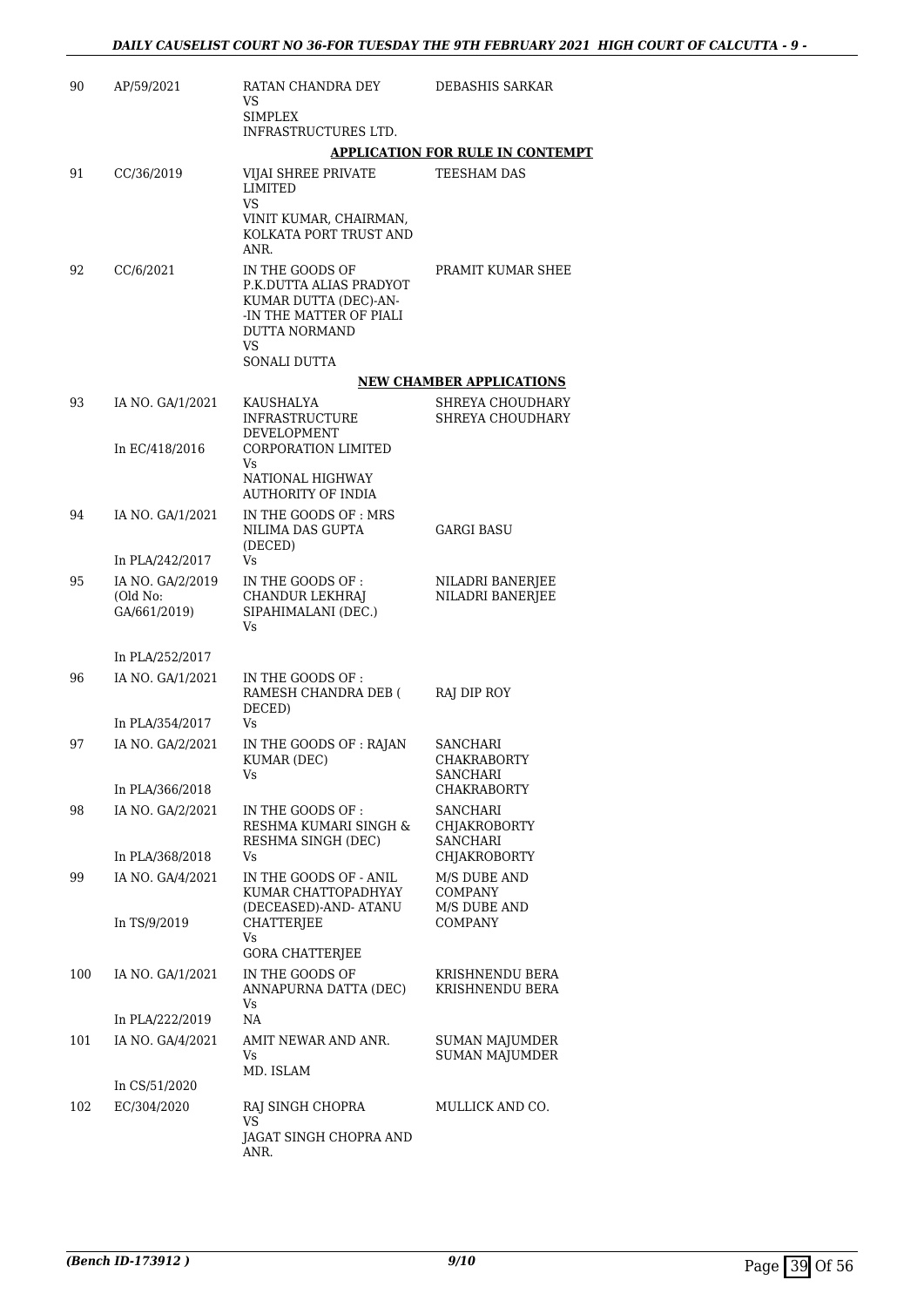| 90  | AP/59/2021                                   | RATAN CHANDRA DEY<br>VS<br><b>SIMPLEX</b>                                                                                    | DEBASHIS SARKAR                                    |
|-----|----------------------------------------------|------------------------------------------------------------------------------------------------------------------------------|----------------------------------------------------|
|     |                                              | INFRASTRUCTURES LTD.                                                                                                         |                                                    |
|     |                                              |                                                                                                                              | <b>APPLICATION FOR RULE IN CONTEMPT</b>            |
| 91  | CC/36/2019                                   | VIJAI SHREE PRIVATE<br>LIMITED<br>VS<br>VINIT KUMAR, CHAIRMAN,<br>KOLKATA PORT TRUST AND<br>ANR.                             | TEESHAM DAS                                        |
| 92  | CC/6/2021                                    | IN THE GOODS OF<br>P.K.DUTTA ALIAS PRADYOT<br>KUMAR DUTTA (DEC)-AN-<br>-IN THE MATTER OF PIALI<br><b>DUTTA NORMAND</b><br>VS | PRAMIT KUMAR SHEE                                  |
|     |                                              | SONALI DUTTA                                                                                                                 |                                                    |
|     |                                              |                                                                                                                              | <b>NEW CHAMBER APPLICATIONS</b>                    |
| 93  | IA NO. GA/1/2021<br>In EC/418/2016           | KAUSHALYA<br><b>INFRASTRUCTURE</b><br>DEVELOPMENT<br><b>CORPORATION LIMITED</b><br>Vs                                        | SHREYA CHOUDHARY<br>SHREYA CHOUDHARY               |
|     |                                              | NATIONAL HIGHWAY<br><b>AUTHORITY OF INDIA</b>                                                                                |                                                    |
| 94  | IA NO. GA/1/2021                             | IN THE GOODS OF: MRS<br>NILIMA DAS GUPTA<br>(DECED)                                                                          | GARGI BASU                                         |
|     | In PLA/242/2017                              | Vs                                                                                                                           |                                                    |
| 95  | IA NO. GA/2/2019<br>(Old No:<br>GA/661/2019) | IN THE GOODS OF:<br>CHANDUR LEKHRAJ<br>SIPAHIMALANI (DEC.)<br>Vs                                                             | NILADRI BANERJEE<br>NILADRI BANERJEE               |
|     | In PLA/252/2017                              |                                                                                                                              |                                                    |
| 96  | IA NO. GA/1/2021                             | IN THE GOODS OF:<br>RAMESH CHANDRA DEB (<br>DECED)                                                                           | RAJ DIP ROY                                        |
|     | In PLA/354/2017                              | Vs                                                                                                                           |                                                    |
| 97  | IA NO. GA/2/2021                             | IN THE GOODS OF : RAJAN<br>KUMAR (DEC)<br>٧s                                                                                 | SANCHARI<br><b>CHAKRABORTY</b><br>SANCHARI         |
|     | In PLA/366/2018                              |                                                                                                                              | <b>CHAKRABORTY</b>                                 |
| 98  | IA NO. GA/2/2021                             | IN THE GOODS OF :<br>RESHMA KUMARI SINGH &<br>RESHMA SINGH (DEC)                                                             | <b>SANCHARI</b><br>CHJAKROBORTY<br><b>SANCHARI</b> |
|     | In PLA/368/2018                              | Vs                                                                                                                           | CHJAKROBORTY                                       |
| 99  | IA NO. GA/4/2021                             | IN THE GOODS OF - ANIL<br>KUMAR CHATTOPADHYAY<br>(DECEASED)-AND-ATANU                                                        | M/S DUBE AND<br><b>COMPANY</b><br>M/S DUBE AND     |
|     | In TS/9/2019                                 | CHATTERJEE<br>Vs<br><b>GORA CHATTERJEE</b>                                                                                   | <b>COMPANY</b>                                     |
| 100 | IA NO. GA/1/2021                             | IN THE GOODS OF<br>ANNAPURNA DATTA (DEC)                                                                                     | KRISHNENDU BERA<br>KRISHNENDU BERA                 |
|     | In PLA/222/2019                              | Vs.<br>NA                                                                                                                    |                                                    |
| 101 | IA NO. GA/4/2021                             | AMIT NEWAR AND ANR.<br>Vs                                                                                                    | <b>SUMAN MAJUMDER</b><br><b>SUMAN MAJUMDER</b>     |
|     | In CS/51/2020                                | MD. ISLAM                                                                                                                    |                                                    |
| 102 | EC/304/2020                                  | RAJ SINGH CHOPRA<br>VS<br>JAGAT SINGH CHOPRA AND<br>ANR.                                                                     | MULLICK AND CO.                                    |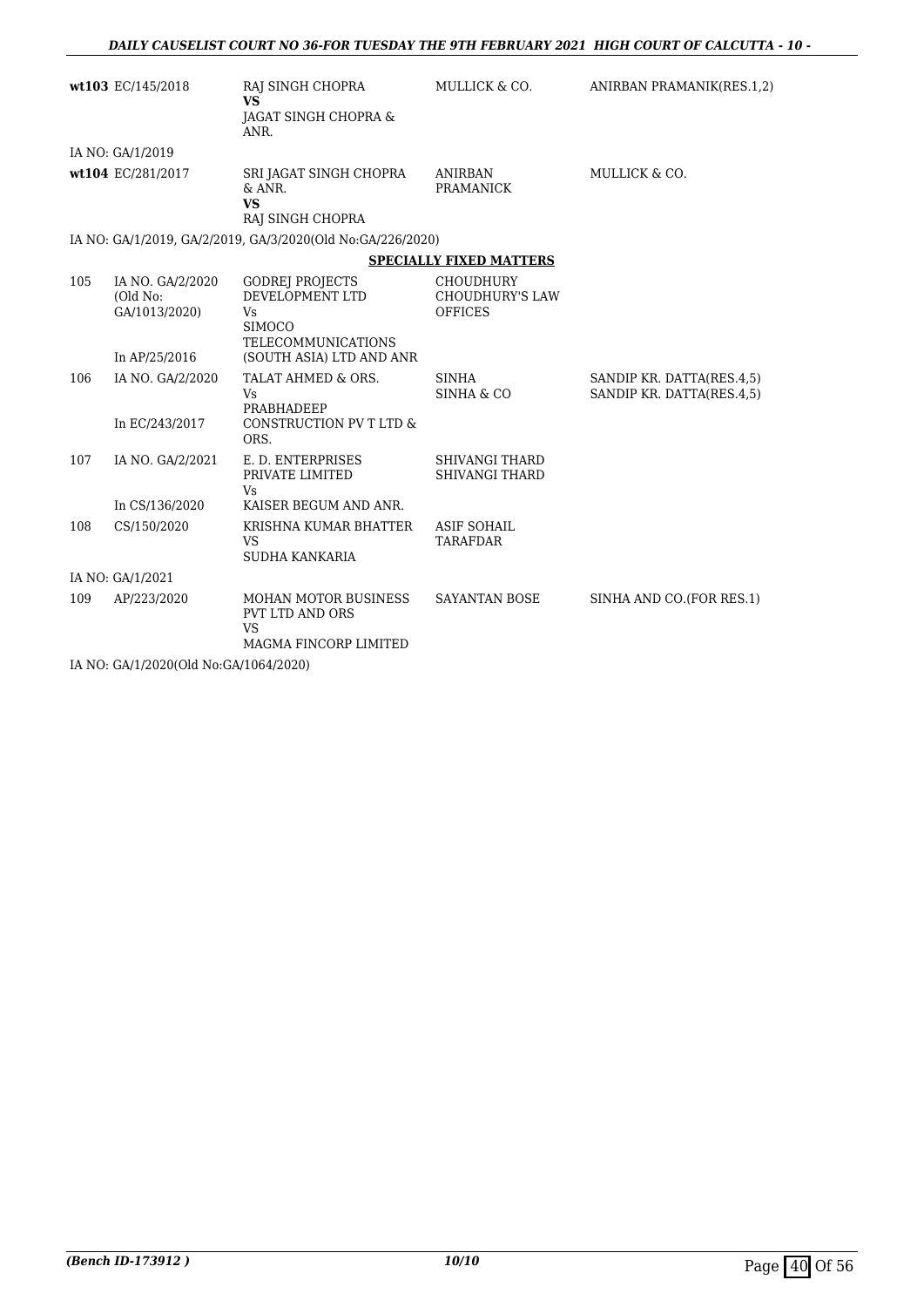|     | wt103 EC/145/2018                             | RAJ SINGH CHOPRA<br><b>VS</b><br><b>JAGAT SINGH CHOPRA &amp;</b><br>ANR.                             | MULLICK & CO.                                                | ANIRBAN PRAMANIK(RES.1,2)                              |
|-----|-----------------------------------------------|------------------------------------------------------------------------------------------------------|--------------------------------------------------------------|--------------------------------------------------------|
|     | IA NO: GA/1/2019                              |                                                                                                      |                                                              |                                                        |
|     | wt104 EC/281/2017                             | SRI JAGAT SINGH CHOPRA<br>& ANR.<br><b>VS</b><br>RAJ SINGH CHOPRA                                    | <b>ANIRBAN</b><br><b>PRAMANICK</b>                           | MULLICK & CO.                                          |
|     |                                               | IA NO: GA/1/2019, GA/2/2019, GA/3/2020(Old No:GA/226/2020)                                           |                                                              |                                                        |
|     |                                               |                                                                                                      | <b>SPECIALLY FIXED MATTERS</b>                               |                                                        |
| 105 | IA NO. GA/2/2020<br>(Old No:<br>GA/1013/2020) | <b>GODREJ PROJECTS</b><br>DEVELOPMENT LTD<br><b>Vs</b><br><b>SIMOCO</b><br><b>TELECOMMUNICATIONS</b> | <b>CHOUDHURY</b><br><b>CHOUDHURY'S LAW</b><br><b>OFFICES</b> |                                                        |
|     | In AP/25/2016                                 | (SOUTH ASIA) LTD AND ANR                                                                             |                                                              |                                                        |
| 106 | IA NO. GA/2/2020<br>In EC/243/2017            | TALAT AHMED & ORS.<br>Vs.<br>PRABHADEEP<br>CONSTRUCTION PV T LTD &<br>ORS.                           | <b>SINHA</b><br>SINHA & CO                                   | SANDIP KR. DATTA(RES.4,5)<br>SANDIP KR. DATTA(RES.4.5) |
| 107 | IA NO. GA/2/2021<br>In CS/136/2020            | E. D. ENTERPRISES<br>PRIVATE LIMITED<br>Vs.<br>KAISER BEGUM AND ANR.                                 | <b>SHIVANGI THARD</b><br><b>SHIVANGI THARD</b>               |                                                        |
| 108 | CS/150/2020                                   | KRISHNA KUMAR BHATTER<br><b>VS</b><br>SUDHA KANKARIA                                                 | <b>ASIF SOHAIL</b><br><b>TARAFDAR</b>                        |                                                        |
|     | IA NO: GA/1/2021                              |                                                                                                      |                                                              |                                                        |
| 109 | AP/223/2020                                   | <b>MOHAN MOTOR BUSINESS</b><br>PVT LTD AND ORS<br><b>VS</b><br><b>MAGMA FINCORP LIMITED</b>          | <b>SAYANTAN BOSE</b>                                         | SINHA AND CO. (FOR RES.1)                              |

IA NO: GA/1/2020(Old No:GA/1064/2020)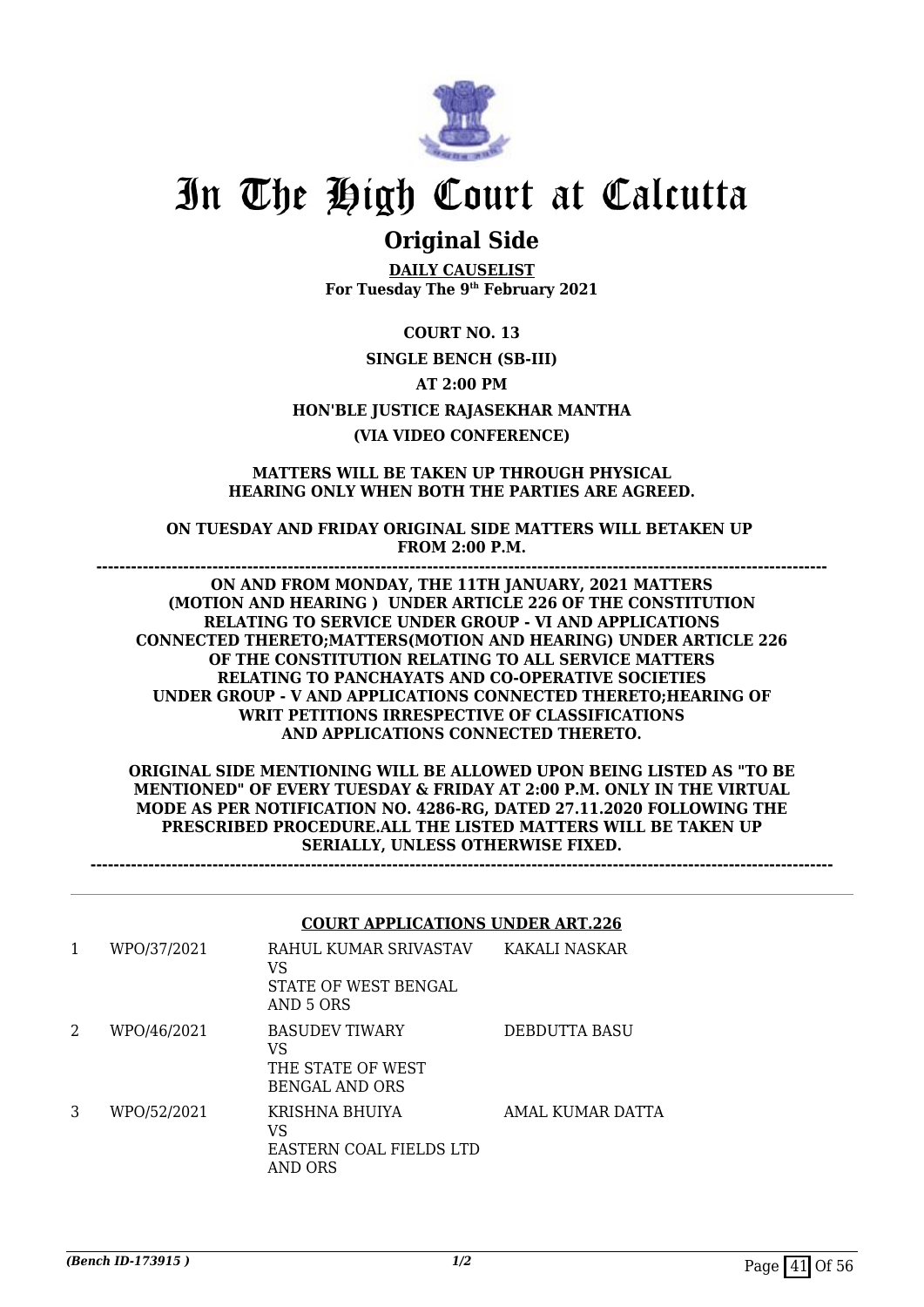

## **Original Side**

**DAILY CAUSELIST For Tuesday The 9th February 2021**

**COURT NO. 13 SINGLE BENCH (SB-III) AT 2:00 PM HON'BLE JUSTICE RAJASEKHAR MANTHA (VIA VIDEO CONFERENCE)**

#### **MATTERS WILL BE TAKEN UP THROUGH PHYSICAL HEARING ONLY WHEN BOTH THE PARTIES ARE AGREED.**

**ON TUESDAY AND FRIDAY ORIGINAL SIDE MATTERS WILL BETAKEN UP FROM 2:00 P.M.**

**------------------------------------------------------------------------------------------------------------------------------ ON AND FROM MONDAY, THE 11TH JANUARY, 2021 MATTERS (MOTION AND HEARING ) UNDER ARTICLE 226 OF THE CONSTITUTION RELATING TO SERVICE UNDER GROUP - VI AND APPLICATIONS CONNECTED THERETO;MATTERS(MOTION AND HEARING) UNDER ARTICLE 226 OF THE CONSTITUTION RELATING TO ALL SERVICE MATTERS RELATING TO PANCHAYATS AND CO-OPERATIVE SOCIETIES UNDER GROUP - V AND APPLICATIONS CONNECTED THERETO;HEARING OF WRIT PETITIONS IRRESPECTIVE OF CLASSIFICATIONS AND APPLICATIONS CONNECTED THERETO.**

**ORIGINAL SIDE MENTIONING WILL BE ALLOWED UPON BEING LISTED AS "TO BE MENTIONED" OF EVERY TUESDAY & FRIDAY AT 2:00 P.M. ONLY IN THE VIRTUAL MODE AS PER NOTIFICATION NO. 4286-RG, DATED 27.11.2020 FOLLOWING THE PRESCRIBED PROCEDURE.ALL THE LISTED MATTERS WILL BE TAKEN UP SERIALLY, UNLESS OTHERWISE FIXED.**

**--------------------------------------------------------------------------------------------------------------------------------**

#### **COURT APPLICATIONS UNDER ART.226**

| 1 | WPO/37/2021 | RAHUL KUMAR SRIVASTAV<br>VS<br>STATE OF WEST BENGAL<br>AND 5 ORS   | KAKALI NASKAR        |
|---|-------------|--------------------------------------------------------------------|----------------------|
| 2 | WPO/46/2021 | <b>BASUDEV TIWARY</b><br>VS<br>THE STATE OF WEST<br>BENGAL AND ORS | <b>DEBDUTTA BASU</b> |
| 3 | WPO/52/2021 | KRISHNA BHUIYA<br>VS<br>EASTERN COAL FIELDS LTD<br>AND ORS         | AMAL KUMAR DATTA     |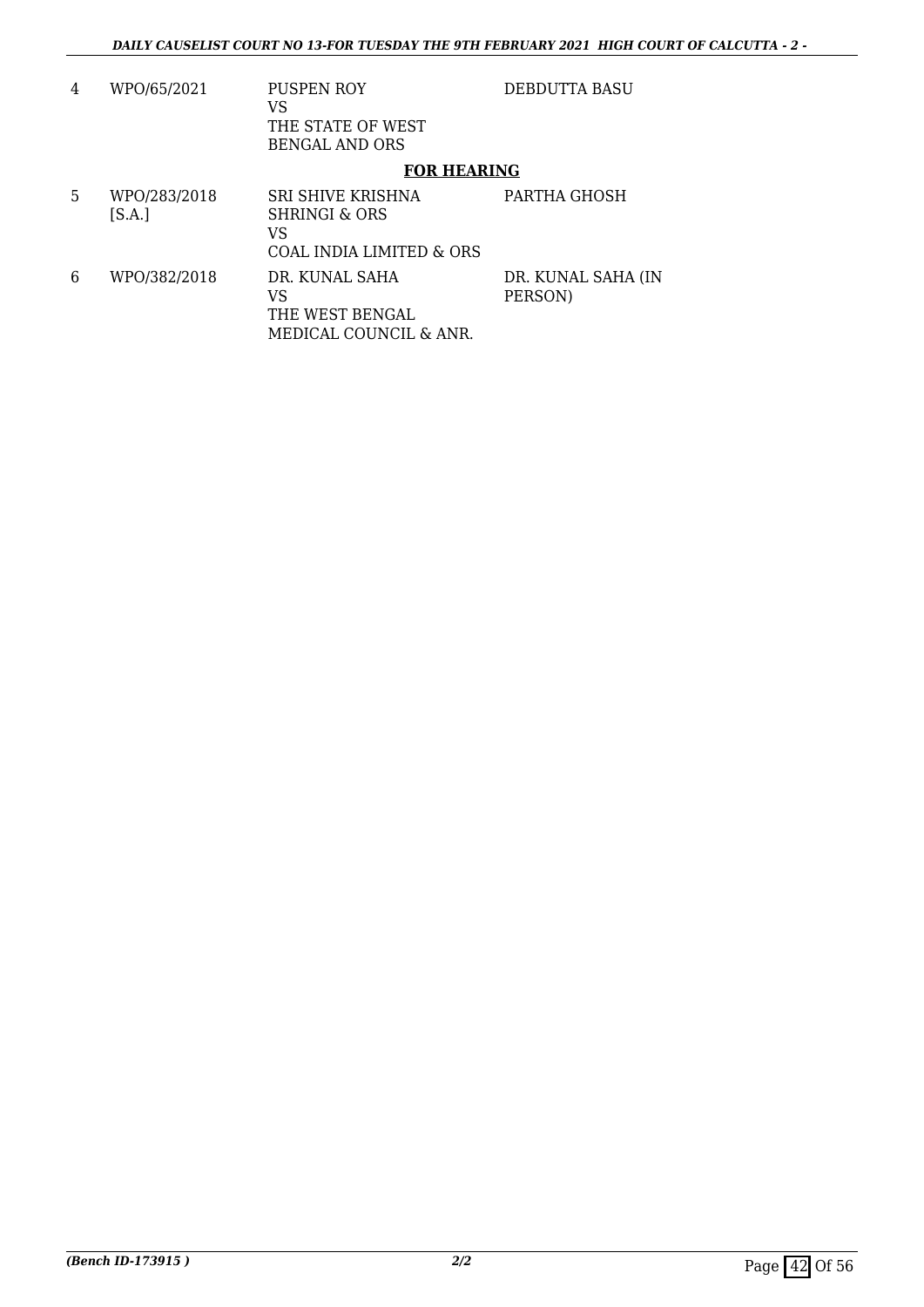| 4 | WPO/65/2021            | <b>PUSPEN ROY</b><br>VS<br>THE STATE OF WEST<br><b>BENGAL AND ORS</b>           | DEBDUTTA BASU                 |
|---|------------------------|---------------------------------------------------------------------------------|-------------------------------|
|   |                        | <b>FOR HEARING</b>                                                              |                               |
| 5 | WPO/283/2018<br>[S.A.] | SRI SHIVE KRISHNA<br>SHRINGI & ORS<br>VS<br><b>COAL INDIA LIMITED &amp; ORS</b> | PARTHA GHOSH                  |
| 6 | WPO/382/2018           | DR. KUNAL SAHA<br>VS<br>THE WEST BENGAL<br>MEDICAL COUNCIL & ANR.               | DR. KUNAL SAHA (IN<br>PERSON) |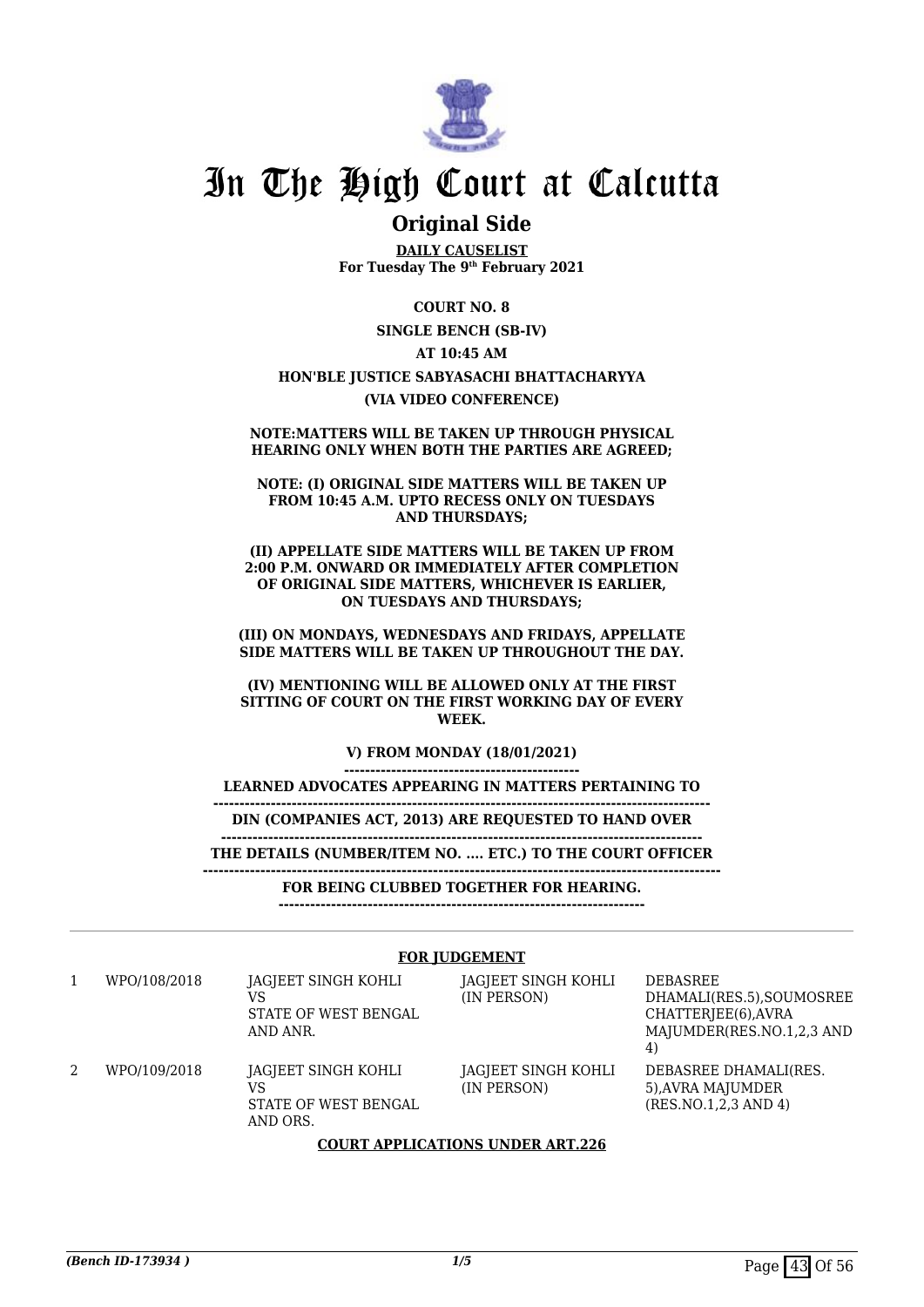

### **Original Side**

**DAILY CAUSELIST For Tuesday The 9th February 2021**

**COURT NO. 8 SINGLE BENCH (SB-IV) AT 10:45 AM HON'BLE JUSTICE SABYASACHI BHATTACHARYYA (VIA VIDEO CONFERENCE)**

#### **NOTE:MATTERS WILL BE TAKEN UP THROUGH PHYSICAL HEARING ONLY WHEN BOTH THE PARTIES ARE AGREED;**

**NOTE: (I) ORIGINAL SIDE MATTERS WILL BE TAKEN UP FROM 10:45 A.M. UPTO RECESS ONLY ON TUESDAYS AND THURSDAYS;**

**(II) APPELLATE SIDE MATTERS WILL BE TAKEN UP FROM 2:00 P.M. ONWARD OR IMMEDIATELY AFTER COMPLETION OF ORIGINAL SIDE MATTERS, WHICHEVER IS EARLIER, ON TUESDAYS AND THURSDAYS;**

**(III) ON MONDAYS, WEDNESDAYS AND FRIDAYS, APPELLATE SIDE MATTERS WILL BE TAKEN UP THROUGHOUT THE DAY.**

**(IV) MENTIONING WILL BE ALLOWED ONLY AT THE FIRST SITTING OF COURT ON THE FIRST WORKING DAY OF EVERY WEEK.**

**V) FROM MONDAY (18/01/2021)**

**--------------------------------------------- LEARNED ADVOCATES APPEARING IN MATTERS PERTAINING TO**

**----------------------------------------------------------------------------------------------- DIN (COMPANIES ACT, 2013) ARE REQUESTED TO HAND OVER**

**-------------------------------------------------------------------------------------------- THE DETAILS (NUMBER/ITEM NO. .... ETC.) TO THE COURT OFFICER**

**---------------------------------------------------------------------------------------------------**

**FOR BEING CLUBBED TOGETHER FOR HEARING.**

**----------------------------------------------------------------------**

#### **FOR JUDGEMENT**

1 WPO/108/2018 JAGJEET SINGH KOHLI VS STATE OF WEST BENGAL AND ANR.

2 WPO/109/2018 IAGIEET SINGH KOHLI VS STATE OF WEST BENGAL AND ORS.

JAGJEET SINGH KOHLI

JAGJEET SINGH KOHLI

(IN PERSON)

(IN PERSON)

DEBASREE DHAMALI(RES.5),SOUMOSREE CHATTERJEE(6),AVRA MAJUMDER(RES.NO.1,2,3 AND 4) DEBASREE DHAMALI(RES. 5),AVRA MAJUMDER (RES.NO.1,2,3 AND 4)

#### **COURT APPLICATIONS UNDER ART.226**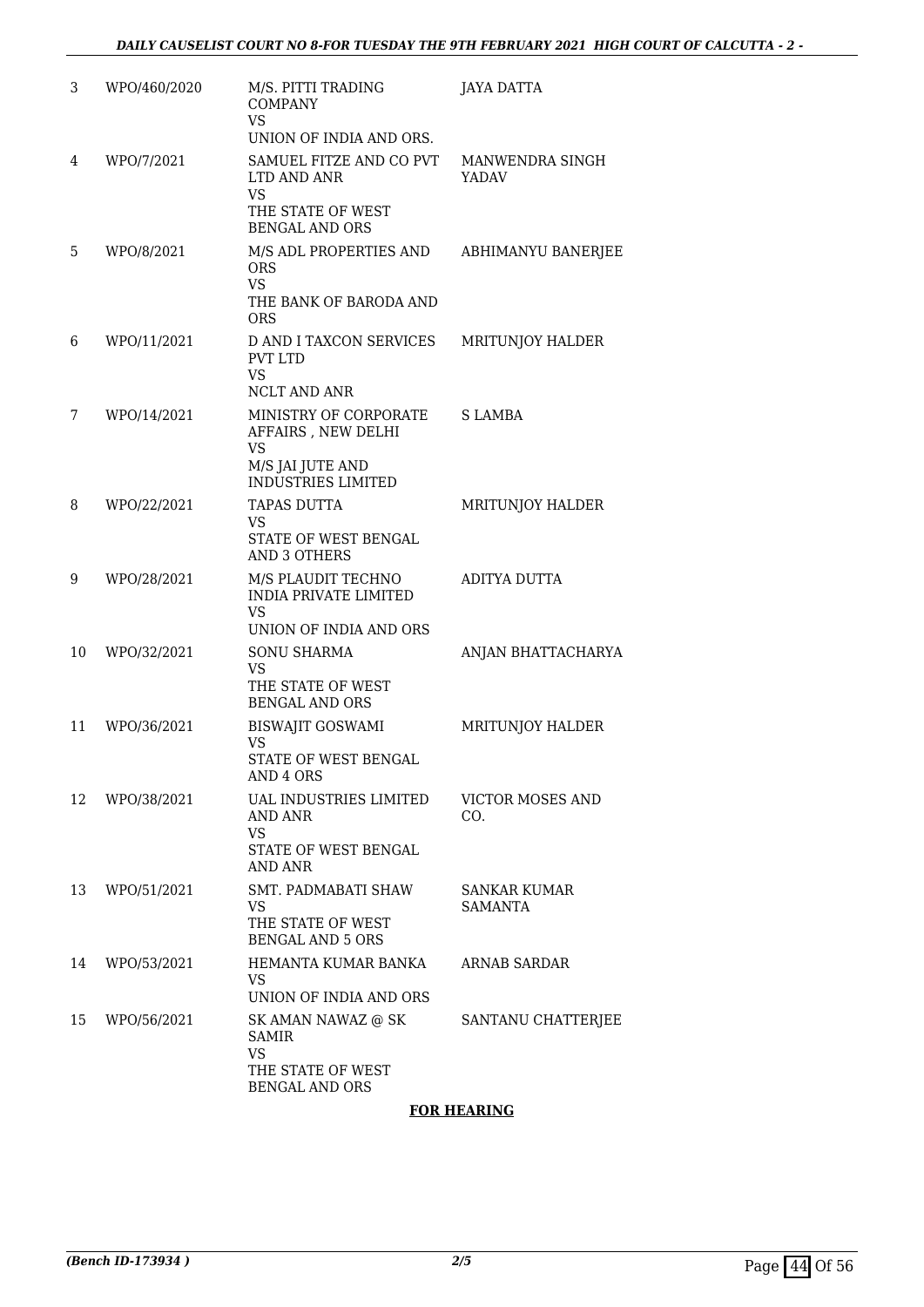| 3  | WPO/460/2020 | M/S. PITTI TRADING<br><b>COMPANY</b><br><b>VS</b><br>UNION OF INDIA AND ORS.                           | <b>JAYA DATTA</b>                     |
|----|--------------|--------------------------------------------------------------------------------------------------------|---------------------------------------|
| 4  | WPO/7/2021   | SAMUEL FITZE AND CO PVT<br>LTD AND ANR<br><b>VS</b><br>THE STATE OF WEST<br><b>BENGAL AND ORS</b>      | MANWENDRA SINGH<br><b>YADAV</b>       |
| 5  | WPO/8/2021   | M/S ADL PROPERTIES AND<br><b>ORS</b><br><b>VS</b><br>THE BANK OF BARODA AND<br><b>ORS</b>              | ABHIMANYU BANERJEE                    |
| 6  | WPO/11/2021  | D AND I TAXCON SERVICES<br><b>PVT LTD</b><br><b>VS</b><br>NCLT AND ANR                                 | MRITUNJOY HALDER                      |
| 7  | WPO/14/2021  | MINISTRY OF CORPORATE<br>AFFAIRS, NEW DELHI<br>VS<br>M/S JAI JUTE AND<br><b>INDUSTRIES LIMITED</b>     | <b>SLAMBA</b>                         |
| 8  | WPO/22/2021  | <b>TAPAS DUTTA</b><br><b>VS</b><br>STATE OF WEST BENGAL<br><b>AND 3 OTHERS</b>                         | MRITUNJOY HALDER                      |
| 9  | WPO/28/2021  | M/S PLAUDIT TECHNO<br><b>INDIA PRIVATE LIMITED</b><br><b>VS</b><br>UNION OF INDIA AND ORS              | ADITYA DUTTA                          |
| 10 | WPO/32/2021  | <b>SONU SHARMA</b><br><b>VS</b><br>THE STATE OF WEST<br><b>BENGAL AND ORS</b>                          | ANJAN BHATTACHARYA                    |
| 11 | WPO/36/2021  | <b>BISWAJIT GOSWAMI</b><br><b>VS</b><br>STATE OF WEST BENGAL<br>AND 4 ORS                              | MRITUNJOY HALDER                      |
| 12 | WPO/38/2021  | <b>UAL INDUSTRIES LIMITED</b><br><b>AND ANR</b><br><b>VS</b><br>STATE OF WEST BENGAL<br><b>AND ANR</b> | VICTOR MOSES AND<br>CO.               |
| 13 | WPO/51/2021  | <b>SMT. PADMABATI SHAW</b><br><b>VS</b><br>THE STATE OF WEST<br><b>BENGAL AND 5 ORS</b>                | <b>SANKAR KUMAR</b><br><b>SAMANTA</b> |
| 14 | WPO/53/2021  | <b>HEMANTA KUMAR BANKA</b><br>VS<br>UNION OF INDIA AND ORS                                             | <b>ARNAB SARDAR</b>                   |
| 15 | WPO/56/2021  | SK AMAN NAWAZ @ SK<br><b>SAMIR</b><br><b>VS</b><br>THE STATE OF WEST<br><b>BENGAL AND ORS</b>          | SANTANU CHATTERJEE                    |

#### **FOR HEARING**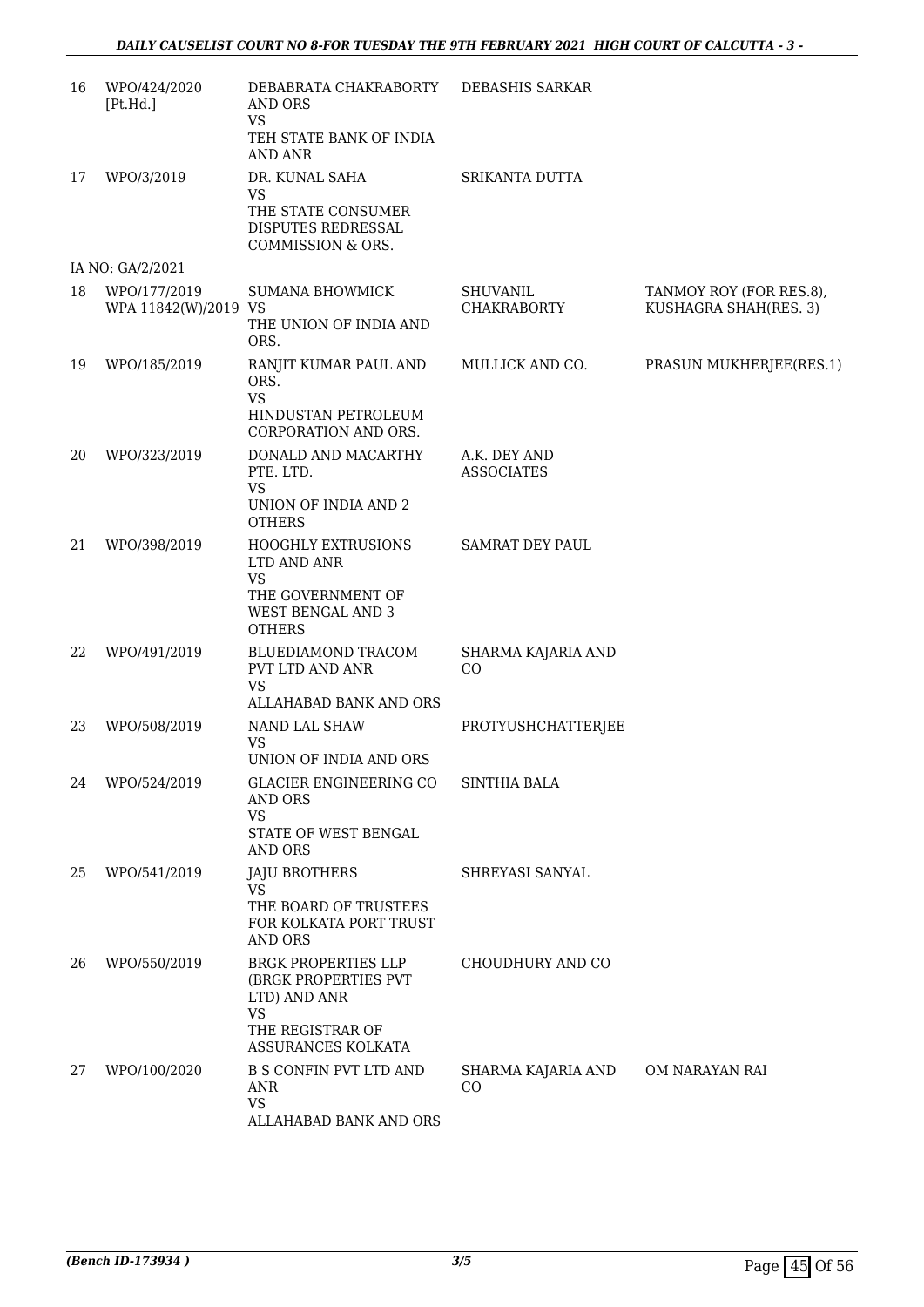| WPO/424/2020<br>[Pt.Hd.] | DEBABRATA CHAKRABORTY<br>AND ORS                                   | DEBASHIS SARKAR                                                                                                                                                                                  |                                                  |
|--------------------------|--------------------------------------------------------------------|--------------------------------------------------------------------------------------------------------------------------------------------------------------------------------------------------|--------------------------------------------------|
|                          | TEH STATE BANK OF INDIA<br><b>AND ANR</b>                          |                                                                                                                                                                                                  |                                                  |
| WPO/3/2019               | DR. KUNAL SAHA                                                     | SRIKANTA DUTTA                                                                                                                                                                                   |                                                  |
|                          | THE STATE CONSUMER<br>DISPUTES REDRESSAL<br>COMMISSION & ORS.      |                                                                                                                                                                                                  |                                                  |
|                          |                                                                    |                                                                                                                                                                                                  |                                                  |
| WPO/177/2019             | <b>SUMANA BHOWMICK</b><br>THE UNION OF INDIA AND<br>ORS.           | <b>SHUVANIL</b><br><b>CHAKRABORTY</b>                                                                                                                                                            | TANMOY ROY (FOR RES.8),<br>KUSHAGRA SHAH(RES. 3) |
| WPO/185/2019             | RANJIT KUMAR PAUL AND<br>ORS.<br><b>VS</b><br>HINDUSTAN PETROLEUM  | MULLICK AND CO.                                                                                                                                                                                  | PRASUN MUKHERJEE(RES.1)                          |
| WPO/323/2019             | DONALD AND MACARTHY<br>PTE. LTD.                                   | A.K. DEY AND<br><b>ASSOCIATES</b>                                                                                                                                                                |                                                  |
|                          | UNION OF INDIA AND 2<br><b>OTHERS</b>                              |                                                                                                                                                                                                  |                                                  |
| WPO/398/2019             | <b>HOOGHLY EXTRUSIONS</b><br>LTD AND ANR<br><b>VS</b>              | <b>SAMRAT DEY PAUL</b>                                                                                                                                                                           |                                                  |
|                          | THE GOVERNMENT OF<br><b>WEST BENGAL AND 3</b><br><b>OTHERS</b>     |                                                                                                                                                                                                  |                                                  |
| WPO/491/2019             | BLUEDIAMOND TRACOM<br>PVT LTD AND ANR                              | SHARMA KAJARIA AND<br>CO                                                                                                                                                                         |                                                  |
|                          | ALLAHABAD BANK AND ORS                                             |                                                                                                                                                                                                  |                                                  |
| WPO/508/2019             | NAND LAL SHAW<br><b>VS</b><br>UNION OF INDIA AND ORS               | PROTYUSHCHATTERJEE                                                                                                                                                                               |                                                  |
| WPO/524/2019             | GLACIER ENGINEERING CO<br><b>AND ORS</b>                           | SINTHIA BALA                                                                                                                                                                                     |                                                  |
|                          | STATE OF WEST BENGAL<br>AND ORS                                    |                                                                                                                                                                                                  |                                                  |
|                          |                                                                    |                                                                                                                                                                                                  |                                                  |
|                          | THE BOARD OF TRUSTEES<br>FOR KOLKATA PORT TRUST<br>AND ORS         |                                                                                                                                                                                                  |                                                  |
| WPO/550/2019             | <b>BRGK PROPERTIES LLP</b><br>(BRGK PROPERTIES PVT<br>LTD) AND ANR | CHOUDHURY AND CO                                                                                                                                                                                 |                                                  |
|                          | THE REGISTRAR OF<br>ASSURANCES KOLKATA                             |                                                                                                                                                                                                  |                                                  |
|                          | ANR<br><b>VS</b><br>ALLAHABAD BANK AND ORS                         | CO                                                                                                                                                                                               | OM NARAYAN RAI                                   |
|                          | IA NO: GA/2/2021<br>WPO/541/2019<br>WPO/100/2020                   | <b>VS</b><br><b>VS</b><br>WPA 11842(W)/2019 VS<br>CORPORATION AND ORS.<br><b>VS</b><br><b>VS</b><br><b>VS</b><br><b>JAJU BROTHERS</b><br><b>VS</b><br><b>VS</b><br><b>B S CONFIN PVT LTD AND</b> | SHREYASI SANYAL<br>SHARMA KAJARIA AND            |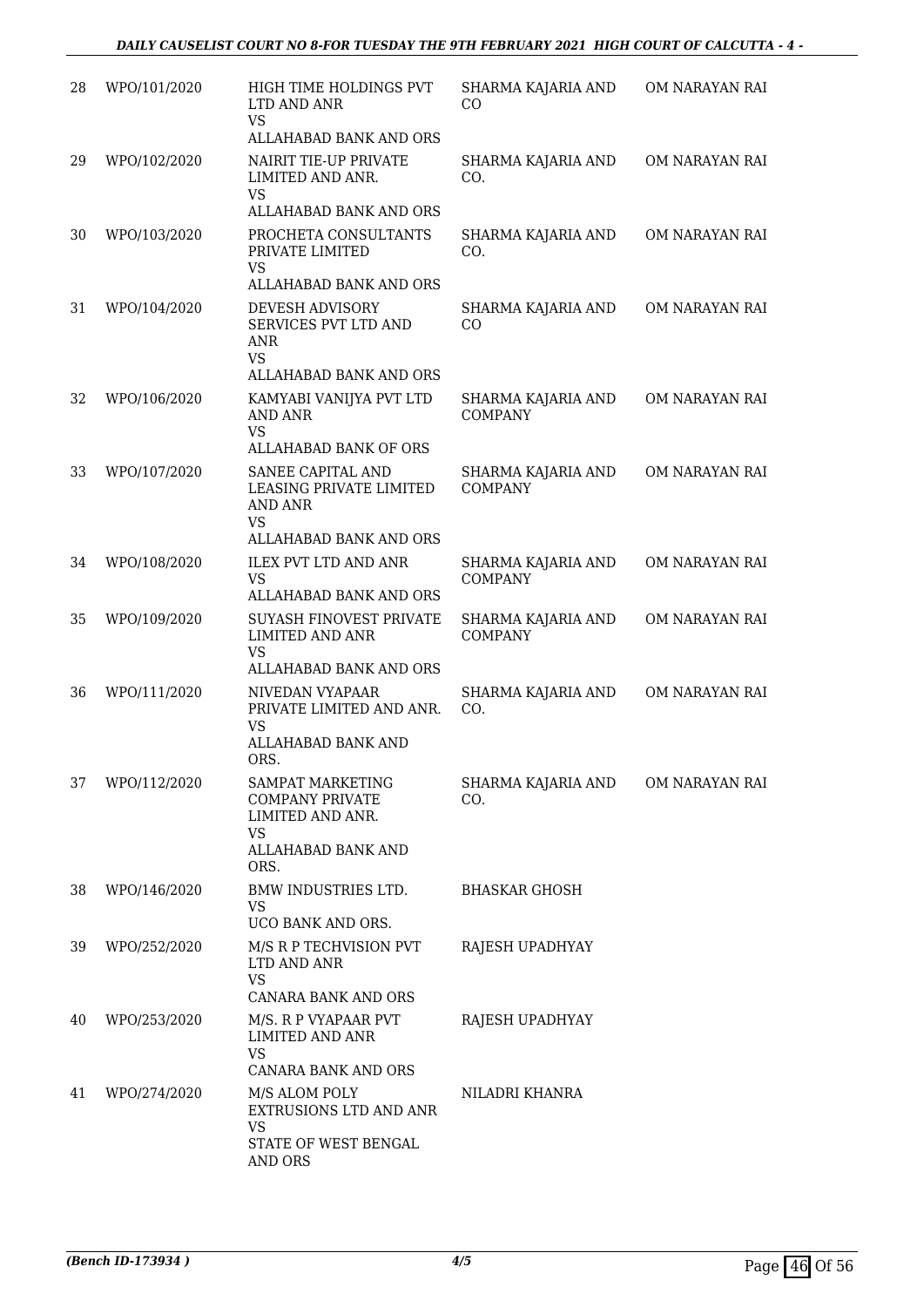| 28 | WPO/101/2020 | HIGH TIME HOLDINGS PVT<br>LTD AND ANR<br><b>VS</b>                                       | SHARMA KAJARIA AND<br>CO             | OM NARAYAN RAI |
|----|--------------|------------------------------------------------------------------------------------------|--------------------------------------|----------------|
|    |              | ALLAHABAD BANK AND ORS                                                                   |                                      |                |
| 29 | WPO/102/2020 | NAIRIT TIE-UP PRIVATE<br>LIMITED AND ANR.<br><b>VS</b>                                   | SHARMA KAJARIA AND<br>CO.            | OM NARAYAN RAI |
|    |              | ALLAHABAD BANK AND ORS                                                                   |                                      |                |
| 30 | WPO/103/2020 | PROCHETA CONSULTANTS<br>PRIVATE LIMITED<br><b>VS</b><br>ALLAHABAD BANK AND ORS           | SHARMA KAJARIA AND<br>CO.            | OM NARAYAN RAI |
| 31 | WPO/104/2020 | DEVESH ADVISORY                                                                          | SHARMA KAJARIA AND                   | OM NARAYAN RAI |
|    |              | SERVICES PVT LTD AND<br><b>ANR</b><br><b>VS</b><br>ALLAHABAD BANK AND ORS                | CO                                   |                |
| 32 | WPO/106/2020 | KAMYABI VANIJYA PVT LTD                                                                  | SHARMA KAJARIA AND                   | OM NARAYAN RAI |
|    |              | <b>AND ANR</b><br><b>VS</b><br>ALLAHABAD BANK OF ORS                                     | <b>COMPANY</b>                       |                |
|    |              |                                                                                          |                                      |                |
| 33 | WPO/107/2020 | SANEE CAPITAL AND<br>LEASING PRIVATE LIMITED<br><b>AND ANR</b><br><b>VS</b>              | SHARMA KAJARIA AND<br><b>COMPANY</b> | OM NARAYAN RAI |
|    |              | ALLAHABAD BANK AND ORS                                                                   |                                      |                |
| 34 | WPO/108/2020 | <b>ILEX PVT LTD AND ANR</b><br><b>VS</b><br>ALLAHABAD BANK AND ORS                       | SHARMA KAJARIA AND<br><b>COMPANY</b> | OM NARAYAN RAI |
|    |              |                                                                                          |                                      |                |
| 35 | WPO/109/2020 | <b>SUYASH FINOVEST PRIVATE</b><br>LIMITED AND ANR<br><b>VS</b><br>ALLAHABAD BANK AND ORS | SHARMA KAJARIA AND<br><b>COMPANY</b> | OM NARAYAN RAI |
|    |              |                                                                                          |                                      |                |
| 36 | WPO/111/2020 | NIVEDAN VYAPAAR<br>PRIVATE LIMITED AND ANR.<br><b>VS</b>                                 | SHARMA KAJARIA AND<br>CO.            | OM NARAYAN RAI |
|    |              | ALLAHABAD BANK AND<br>ORS.                                                               |                                      |                |
| 37 | WPO/112/2020 | <b>SAMPAT MARKETING</b><br><b>COMPANY PRIVATE</b><br>LIMITED AND ANR.                    | SHARMA KAJARIA AND<br>CO.            | OM NARAYAN RAI |
|    |              | <b>VS</b><br>ALLAHABAD BANK AND<br>ORS.                                                  |                                      |                |
| 38 | WPO/146/2020 | BMW INDUSTRIES LTD.<br><b>VS</b><br>UCO BANK AND ORS.                                    | <b>BHASKAR GHOSH</b>                 |                |
|    |              |                                                                                          |                                      |                |
| 39 | WPO/252/2020 | M/S R P TECHVISION PVT<br>LTD AND ANR<br><b>VS</b><br>CANARA BANK AND ORS                | RAJESH UPADHYAY                      |                |
| 40 | WPO/253/2020 | M/S. R P VYAPAAR PVT<br>LIMITED AND ANR                                                  | RAJESH UPADHYAY                      |                |
|    |              | <b>VS</b><br>CANARA BANK AND ORS                                                         |                                      |                |
|    |              |                                                                                          |                                      |                |
| 41 | WPO/274/2020 | M/S ALOM POLY<br>EXTRUSIONS LTD AND ANR<br><b>VS</b>                                     | NILADRI KHANRA                       |                |
|    |              | STATE OF WEST BENGAL<br>AND ORS                                                          |                                      |                |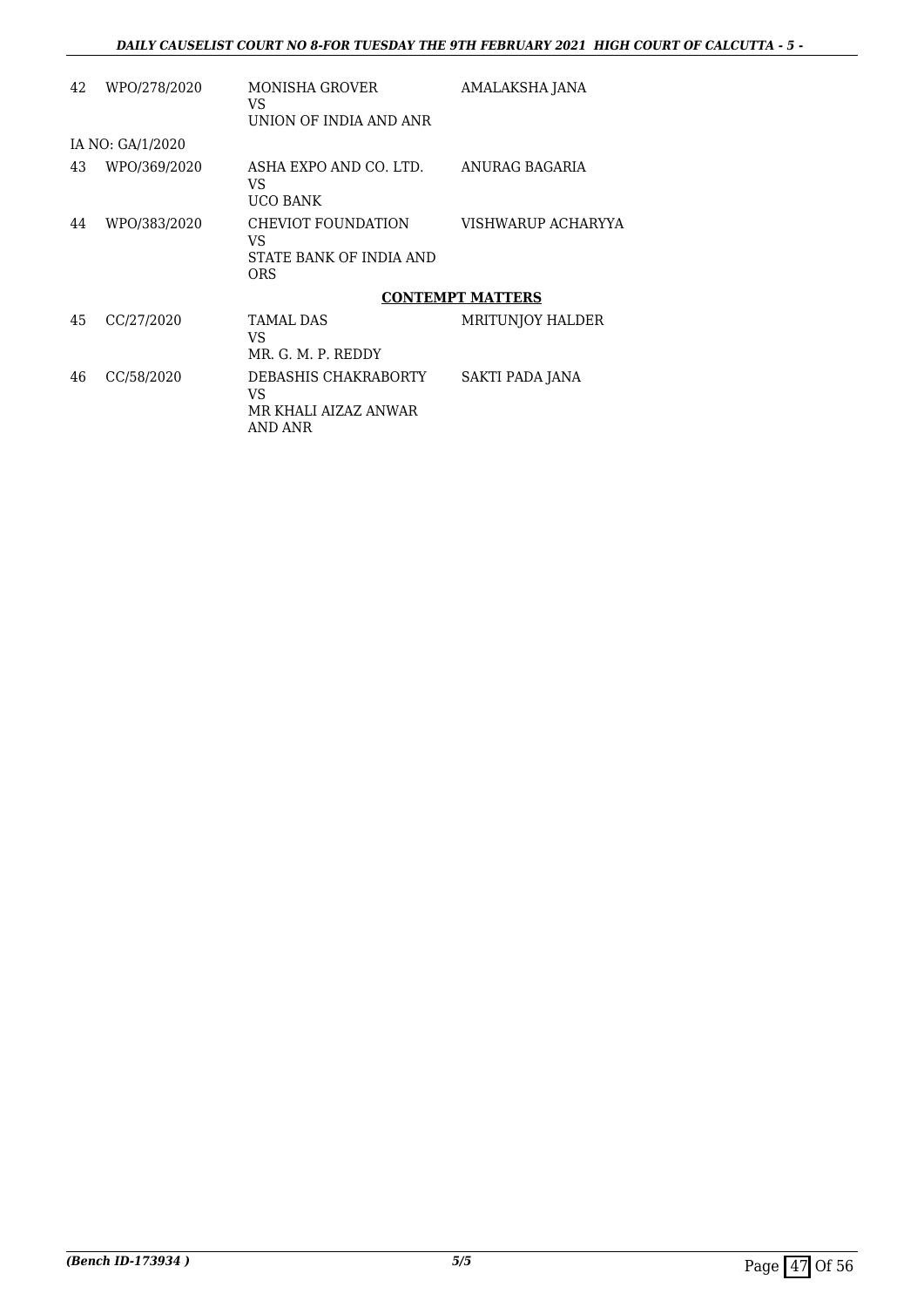| 42 | WPO/278/2020     | MONISHA GROVER<br>VS<br>UNION OF INDIA AND ANR                     | AMALAKSHA JANA          |
|----|------------------|--------------------------------------------------------------------|-------------------------|
|    | IA NO: GA/1/2020 |                                                                    |                         |
| 43 | WPO/369/2020     | ASHA EXPO AND CO. LTD.<br>VS<br><b>UCO BANK</b>                    | ANURAG BAGARIA          |
| 44 | WPO/383/2020     | CHEVIOT FOUNDATION<br>VS.<br>STATE BANK OF INDIA AND<br><b>ORS</b> | VISHWARUP ACHARYYA      |
|    |                  |                                                                    | <b>CONTEMPT MATTERS</b> |
| 45 | CC/27/2020       | <b>TAMAL DAS</b><br>VS.<br>MR. G. M. P. REDDY                      | MRITUNJOY HALDER        |
| 46 | CC/58/2020       | DEBASHIS CHAKRABORTY<br>VS<br>MR KHALI AIZAZ ANWAR<br>AND ANR      | SAKTI PADA JANA         |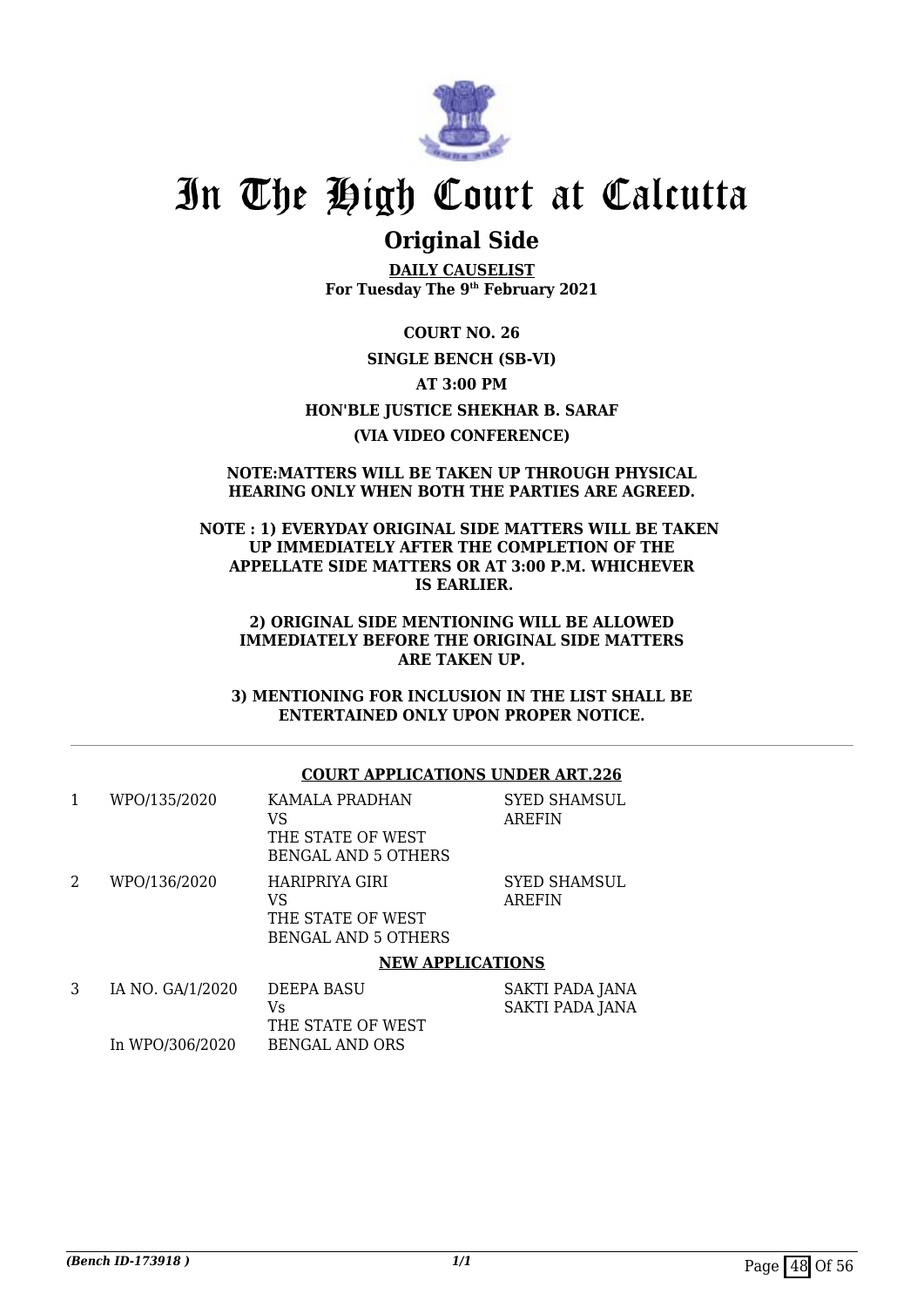

## **Original Side**

**DAILY CAUSELIST For Tuesday The 9th February 2021**

**COURT NO. 26 SINGLE BENCH (SB-VI) AT 3:00 PM HON'BLE JUSTICE SHEKHAR B. SARAF (VIA VIDEO CONFERENCE)**

#### **NOTE:MATTERS WILL BE TAKEN UP THROUGH PHYSICAL HEARING ONLY WHEN BOTH THE PARTIES ARE AGREED.**

#### **NOTE : 1) EVERYDAY ORIGINAL SIDE MATTERS WILL BE TAKEN UP IMMEDIATELY AFTER THE COMPLETION OF THE APPELLATE SIDE MATTERS OR AT 3:00 P.M. WHICHEVER IS EARLIER.**

#### **2) ORIGINAL SIDE MENTIONING WILL BE ALLOWED IMMEDIATELY BEFORE THE ORIGINAL SIDE MATTERS ARE TAKEN UP.**

**3) MENTIONING FOR INCLUSION IN THE LIST SHALL BE ENTERTAINED ONLY UPON PROPER NOTICE.**

#### **COURT APPLICATIONS UNDER ART.226**

| 1 | WPO/135/2020     | KAMALA PRADHAN<br>VS<br>THE STATE OF WEST<br><b>BENGAL AND 5 OTHERS</b> | <b>SYED SHAMSUL</b><br><b>AREFIN</b>             |
|---|------------------|-------------------------------------------------------------------------|--------------------------------------------------|
| 2 | WPO/136/2020     | HARIPRIYA GIRI<br>VS<br>THE STATE OF WEST<br><b>BENGAL AND 5 OTHERS</b> | <b>SYED SHAMSUL</b><br><b>AREFIN</b>             |
|   |                  | <b>NEW APPLICATIONS</b>                                                 |                                                  |
| 3 | IA NO. GA/1/2020 | <b>DEEPA BASU</b><br>Vs<br>THE STATE OF WEST                            | <b>SAKTI PADA JANA</b><br><b>SAKTI PADA JANA</b> |
|   | In WPO/306/2020  | <b>BENGAL AND ORS</b>                                                   |                                                  |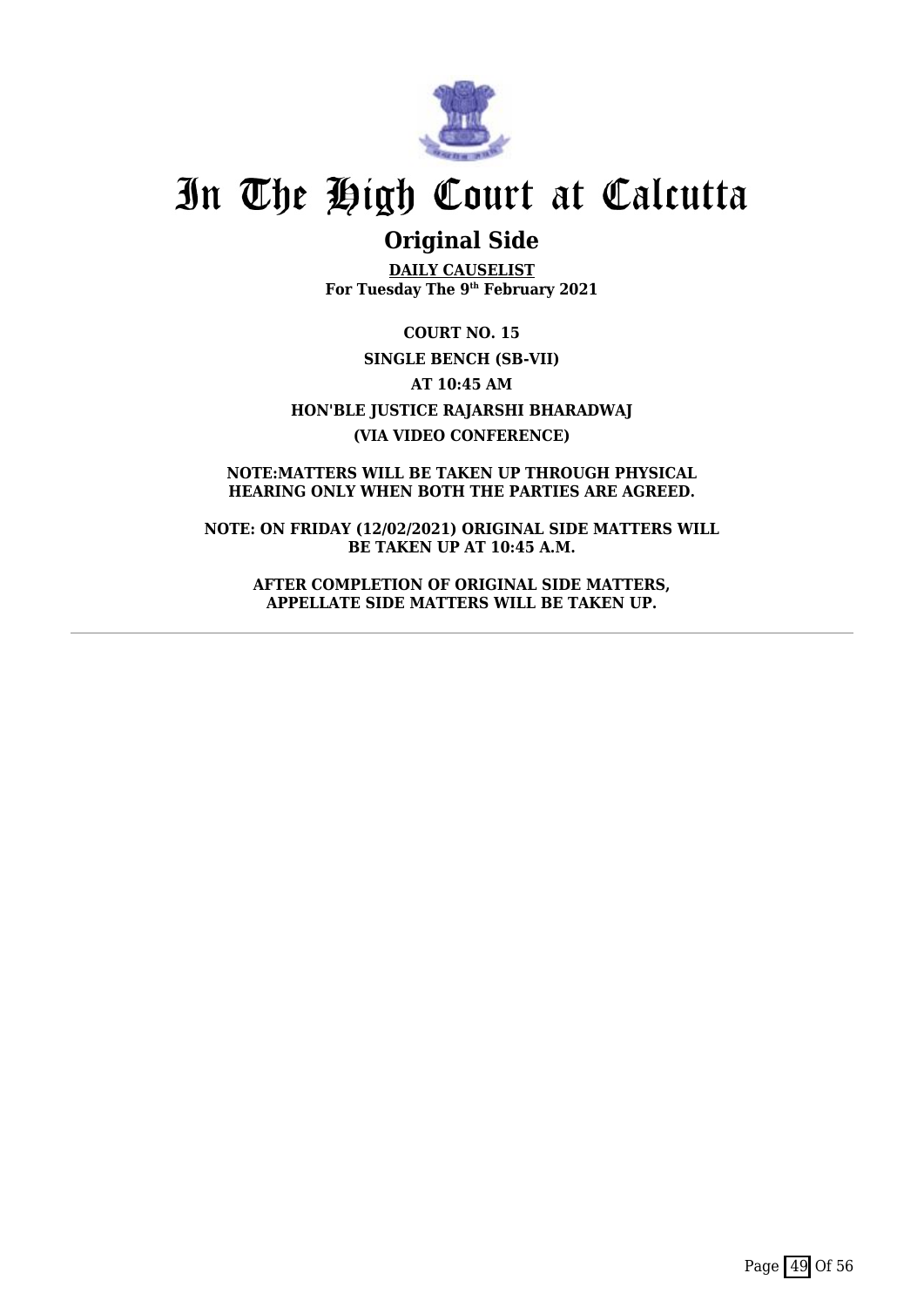

## **Original Side**

**DAILY CAUSELIST For Tuesday The 9th February 2021**

**COURT NO. 15 SINGLE BENCH (SB-VII) AT 10:45 AM HON'BLE JUSTICE RAJARSHI BHARADWAJ (VIA VIDEO CONFERENCE)**

**NOTE:MATTERS WILL BE TAKEN UP THROUGH PHYSICAL HEARING ONLY WHEN BOTH THE PARTIES ARE AGREED.**

**NOTE: ON FRIDAY (12/02/2021) ORIGINAL SIDE MATTERS WILL BE TAKEN UP AT 10:45 A.M.**

**AFTER COMPLETION OF ORIGINAL SIDE MATTERS, APPELLATE SIDE MATTERS WILL BE TAKEN UP.**

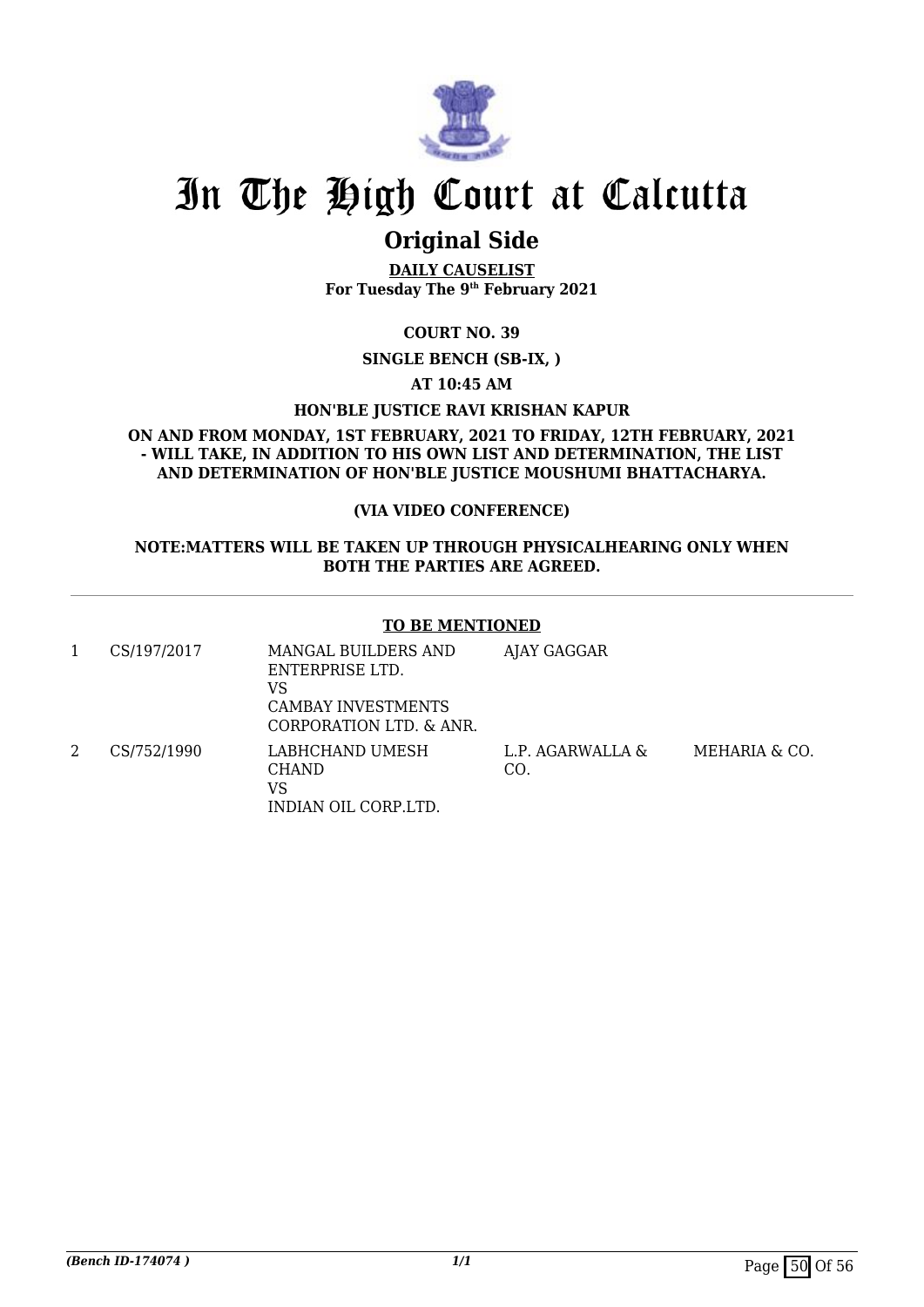

## **Original Side**

**DAILY CAUSELIST For Tuesday The 9th February 2021**

**COURT NO. 39**

**SINGLE BENCH (SB-IX, )**

**AT 10:45 AM**

**HON'BLE JUSTICE RAVI KRISHAN KAPUR**

**ON AND FROM MONDAY, 1ST FEBRUARY, 2021 TO FRIDAY, 12TH FEBRUARY, 2021 - WILL TAKE, IN ADDITION TO HIS OWN LIST AND DETERMINATION, THE LIST AND DETERMINATION OF HON'BLE JUSTICE MOUSHUMI BHATTACHARYA.**

#### **(VIA VIDEO CONFERENCE)**

#### **NOTE:MATTERS WILL BE TAKEN UP THROUGH PHYSICALHEARING ONLY WHEN BOTH THE PARTIES ARE AGREED.**

#### **TO BE MENTIONED**

| CS/197/2017 | MANGAL BUILDERS AND<br>ENTERPRISE LTD.<br>VS<br><b>CAMBAY INVESTMENTS</b><br>CORPORATION LTD. & ANR. | AJAY GAGGAR             |
|-------------|------------------------------------------------------------------------------------------------------|-------------------------|
| CS/752/1990 | LABHCHAND UMESH<br><b>CHAND</b><br>VS<br>INDIAN OIL CORP.LTD.                                        | L.P. AGARWALLA &<br>CO. |

MEHARIA & CO.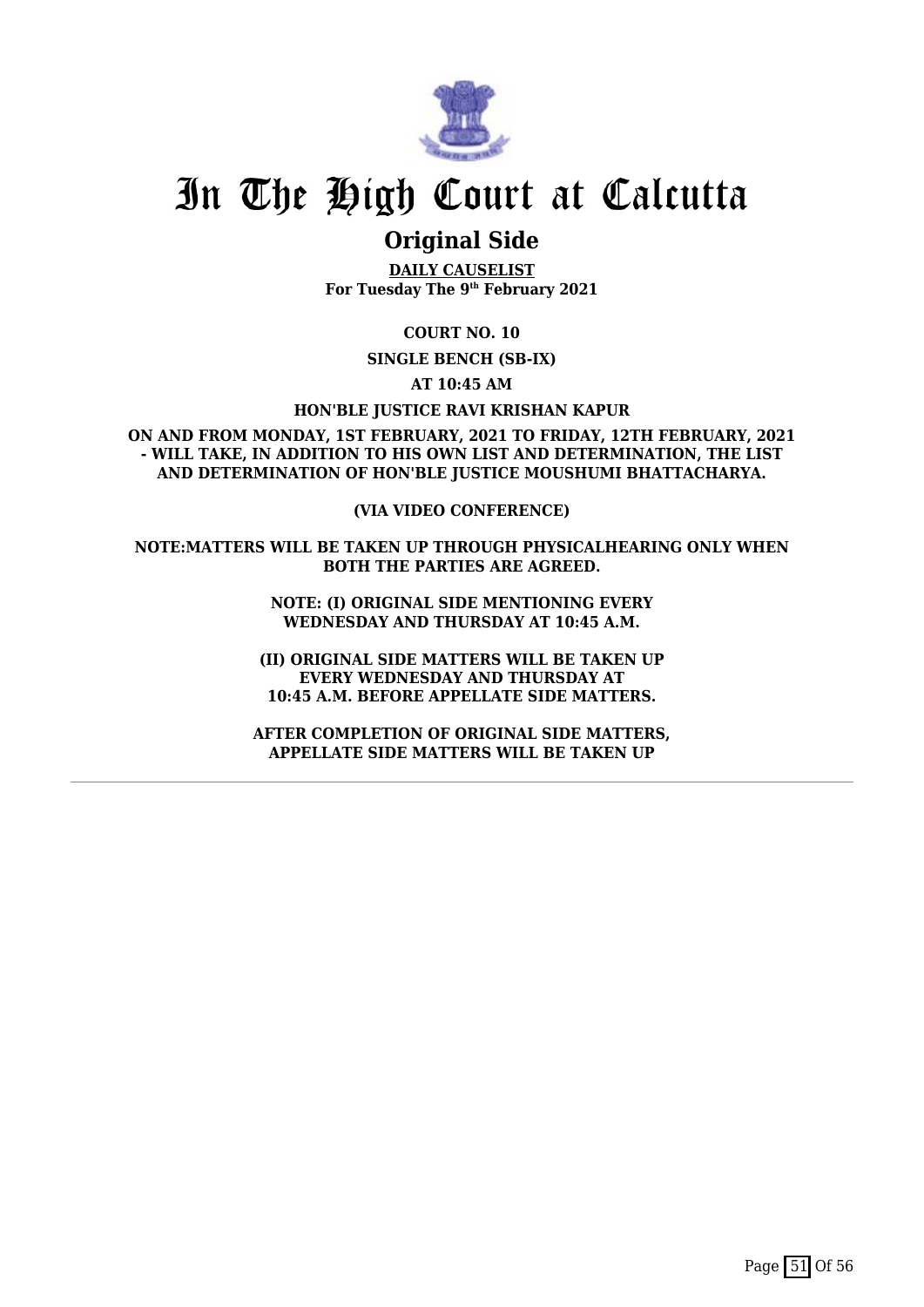

## **Original Side**

**DAILY CAUSELIST For Tuesday The 9th February 2021**

**COURT NO. 10**

**SINGLE BENCH (SB-IX)**

**AT 10:45 AM**

**HON'BLE JUSTICE RAVI KRISHAN KAPUR**

**ON AND FROM MONDAY, 1ST FEBRUARY, 2021 TO FRIDAY, 12TH FEBRUARY, 2021 - WILL TAKE, IN ADDITION TO HIS OWN LIST AND DETERMINATION, THE LIST AND DETERMINATION OF HON'BLE JUSTICE MOUSHUMI BHATTACHARYA.**

**(VIA VIDEO CONFERENCE)**

**NOTE:MATTERS WILL BE TAKEN UP THROUGH PHYSICALHEARING ONLY WHEN BOTH THE PARTIES ARE AGREED.**

> **NOTE: (I) ORIGINAL SIDE MENTIONING EVERY WEDNESDAY AND THURSDAY AT 10:45 A.M.**

**(II) ORIGINAL SIDE MATTERS WILL BE TAKEN UP EVERY WEDNESDAY AND THURSDAY AT 10:45 A.M. BEFORE APPELLATE SIDE MATTERS.**

**AFTER COMPLETION OF ORIGINAL SIDE MATTERS, APPELLATE SIDE MATTERS WILL BE TAKEN UP**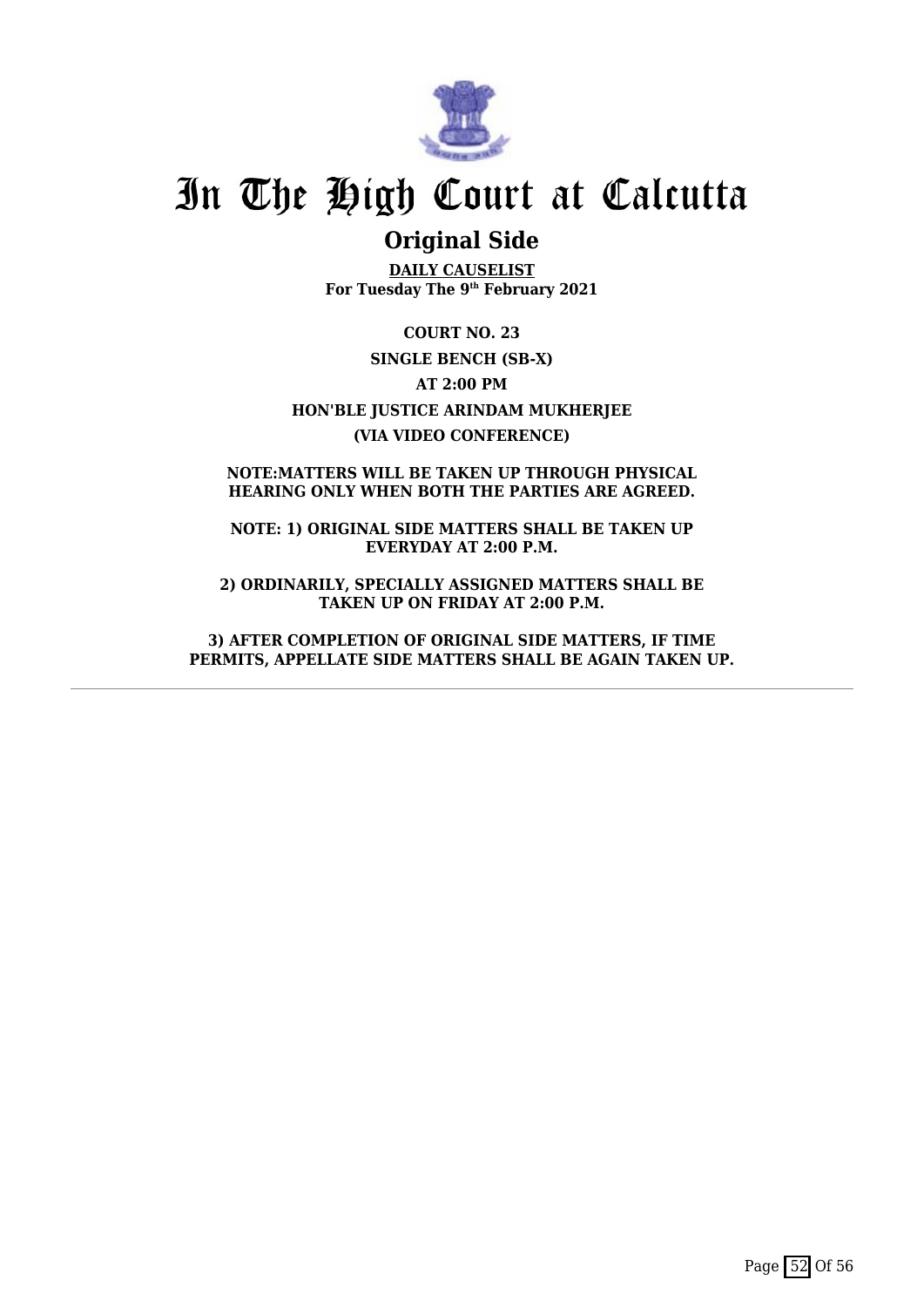

## **Original Side**

**DAILY CAUSELIST For Tuesday The 9th February 2021**

**COURT NO. 23 SINGLE BENCH (SB-X) AT 2:00 PM HON'BLE JUSTICE ARINDAM MUKHERJEE (VIA VIDEO CONFERENCE)**

**NOTE:MATTERS WILL BE TAKEN UP THROUGH PHYSICAL HEARING ONLY WHEN BOTH THE PARTIES ARE AGREED.**

**NOTE: 1) ORIGINAL SIDE MATTERS SHALL BE TAKEN UP EVERYDAY AT 2:00 P.M.**

**2) ORDINARILY, SPECIALLY ASSIGNED MATTERS SHALL BE TAKEN UP ON FRIDAY AT 2:00 P.M.**

**3) AFTER COMPLETION OF ORIGINAL SIDE MATTERS, IF TIME PERMITS, APPELLATE SIDE MATTERS SHALL BE AGAIN TAKEN UP.**

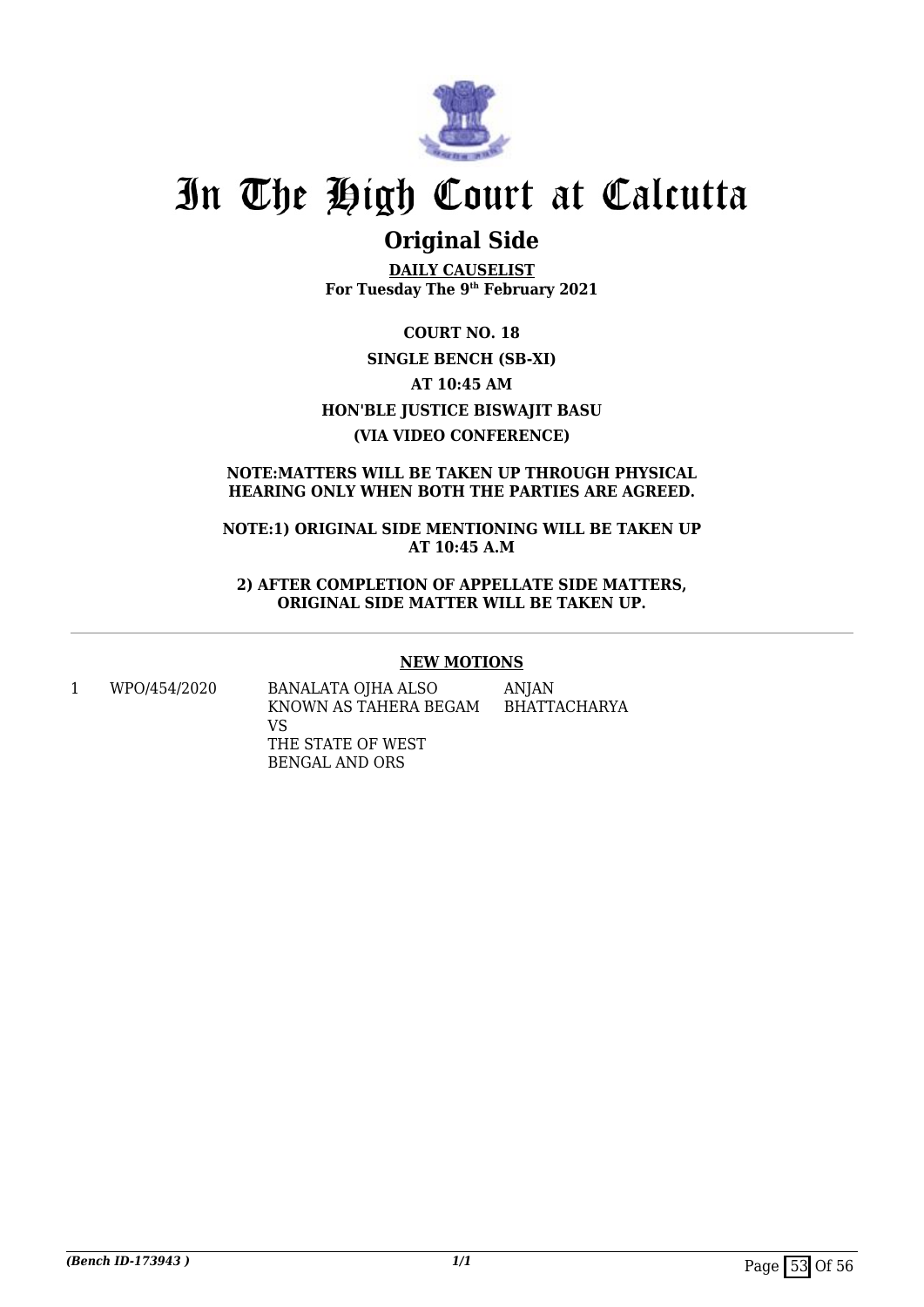

## **Original Side**

**DAILY CAUSELIST For Tuesday The 9th February 2021**

**COURT NO. 18 SINGLE BENCH (SB-XI) AT 10:45 AM HON'BLE JUSTICE BISWAJIT BASU (VIA VIDEO CONFERENCE)**

#### **NOTE:MATTERS WILL BE TAKEN UP THROUGH PHYSICAL HEARING ONLY WHEN BOTH THE PARTIES ARE AGREED.**

**NOTE:1) ORIGINAL SIDE MENTIONING WILL BE TAKEN UP AT 10:45 A.M**

**2) AFTER COMPLETION OF APPELLATE SIDE MATTERS, ORIGINAL SIDE MATTER WILL BE TAKEN UP.**

#### **NEW MOTIONS**

1 WPO/454/2020 BANALATA OJHA ALSO KNOWN AS TAHERA BEGAM VS THE STATE OF WEST BENGAL AND ORS ANJAN BHATTACHARYA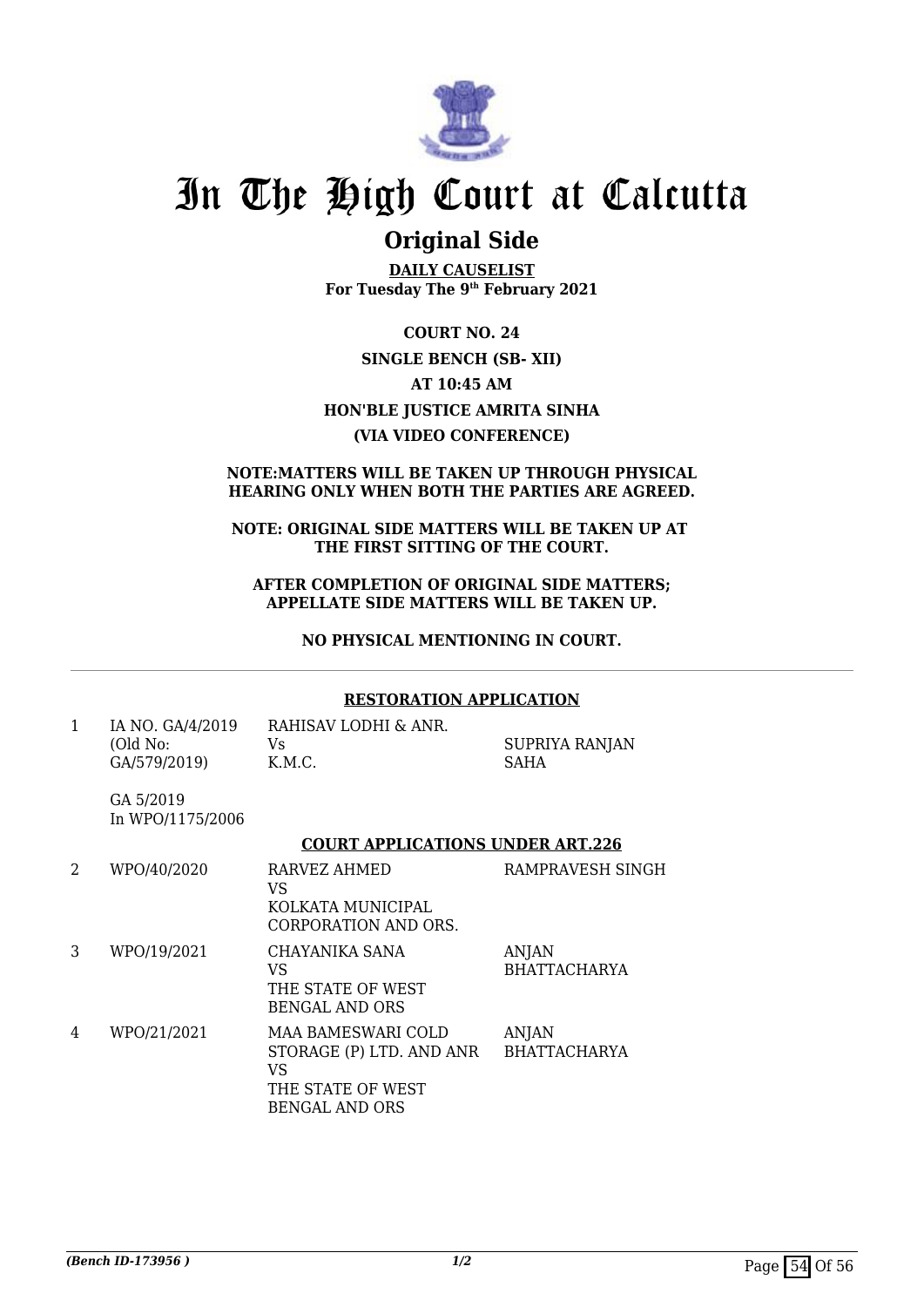

## **Original Side**

**DAILY CAUSELIST For Tuesday The 9th February 2021**

**COURT NO. 24 SINGLE BENCH (SB- XII) AT 10:45 AM HON'BLE JUSTICE AMRITA SINHA (VIA VIDEO CONFERENCE)**

#### **NOTE:MATTERS WILL BE TAKEN UP THROUGH PHYSICAL HEARING ONLY WHEN BOTH THE PARTIES ARE AGREED.**

#### **NOTE: ORIGINAL SIDE MATTERS WILL BE TAKEN UP AT THE FIRST SITTING OF THE COURT.**

**AFTER COMPLETION OF ORIGINAL SIDE MATTERS; APPELLATE SIDE MATTERS WILL BE TAKEN UP.**

**NO PHYSICAL MENTIONING IN COURT.**

## **RESTORATION APPLICATION**

| IA NO. GA/4/2019 | RAHISAV LODHI & ANR. |                |
|------------------|----------------------|----------------|
| (Old No:         | Vs.                  | SUPRIYA RANJAN |
| GA/579/2019)     | K.M.C.               | <b>SAHA</b>    |

GA 5/2019 In WPO/1175/2006

#### **COURT APPLICATIONS UNDER ART.226**

| 2 | WPO/40/2020 | RARVEZ AHMED<br>VS<br>KOLKATA MUNICIPAL<br>CORPORATION AND ORS.                                    | RAMPRAVESH SINGH                    |
|---|-------------|----------------------------------------------------------------------------------------------------|-------------------------------------|
| 3 | WPO/19/2021 | CHAYANIKA SANA<br>VS<br>THE STATE OF WEST<br>BENGAL AND ORS                                        | ANJAN<br><b>BHATTACHARYA</b>        |
| 4 | WPO/21/2021 | MAA BAMESWARI COLD<br>STORAGE (P) LTD. AND ANR<br>VS<br>THE STATE OF WEST<br><b>BENGAL AND ORS</b> | <b>ANJAN</b><br><b>BHATTACHARYA</b> |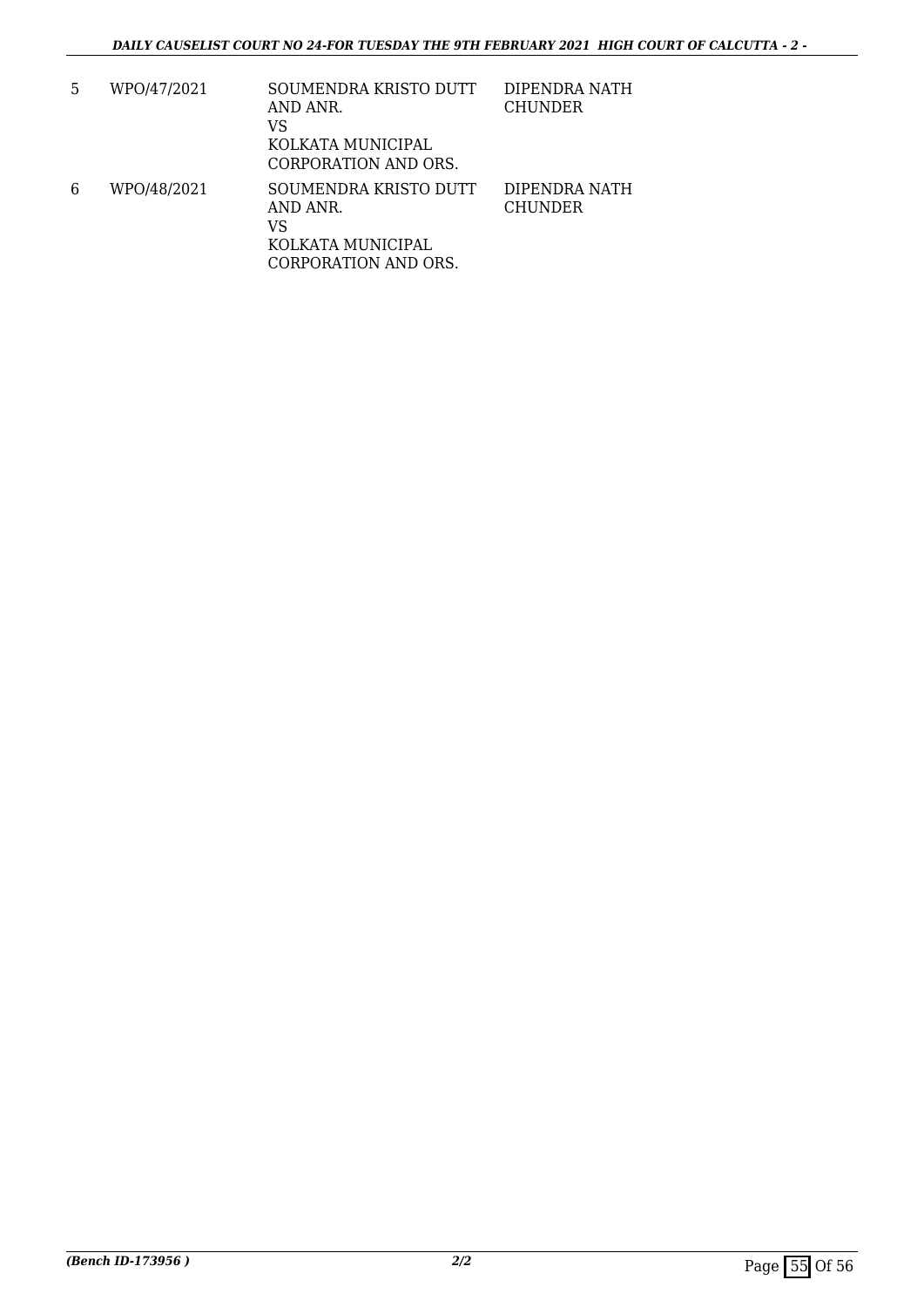| 5 | WPO/47/2021 | SOUMENDRA KRISTO DUTT<br>AND ANR.<br>VS<br>KOLKATA MUNICIPAL<br>CORPORATION AND ORS. | DIPENDRA NATH<br><b>CHUNDER</b> |
|---|-------------|--------------------------------------------------------------------------------------|---------------------------------|
| 6 | WPO/48/2021 | SOUMENDRA KRISTO DUTT<br>AND ANR.<br>VS<br>KOLKATA MUNICIPAL<br>CORPORATION AND ORS. | DIPENDRA NATH<br><b>CHUNDER</b> |